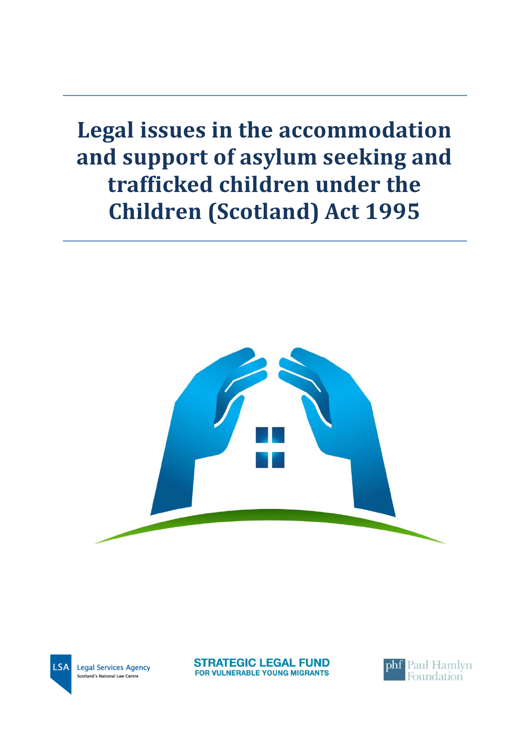**Legal issues in the accommodation and support of asylum seeking and trafficked children under the Children (Scotland) Act 1995**



**ISA Legal Services Agency** Scotland's National Law Centre

**STRATEGIC LEGAL FUND FOR VULNERABLE YOUNG MIGRANTS** 

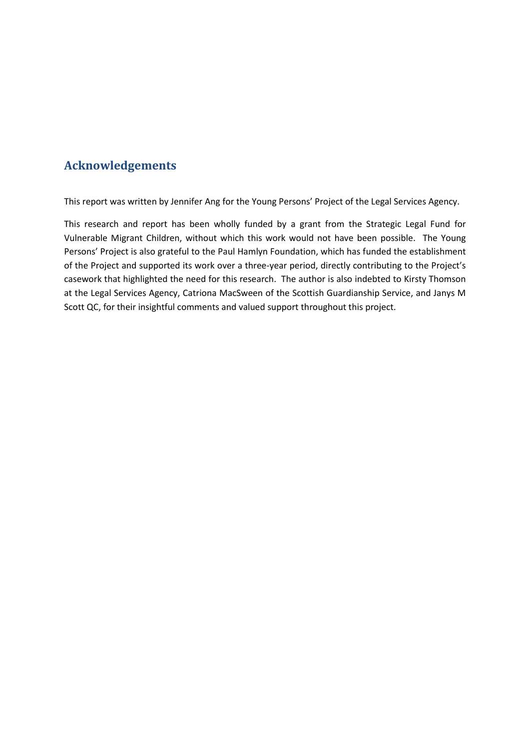# **Acknowledgements**

This report was written by Jennifer Ang for the Young Persons' Project of the Legal Services Agency.

This research and report has been wholly funded by a grant from the Strategic Legal Fund for Vulnerable Migrant Children, without which this work would not have been possible. The Young Persons' Project is also grateful to the Paul Hamlyn Foundation, which has funded the establishment of the Project and supported its work over a three-year period, directly contributing to the Project's casework that highlighted the need for this research. The author is also indebted to Kirsty Thomson at the Legal Services Agency, Catriona MacSween of the Scottish Guardianship Service, and Janys M Scott QC, for their insightful comments and valued support throughout this project.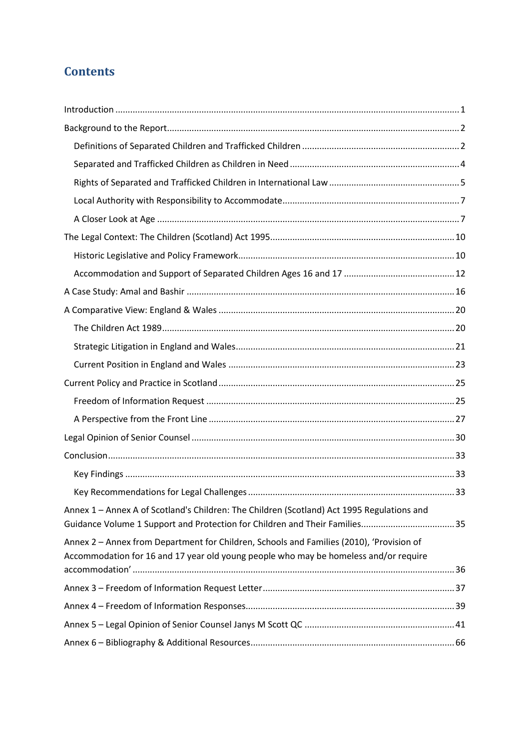# **Contents**

| Annex 1 - Annex A of Scotland's Children: The Children (Scotland) Act 1995 Regulations and<br>Guidance Volume 1 Support and Protection for Children and Their Families35         |  |
|----------------------------------------------------------------------------------------------------------------------------------------------------------------------------------|--|
| Annex 2 - Annex from Department for Children, Schools and Families (2010), 'Provision of<br>Accommodation for 16 and 17 year old young people who may be homeless and/or require |  |
|                                                                                                                                                                                  |  |
|                                                                                                                                                                                  |  |
|                                                                                                                                                                                  |  |
|                                                                                                                                                                                  |  |
|                                                                                                                                                                                  |  |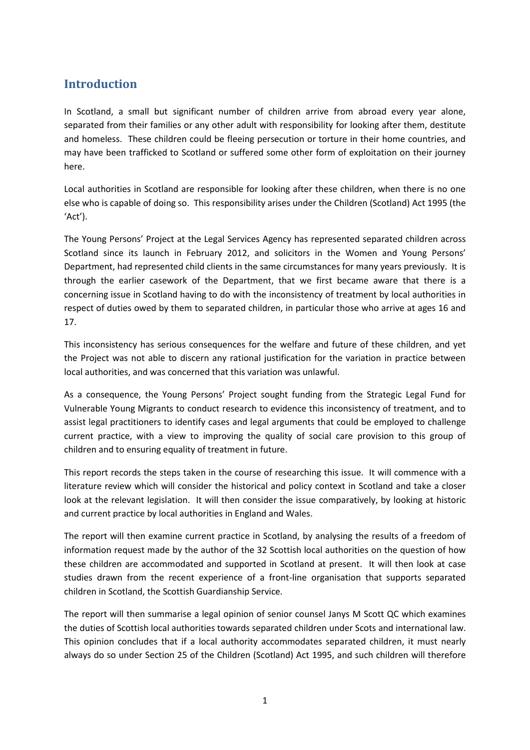# <span id="page-3-0"></span>**Introduction**

In Scotland, a small but significant number of children arrive from abroad every year alone, separated from their families or any other adult with responsibility for looking after them, destitute and homeless. These children could be fleeing persecution or torture in their home countries, and may have been trafficked to Scotland or suffered some other form of exploitation on their journey here.

Local authorities in Scotland are responsible for looking after these children, when there is no one else who is capable of doing so. This responsibility arises under the Children (Scotland) Act 1995 (the 'Act').

The Young Persons' Project at the Legal Services Agency has represented separated children across Scotland since its launch in February 2012, and solicitors in the Women and Young Persons' Department, had represented child clients in the same circumstances for many years previously. It is through the earlier casework of the Department, that we first became aware that there is a concerning issue in Scotland having to do with the inconsistency of treatment by local authorities in respect of duties owed by them to separated children, in particular those who arrive at ages 16 and 17.

This inconsistency has serious consequences for the welfare and future of these children, and yet the Project was not able to discern any rational justification for the variation in practice between local authorities, and was concerned that this variation was unlawful.

As a consequence, the Young Persons' Project sought funding from the Strategic Legal Fund for Vulnerable Young Migrants to conduct research to evidence this inconsistency of treatment, and to assist legal practitioners to identify cases and legal arguments that could be employed to challenge current practice, with a view to improving the quality of social care provision to this group of children and to ensuring equality of treatment in future.

This report records the steps taken in the course of researching this issue. It will commence with a literature review which will consider the historical and policy context in Scotland and take a closer look at the relevant legislation. It will then consider the issue comparatively, by looking at historic and current practice by local authorities in England and Wales.

The report will then examine current practice in Scotland, by analysing the results of a freedom of information request made by the author of the 32 Scottish local authorities on the question of how these children are accommodated and supported in Scotland at present. It will then look at case studies drawn from the recent experience of a front-line organisation that supports separated children in Scotland, the Scottish Guardianship Service.

The report will then summarise a legal opinion of senior counsel Janys M Scott QC which examines the duties of Scottish local authorities towards separated children under Scots and international law. This opinion concludes that if a local authority accommodates separated children, it must nearly always do so under Section 25 of the Children (Scotland) Act 1995, and such children will therefore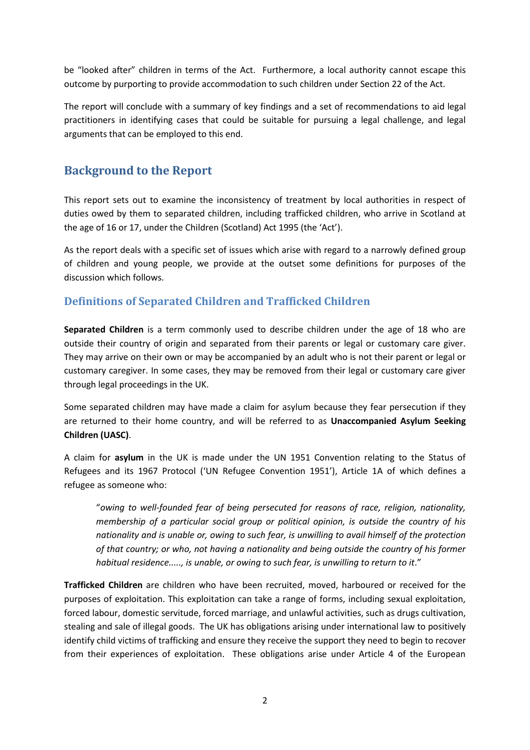be "looked after" children in terms of the Act. Furthermore, a local authority cannot escape this outcome by purporting to provide accommodation to such children under Section 22 of the Act.

The report will conclude with a summary of key findings and a set of recommendations to aid legal practitioners in identifying cases that could be suitable for pursuing a legal challenge, and legal arguments that can be employed to this end.

# <span id="page-4-0"></span>**Background to the Report**

This report sets out to examine the inconsistency of treatment by local authorities in respect of duties owed by them to separated children, including trafficked children, who arrive in Scotland at the age of 16 or 17, under the Children (Scotland) Act 1995 (the 'Act').

As the report deals with a specific set of issues which arise with regard to a narrowly defined group of children and young people, we provide at the outset some definitions for purposes of the discussion which follows.

## <span id="page-4-1"></span>**Definitions of Separated Children and Trafficked Children**

**Separated Children** is a term commonly used to describe children under the age of 18 who are outside their country of origin and separated from their parents or legal or customary care giver. They may arrive on their own or may be accompanied by an adult who is not their parent or legal or customary caregiver. In some cases, they may be removed from their legal or customary care giver through legal proceedings in the UK.

Some separated children may have made a claim for asylum because they fear persecution if they are returned to their home country, and will be referred to as **Unaccompanied Asylum Seeking Children (UASC)**.

A claim for **asylum** in the UK is made under the UN 1951 Convention relating to the Status of Refugees and its 1967 Protocol ('UN Refugee Convention 1951'), Article 1A of which defines a refugee as someone who:

"*owing to well-founded fear of being persecuted for reasons of race, religion, nationality, membership of a particular social group or political opinion, is outside the country of his nationality and is unable or, owing to such fear, is unwilling to avail himself of the protection of that country; or who, not having a nationality and being outside the country of his former*  habitual residence....., is unable, or owing to such fear, is unwilling to return to it."

**Trafficked Children** are children who have been recruited, moved, harboured or received for the purposes of exploitation. This exploitation can take a range of forms, including sexual exploitation, forced labour, domestic servitude, forced marriage, and unlawful activities, such as drugs cultivation, stealing and sale of illegal goods. The UK has obligations arising under international law to positively identify child victims of trafficking and ensure they receive the support they need to begin to recover from their experiences of exploitation. These obligations arise under Article 4 of the European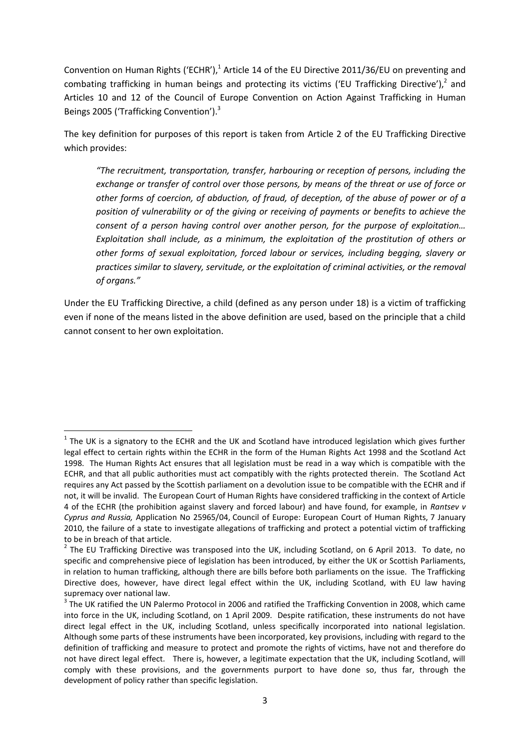Convention on Human Rights ('ECHR'),<sup>1</sup> Article 14 of the EU Directive 2011/36/EU on preventing and combating trafficking in human beings and protecting its victims ('EU Trafficking Directive'),<sup>2</sup> and Articles 10 and 12 of the Council of Europe Convention on Action Against Trafficking in Human Beings 2005 ('Trafficking Convention').<sup>3</sup>

The key definition for purposes of this report is taken from Article 2 of the EU Trafficking Directive which provides:

*"The recruitment, transportation, transfer, harbouring or reception of persons, including the exchange or transfer of control over those persons, by means of the threat or use of force or other forms of coercion, of abduction, of fraud, of deception, of the abuse of power or of a position of vulnerability or of the giving or receiving of payments or benefits to achieve the consent of a person having control over another person, for the purpose of exploitation… Exploitation shall include, as a minimum, the exploitation of the prostitution of others or other forms of sexual exploitation, forced labour or services, including begging, slavery or practices similar to slavery, servitude, or the exploitation of criminal activities, or the removal of organs."*

Under the EU Trafficking Directive, a child (defined as any person under 18) is a victim of trafficking even if none of the means listed in the above definition are used, based on the principle that a child cannot consent to her own exploitation.

1

 $1$  The UK is a signatory to the ECHR and the UK and Scotland have introduced legislation which gives further legal effect to certain rights within the ECHR in the form of the Human Rights Act 1998 and the Scotland Act 1998. The Human Rights Act ensures that all legislation must be read in a way which is compatible with the ECHR, and that all public authorities must act compatibly with the rights protected therein. The Scotland Act requires any Act passed by the Scottish parliament on a devolution issue to be compatible with the ECHR and if not, it will be invalid. The European Court of Human Rights have considered trafficking in the context of Article 4 of the ECHR (the prohibition against slavery and forced labour) and have found, for example, in *Rantsev v Cyprus and Russia,* Application No 25965/04, Council of Europe: European Court of Human Rights, 7 January 2010, the failure of a state to investigate allegations of trafficking and protect a potential victim of trafficking to be in breach of that article.

 $2$  The EU Trafficking Directive was transposed into the UK, including Scotland, on 6 April 2013. To date, no specific and comprehensive piece of legislation has been introduced, by either the UK or Scottish Parliaments, in relation to human trafficking, although there are bills before both parliaments on the issue. The Trafficking Directive does, however, have direct legal effect within the UK, including Scotland, with EU law having supremacy over national law.

 $3$  The UK ratified the UN Palermo Protocol in 2006 and ratified the Trafficking Convention in 2008, which came into force in the UK, including Scotland, on 1 April 2009. Despite ratification, these instruments do not have direct legal effect in the UK, including Scotland, unless specifically incorporated into national legislation. Although some parts of these instruments have been incorporated, key provisions, including with regard to the definition of trafficking and measure to protect and promote the rights of victims, have not and therefore do not have direct legal effect. There is, however, a legitimate expectation that the UK, including Scotland, will comply with these provisions, and the governments purport to have done so, thus far, through the development of policy rather than specific legislation.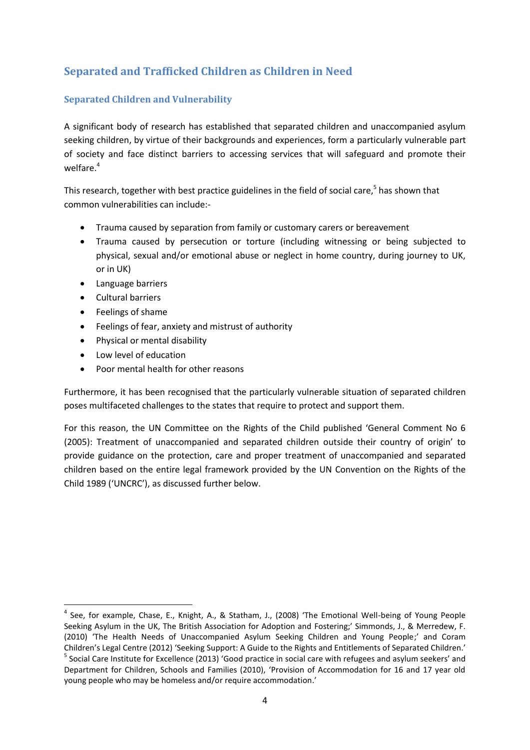# <span id="page-6-0"></span>**Separated and Trafficked Children as Children in Need**

#### **Separated Children and Vulnerability**

A significant body of research has established that separated children and unaccompanied asylum seeking children, by virtue of their backgrounds and experiences, form a particularly vulnerable part of society and face distinct barriers to accessing services that will safeguard and promote their welfare.<sup>4</sup>

This research, together with best practice guidelines in the field of social care,<sup>5</sup> has shown that common vulnerabilities can include:-

- Trauma caused by separation from family or customary carers or bereavement
- Trauma caused by persecution or torture (including witnessing or being subjected to physical, sexual and/or emotional abuse or neglect in home country, during journey to UK, or in UK)
- Language barriers
- Cultural barriers

 $\overline{a}$ 

- Feelings of shame
- Feelings of fear, anxiety and mistrust of authority
- Physical or mental disability
- Low level of education
- Poor mental health for other reasons

Furthermore, it has been recognised that the particularly vulnerable situation of separated children poses multifaceted challenges to the states that require to protect and support them.

For this reason, the UN Committee on the Rights of the Child published 'General Comment No 6 (2005): Treatment of unaccompanied and separated children outside their country of origin' to provide guidance on the protection, care and proper treatment of unaccompanied and separated children based on the entire legal framework provided by the UN Convention on the Rights of the Child 1989 ('UNCRC'), as discussed further below.

<sup>&</sup>lt;sup>4</sup> See, for example, Chase, E., Knight, A., & Statham, J., (2008) 'The Emotional Well-being of Young People Seeking Asylum in the UK, The British Association for Adoption and Fostering;' Simmonds, J., & Merredew, F. (2010) 'The Health Needs of Unaccompanied Asylum Seeking Children and Young People;' and Coram Children's Legal Centre (2012) 'Seeking Support: A Guide to the Rights and Entitlements of Separated Children.' <sup>5</sup> Social Care Institute for Excellence (2013) 'Good practice in social care with refugees and asylum seekers' and Department for Children, Schools and Families (2010), 'Provision of Accommodation for 16 and 17 year old young people who may be homeless and/or require accommodation.'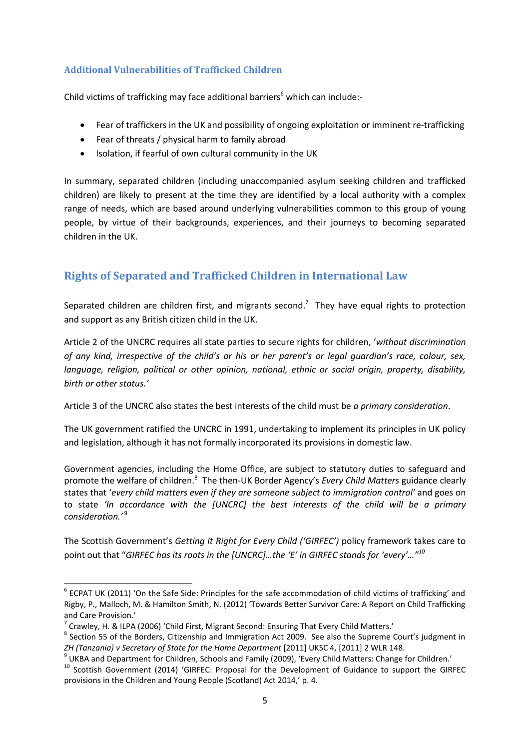#### **Additional Vulnerabilities of Trafficked Children**

Child victims of trafficking may face additional barriers<sup>6</sup> which can include:-

- Fear of traffickers in the UK and possibility of ongoing exploitation or imminent re-trafficking
- Fear of threats / physical harm to family abroad
- Isolation, if fearful of own cultural community in the UK

In summary, separated children (including unaccompanied asylum seeking children and trafficked children) are likely to present at the time they are identified by a local authority with a complex range of needs, which are based around underlying vulnerabilities common to this group of young people, by virtue of their backgrounds, experiences, and their journeys to becoming separated children in the UK.

## <span id="page-7-0"></span>**Rights of Separated and Trafficked Children in International Law**

Separated children are children first, and migrants second.<sup>7</sup> They have equal rights to protection and support as any British citizen child in the UK.

Article 2 of the UNCRC requires all state parties to secure rights for children, '*without discrimination of any kind, irrespective of the child's or his or her parent's or legal guardian's race, colour, sex, language, religion, political or other opinion, national, ethnic or social origin, property, disability, birth or other status.'*

Article 3 of the UNCRC also states the best interests of the child must be *a primary consideration*.

The UK government ratified the UNCRC in 1991, undertaking to implement its principles in UK policy and legislation, although it has not formally incorporated its provisions in domestic law.

Government agencies, including the Home Office, are subject to statutory duties to safeguard and promote the welfare of children.<sup>8</sup> The then-UK Border Agency's *Every Child Matters* guidance clearly states that '*every child matters even if they are someone subject to immigration control'* and goes on to state *'In accordance with the [UNCRC] the best interests of the child will be a primary consideration.'* <sup>9</sup>

The Scottish Government's *Getting It Right for Every Child ('GIRFEC')* policy framework takes care to point out that "*GIRFEC has its roots in the [UNCRC]…the 'E' in GIRFEC stands for 'every'…"<sup>10</sup>*

 6 ECPAT UK (2011) 'On the Safe Side: Principles for the safe accommodation of child victims of trafficking' and Rigby, P., Malloch, M. & Hamilton Smith, N. (2012) 'Towards Better Survivor Care: A Report on Child Trafficking and Care Provision.'

 $^7$  Crawley, H. & ILPA (2006) 'Child First, Migrant Second: Ensuring That Every Child Matters.'

<sup>&</sup>lt;sup>8</sup> Section 55 of the Borders, Citizenship and Immigration Act 2009. See also the Supreme Court's judgment in *ZH (Tanzania) v Secretary of State for the Home Department* [2011] UKSC 4, [2011] 2 WLR 148.

<sup>9</sup> UKBA and Department for Children, Schools and Family (2009), 'Every Child Matters: Change for Children.'

<sup>&</sup>lt;sup>10</sup> Scottish Government (2014) 'GIRFEC: Proposal for the Development of Guidance to support the GIRFEC provisions in the Children and Young People (Scotland) Act 2014,' p. 4.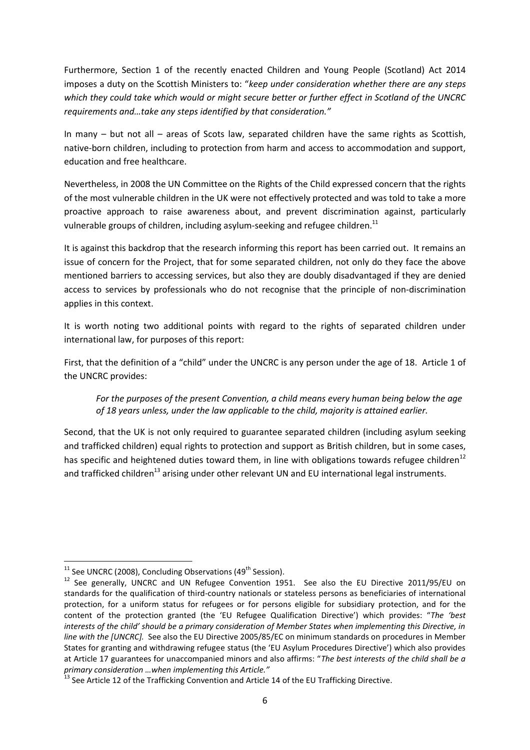Furthermore, Section 1 of the recently enacted Children and Young People (Scotland) Act 2014 imposes a duty on the Scottish Ministers to: "*keep under consideration whether there are any steps which they could take which would or might secure better or further effect in Scotland of the UNCRC requirements and…take any steps identified by that consideration."*

In many – but not all – areas of Scots law, separated children have the same rights as Scottish, native-born children, including to protection from harm and access to accommodation and support, education and free healthcare.

Nevertheless, in 2008 the UN Committee on the Rights of the Child expressed concern that the rights of the most vulnerable children in the UK were not effectively protected and was told to take a more proactive approach to raise awareness about, and prevent discrimination against, particularly vulnerable groups of children, including asylum-seeking and refugee children.<sup>11</sup>

It is against this backdrop that the research informing this report has been carried out. It remains an issue of concern for the Project, that for some separated children, not only do they face the above mentioned barriers to accessing services, but also they are doubly disadvantaged if they are denied access to services by professionals who do not recognise that the principle of non-discrimination applies in this context.

It is worth noting two additional points with regard to the rights of separated children under international law, for purposes of this report:

First, that the definition of a "child" under the UNCRC is any person under the age of 18. Article 1 of the UNCRC provides:

*For the purposes of the present Convention, a child means every human being below the age of 18 years unless, under the law applicable to the child, majority is attained earlier.*

Second, that the UK is not only required to guarantee separated children (including asylum seeking and trafficked children) equal rights to protection and support as British children, but in some cases, has specific and heightened duties toward them, in line with obligations towards refugee children<sup>12</sup> and trafficked children<sup>13</sup> arising under other relevant UN and EU international legal instruments.

**.** 

 $11$  See UNCRC (2008), Concluding Observations (49<sup>th</sup> Session).

<sup>&</sup>lt;sup>12</sup> See generally, UNCRC and UN Refugee Convention 1951. See also the EU Directive 2011/95/EU on standards for the qualification of third-country nationals or stateless persons as beneficiaries of international protection, for a uniform status for refugees or for persons eligible for subsidiary protection, and for the content of the protection granted (the 'EU Refugee Qualification Directive') which provides: "*The 'best interests of the child' should be a primary consideration of Member States when implementing this Directive, in line with the [UNCRC].* See also the EU Directive 2005/85/EC on minimum standards on procedures in Member States for granting and withdrawing refugee status (the 'EU Asylum Procedures Directive') which also provides at Article 17 guarantees for unaccompanied minors and also affirms: "*The best interests of the child shall be a primary consideration …when implementing this Article."* 

<sup>&</sup>lt;sup>13</sup> See Article 12 of the Trafficking Convention and Article 14 of the EU Trafficking Directive.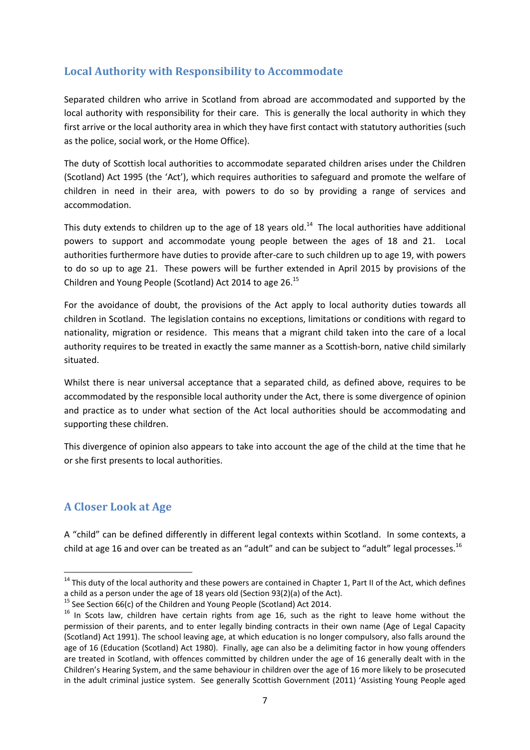## <span id="page-9-0"></span>**Local Authority with Responsibility to Accommodate**

Separated children who arrive in Scotland from abroad are accommodated and supported by the local authority with responsibility for their care. This is generally the local authority in which they first arrive or the local authority area in which they have first contact with statutory authorities (such as the police, social work, or the Home Office).

The duty of Scottish local authorities to accommodate separated children arises under the Children (Scotland) Act 1995 (the 'Act'), which requires authorities to safeguard and promote the welfare of children in need in their area, with powers to do so by providing a range of services and accommodation.

This duty extends to children up to the age of 18 years old.<sup>14</sup> The local authorities have additional powers to support and accommodate young people between the ages of 18 and 21. Local authorities furthermore have duties to provide after-care to such children up to age 19, with powers to do so up to age 21. These powers will be further extended in April 2015 by provisions of the Children and Young People (Scotland) Act 2014 to age 26.<sup>15</sup>

For the avoidance of doubt, the provisions of the Act apply to local authority duties towards all children in Scotland. The legislation contains no exceptions, limitations or conditions with regard to nationality, migration or residence. This means that a migrant child taken into the care of a local authority requires to be treated in exactly the same manner as a Scottish-born, native child similarly situated.

Whilst there is near universal acceptance that a separated child, as defined above, requires to be accommodated by the responsible local authority under the Act, there is some divergence of opinion and practice as to under what section of the Act local authorities should be accommodating and supporting these children.

This divergence of opinion also appears to take into account the age of the child at the time that he or she first presents to local authorities.

### <span id="page-9-1"></span>**A Closer Look at Age**

**.** 

A "child" can be defined differently in different legal contexts within Scotland. In some contexts, a child at age 16 and over can be treated as an "adult" and can be subject to "adult" legal processes.<sup>16</sup>

<sup>&</sup>lt;sup>14</sup> This duty of the local authority and these powers are contained in Chapter 1, Part II of the Act, which defines a child as a person under the age of 18 years old (Section 93(2)(a) of the Act).

<sup>&</sup>lt;sup>15</sup> See Section 66(c) of the Children and Young People (Scotland) Act 2014.

<sup>&</sup>lt;sup>16</sup> In Scots law, children have certain rights from age 16, such as the right to leave home without the permission of their parents, and to enter legally binding contracts in their own name (Age of Legal Capacity (Scotland) Act 1991). The school leaving age, at which education is no longer compulsory, also falls around the age of 16 (Education (Scotland) Act 1980). Finally, age can also be a delimiting factor in how young offenders are treated in Scotland, with offences committed by children under the age of 16 generally dealt with in the Children's Hearing System, and the same behaviour in children over the age of 16 more likely to be prosecuted in the adult criminal justice system. See generally Scottish Government (2011) 'Assisting Young People aged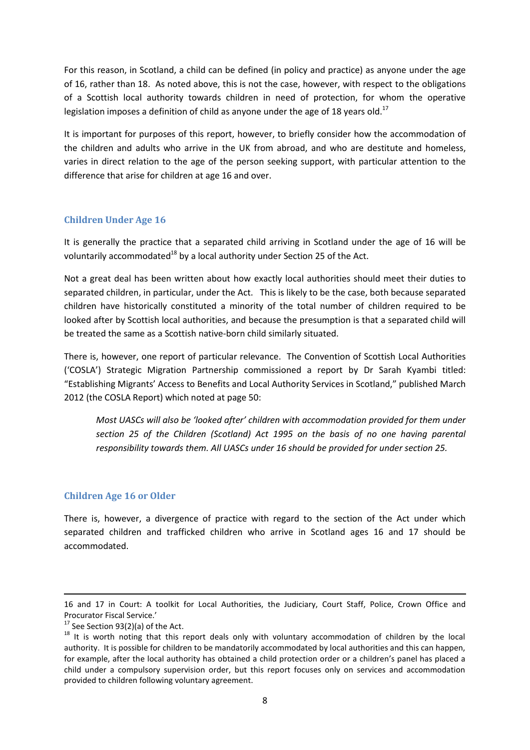For this reason, in Scotland, a child can be defined (in policy and practice) as anyone under the age of 16, rather than 18. As noted above, this is not the case, however, with respect to the obligations of a Scottish local authority towards children in need of protection, for whom the operative legislation imposes a definition of child as anyone under the age of 18 years old.<sup>17</sup>

It is important for purposes of this report, however, to briefly consider how the accommodation of the children and adults who arrive in the UK from abroad, and who are destitute and homeless, varies in direct relation to the age of the person seeking support, with particular attention to the difference that arise for children at age 16 and over.

#### **Children Under Age 16**

It is generally the practice that a separated child arriving in Scotland under the age of 16 will be voluntarily accommodated $^{18}$  by a local authority under Section 25 of the Act.

Not a great deal has been written about how exactly local authorities should meet their duties to separated children, in particular, under the Act. This is likely to be the case, both because separated children have historically constituted a minority of the total number of children required to be looked after by Scottish local authorities, and because the presumption is that a separated child will be treated the same as a Scottish native-born child similarly situated.

There is, however, one report of particular relevance. The Convention of Scottish Local Authorities ('COSLA') Strategic Migration Partnership commissioned a report by Dr Sarah Kyambi titled: "Establishing Migrants' Access to Benefits and Local Authority Services in Scotland," published March 2012 (the COSLA Report) which noted at page 50:

*Most UASCs will also be 'looked after' children with accommodation provided for them under section 25 of the Children (Scotland) Act 1995 on the basis of no one having parental responsibility towards them. All UASCs under 16 should be provided for under section 25.*

#### **Children Age 16 or Older**

There is, however, a divergence of practice with regard to the section of the Act under which separated children and trafficked children who arrive in Scotland ages 16 and 17 should be accommodated.

**.** 

<sup>16</sup> and 17 in Court: A toolkit for Local Authorities, the Judiciary, Court Staff, Police, Crown Office and Procurator Fiscal Service.'

 $17$  See Section 93(2)(a) of the Act.

<sup>&</sup>lt;sup>18</sup> It is worth noting that this report deals only with voluntary accommodation of children by the local authority. It is possible for children to be mandatorily accommodated by local authorities and this can happen, for example, after the local authority has obtained a child protection order or a children's panel has placed a child under a compulsory supervision order, but this report focuses only on services and accommodation provided to children following voluntary agreement.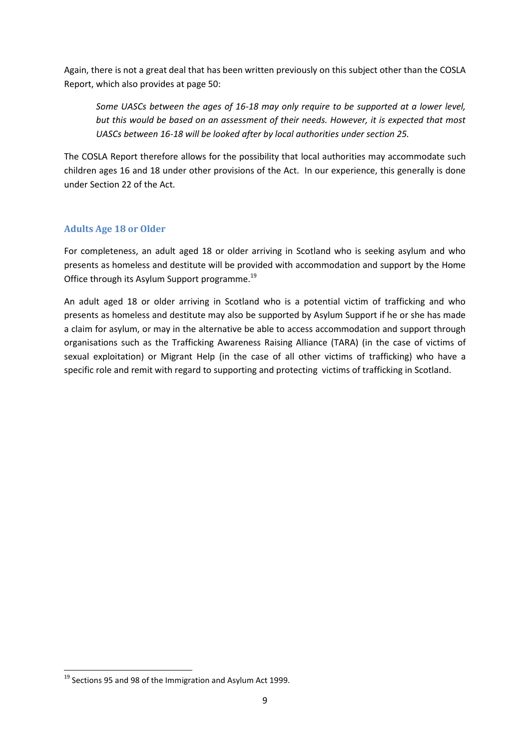Again, there is not a great deal that has been written previously on this subject other than the COSLA Report, which also provides at page 50:

*Some UASCs between the ages of 16-18 may only require to be supported at a lower level, but this would be based on an assessment of their needs. However, it is expected that most UASCs between 16-18 will be looked after by local authorities under section 25.* 

The COSLA Report therefore allows for the possibility that local authorities may accommodate such children ages 16 and 18 under other provisions of the Act. In our experience, this generally is done under Section 22 of the Act.

#### **Adults Age 18 or Older**

For completeness, an adult aged 18 or older arriving in Scotland who is seeking asylum and who presents as homeless and destitute will be provided with accommodation and support by the Home Office through its Asylum Support programme.<sup>19</sup>

An adult aged 18 or older arriving in Scotland who is a potential victim of trafficking and who presents as homeless and destitute may also be supported by Asylum Support if he or she has made a claim for asylum, or may in the alternative be able to access accommodation and support through organisations such as the Trafficking Awareness Raising Alliance (TARA) (in the case of victims of sexual exploitation) or Migrant Help (in the case of all other victims of trafficking) who have a specific role and remit with regard to supporting and protecting victims of trafficking in Scotland.

**.** 

<sup>&</sup>lt;sup>19</sup> Sections 95 and 98 of the Immigration and Asylum Act 1999.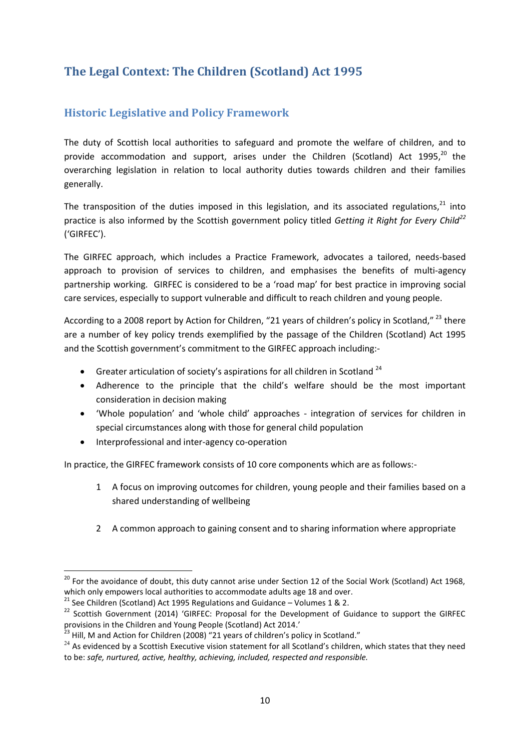# <span id="page-12-0"></span>**The Legal Context: The Children (Scotland) Act 1995**

# <span id="page-12-1"></span>**Historic Legislative and Policy Framework**

The duty of Scottish local authorities to safeguard and promote the welfare of children, and to provide accommodation and support, arises under the Children (Scotland) Act 1995,<sup>20</sup> the overarching legislation in relation to local authority duties towards children and their families generally.

The transposition of the duties imposed in this legislation, and its associated regulations.<sup>21</sup> into practice is also informed by the Scottish government policy titled *Getting it Right for Every Child<sup>22</sup>* ('GIRFEC').

The GIRFEC approach, which includes a Practice Framework, advocates a tailored, needs-based approach to provision of services to children, and emphasises the benefits of multi-agency partnership working. GIRFEC is considered to be a 'road map' for best practice in improving social care services, especially to support vulnerable and difficult to reach children and young people.

According to a 2008 report by Action for Children, "21 years of children's policy in Scotland,"<sup>23</sup> there are a number of key policy trends exemplified by the passage of the Children (Scotland) Act 1995 and the Scottish government's commitment to the GIRFEC approach including:-

- Greater articulation of society's aspirations for all children in Scotland<sup>24</sup>
- Adherence to the principle that the child's welfare should be the most important consideration in decision making
- 'Whole population' and 'whole child' approaches integration of services for children in special circumstances along with those for general child population
- Interprofessional and inter-agency co-operation

**.** 

In practice, the GIRFEC framework consists of 10 core components which are as follows:-

- 1 A focus on improving outcomes for children, young people and their families based on a shared understanding of wellbeing
- 2 A common approach to gaining consent and to sharing information where appropriate

 $^{20}$  For the avoidance of doubt, this duty cannot arise under Section 12 of the Social Work (Scotland) Act 1968, which only empowers local authorities to accommodate adults age 18 and over.

<sup>&</sup>lt;sup>21</sup> See Children (Scotland) Act 1995 Regulations and Guidance – Volumes 1 & 2.

<sup>&</sup>lt;sup>22</sup> Scottish Government (2014) 'GIRFEC: Proposal for the Development of Guidance to support the GIRFEC provisions in the Children and Young People (Scotland) Act 2014.'

 $^{23}$  Hill, M and Action for Children (2008) "21 years of children's policy in Scotland."

 $24$  As evidenced by a Scottish Executive vision statement for all Scotland's children, which states that they need to be: *safe, nurtured, active, healthy, achieving, included, respected and responsible.*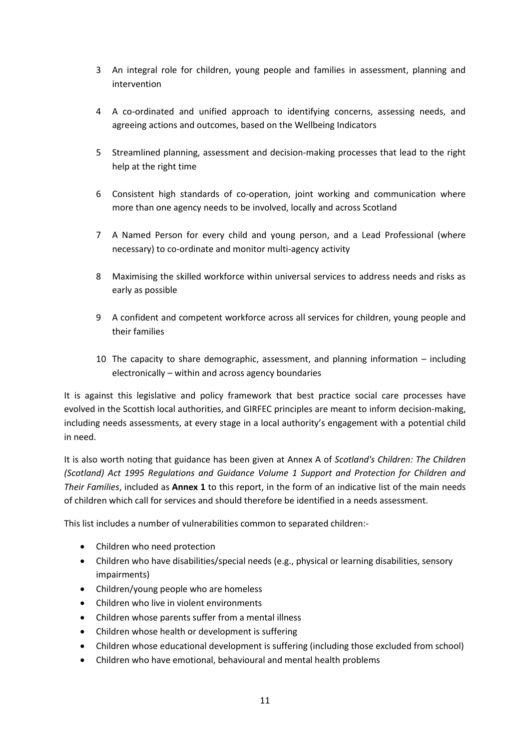- 3 An integral role for children, young people and families in assessment, planning and intervention
- 4 A co-ordinated and unified approach to identifying concerns, assessing needs, and agreeing actions and outcomes, based on the Wellbeing Indicators
- 5 Streamlined planning, assessment and decision-making processes that lead to the right help at the right time
- 6 Consistent high standards of co-operation, joint working and communication where more than one agency needs to be involved, locally and across Scotland
- 7 A Named Person for every child and young person, and a Lead Professional (where necessary) to co-ordinate and monitor multi-agency activity
- 8 Maximising the skilled workforce within universal services to address needs and risks as early as possible
- 9 A confident and competent workforce across all services for children, young people and their families
- 10 The capacity to share demographic, assessment, and planning information including electronically – within and across agency boundaries

It is against this legislative and policy framework that best practice social care processes have evolved in the Scottish local authorities, and GIRFEC principles are meant to inform decision-making, including needs assessments, at every stage in a local authority's engagement with a potential child in need.

It is also worth noting that guidance has been given at Annex A of *Scotland's Children: The Children (Scotland) Act 1995 Regulations and Guidance Volume 1 Support and Protection for Children and Their Families*, included as **Annex 1** to this report, in the form of an indicative list of the main needs of children which call for services and should therefore be identified in a needs assessment.

This list includes a number of vulnerabilities common to separated children:-

- Children who need protection
- Children who have disabilities/special needs (e.g., physical or learning disabilities, sensory impairments)
- Children/young people who are homeless
- Children who live in violent environments
- Children whose parents suffer from a mental illness
- Children whose health or development is suffering
- Children whose educational development is suffering (including those excluded from school)
- Children who have emotional, behavioural and mental health problems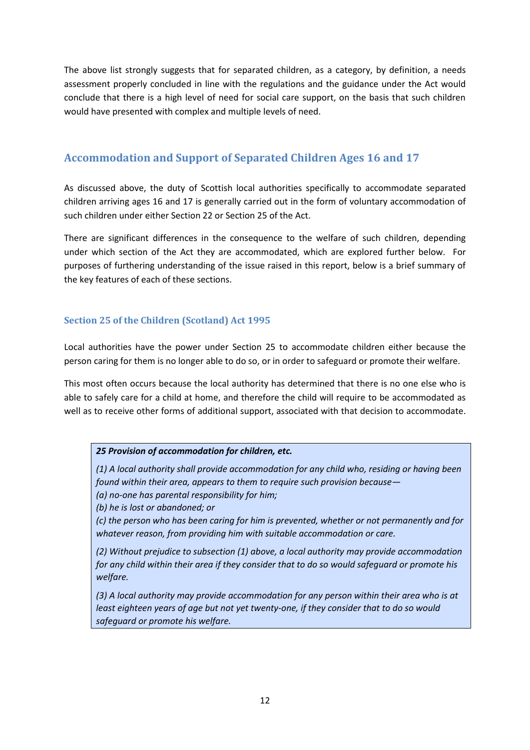The above list strongly suggests that for separated children, as a category, by definition, a needs assessment properly concluded in line with the regulations and the guidance under the Act would conclude that there is a high level of need for social care support, on the basis that such children would have presented with complex and multiple levels of need.

## <span id="page-14-0"></span>**Accommodation and Support of Separated Children Ages 16 and 17**

As discussed above, the duty of Scottish local authorities specifically to accommodate separated children arriving ages 16 and 17 is generally carried out in the form of voluntary accommodation of such children under either Section 22 or Section 25 of the Act.

There are significant differences in the consequence to the welfare of such children, depending under which section of the Act they are accommodated, which are explored further below. For purposes of furthering understanding of the issue raised in this report, below is a brief summary of the key features of each of these sections.

#### **Section 25 of the Children (Scotland) Act 1995**

Local authorities have the power under Section 25 to accommodate children either because the person caring for them is no longer able to do so, or in order to safeguard or promote their welfare.

This most often occurs because the local authority has determined that there is no one else who is able to safely care for a child at home, and therefore the child will require to be accommodated as well as to receive other forms of additional support, associated with that decision to accommodate.

#### *25 Provision of accommodation for children, etc.*

*(1) A local authority shall provide accommodation for any child who, residing or having been found within their area, appears to them to require such provision because—*

*(a) no-one has parental responsibility for him;*

*(b) he is lost or abandoned; or*

*(c) the person who has been caring for him is prevented, whether or not permanently and for whatever reason, from providing him with suitable accommodation or care.*

*(2) Without prejudice to subsection (1) above, a local authority may provide accommodation for any child within their area if they consider that to do so would safeguard or promote his welfare.*

*(3) A local authority may provide accommodation for any person within their area who is at least eighteen years of age but not yet twenty-one, if they consider that to do so would safeguard or promote his welfare.*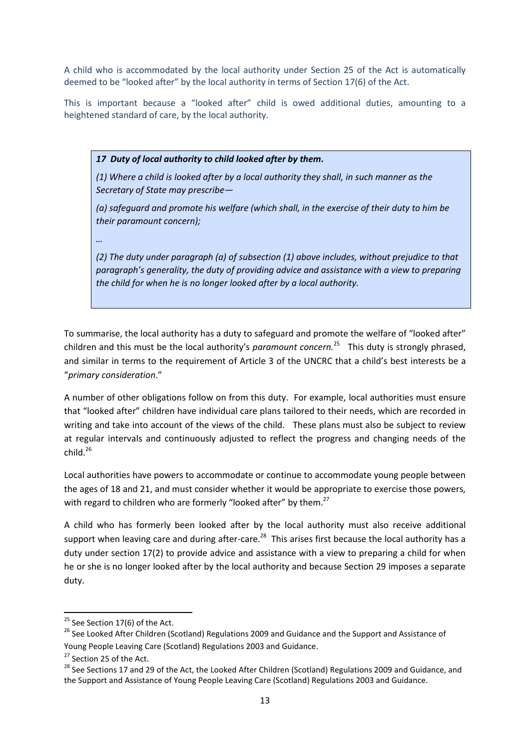A child who is accommodated by the local authority under Section 25 of the Act is automatically deemed to be "looked after" by the local authority in terms of Section 17(6) of the Act.

This is important because a "looked after" child is owed additional duties, amounting to a heightened standard of care, by the local authority.

*17 Duty of local authority to child looked after by them.*

*(1) Where a child is looked after by a local authority they shall, in such manner as the Secretary of State may prescribe—*

*(a) safeguard and promote his welfare (which shall, in the exercise of their duty to him be their paramount concern);*

*…*

*(2) The duty under paragraph (a) of subsection (1) above includes, without prejudice to that paragraph's generality, the duty of providing advice and assistance with a view to preparing the child for when he is no longer looked after by a local authority.*

To summarise, the local authority has a duty to safeguard and promote the welfare of "looked after" children and this must be the local authority's *paramount concern.* 25 This duty is strongly phrased, and similar in terms to the requirement of Article 3 of the UNCRC that a child's best interests be a "*primary consideration*."

A number of other obligations follow on from this duty. For example, local authorities must ensure that "looked after" children have individual care plans tailored to their needs, which are recorded in writing and take into account of the views of the child. These plans must also be subject to review at regular intervals and continuously adjusted to reflect the progress and changing needs of the  $child.<sup>26</sup>$ 

Local authorities have powers to accommodate or continue to accommodate young people between the ages of 18 and 21, and must consider whether it would be appropriate to exercise those powers, with regard to children who are formerly "looked after" by them.<sup>27</sup>

A child who has formerly been looked after by the local authority must also receive additional support when leaving care and during after-care.<sup>28</sup> This arises first because the local authority has a duty under section 17(2) to provide advice and assistance with a view to preparing a child for when he or she is no longer looked after by the local authority and because Section 29 imposes a separate duty.

1

 $25$  See Section 17(6) of the Act.

<sup>&</sup>lt;sup>26</sup> See Looked After Children (Scotland) Regulations 2009 and Guidance and the Support and Assistance of Young People Leaving Care (Scotland) Regulations 2003 and Guidance.

<sup>&</sup>lt;sup>27</sup> Section 25 of the Act.

<sup>&</sup>lt;sup>28</sup> See Sections 17 and 29 of the Act, the Looked After Children (Scotland) Regulations 2009 and Guidance, and the Support and Assistance of Young People Leaving Care (Scotland) Regulations 2003 and Guidance.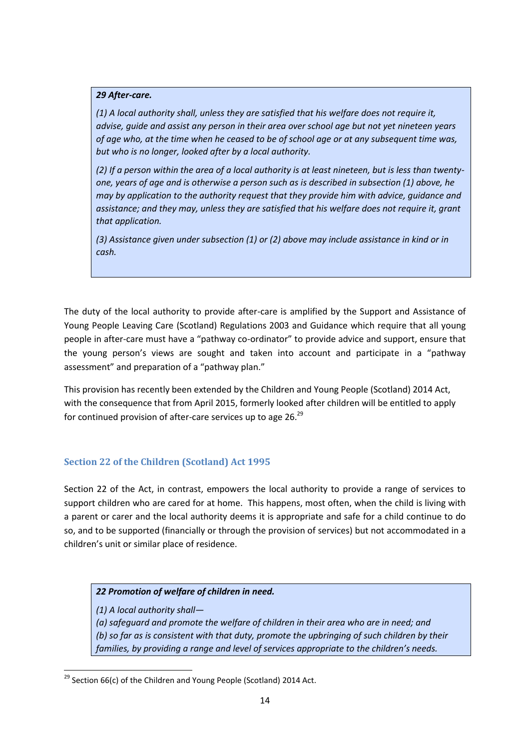#### *29 After-care.*

*(1) A local authority shall, unless they are satisfied that his welfare does not require it, advise, guide and assist any person in their area over school age but not yet nineteen years of age who, at the time when he ceased to be of school age or at any subsequent time was, but who is no longer, looked after by a local authority.*

*(2) If a person within the area of a local authority is at least nineteen, but is less than twentyone, years of age and is otherwise a person such as is described in subsection (1) above, he may by application to the authority request that they provide him with advice, guidance and assistance; and they may, unless they are satisfied that his welfare does not require it, grant that application.*

*(3) Assistance given under subsection (1) or (2) above may include assistance in kind or in cash.*

The duty of the local authority to provide after-care is amplified by the Support and Assistance of Young People Leaving Care (Scotland) Regulations 2003 and Guidance which require that all young people in after-care must have a "pathway co-ordinator" to provide advice and support, ensure that the young person's views are sought and taken into account and participate in a "pathway assessment" and preparation of a "pathway plan."

This provision has recently been extended by the Children and Young People (Scotland) 2014 Act, with the consequence that from April 2015, formerly looked after children will be entitled to apply for continued provision of after-care services up to age 26.<sup>29</sup>

#### **Section 22 of the Children (Scotland) Act 1995**

Section 22 of the Act, in contrast, empowers the local authority to provide a range of services to support children who are cared for at home. This happens, most often, when the child is living with a parent or carer and the local authority deems it is appropriate and safe for a child continue to do so, and to be supported (financially or through the provision of services) but not accommodated in a children's unit or similar place of residence.

#### *22 Promotion of welfare of children in need.*

*(1) A local authority shall—*

*(a) safeguard and promote the welfare of children in their area who are in need; and (b) so far as is consistent with that duty, promote the upbringing of such children by their families, by providing a range and level of services appropriate to the children's needs.* 

**<sup>.</sup>**  $29$  Section 66(c) of the Children and Young People (Scotland) 2014 Act.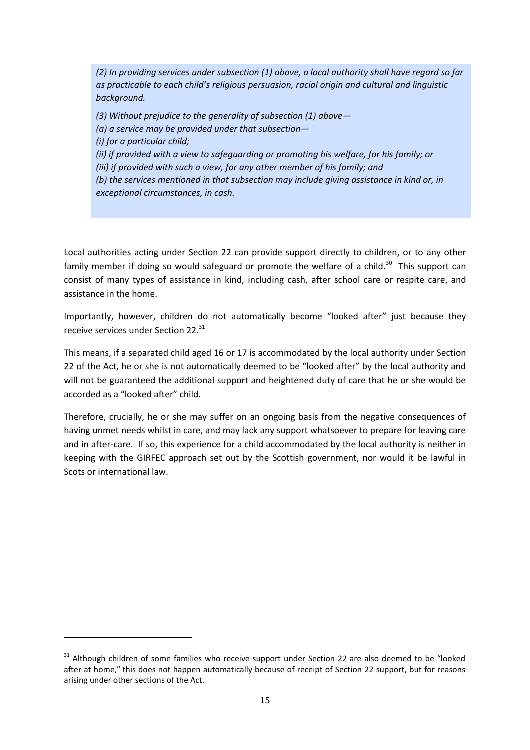*(2) In providing services under subsection (1) above, a local authority shall have regard so far as practicable to each child's religious persuasion, racial origin and cultural and linguistic background.*

*(3) Without prejudice to the generality of subsection (1) above— (a) a service may be provided under that subsection— (i) for a particular child; (ii) if provided with a view to safeguarding or promoting his welfare, for his family; or (iii) if provided with such a view, for any other member of his family; and (b) the services mentioned in that subsection may include giving assistance in kind or, in exceptional circumstances, in cash.*

Local authorities acting under Section 22 can provide support directly to children, or to any other family member if doing so would safeguard or promote the welfare of a child.<sup>30</sup> This support can consist of many types of assistance in kind, including cash, after school care or respite care, and assistance in the home.

Importantly, however, children do not automatically become "looked after" just because they receive services under Section 22.<sup>31</sup>

This means, if a separated child aged 16 or 17 is accommodated by the local authority under Section 22 of the Act, he or she is not automatically deemed to be "looked after" by the local authority and will not be guaranteed the additional support and heightened duty of care that he or she would be accorded as a "looked after" child.

Therefore, crucially, he or she may suffer on an ongoing basis from the negative consequences of having unmet needs whilst in care, and may lack any support whatsoever to prepare for leaving care and in after-care. If so, this experience for a child accommodated by the local authority is neither in keeping with the GIRFEC approach set out by the Scottish government, nor would it be lawful in Scots or international law.

**.** 

 $31$  Although children of some families who receive support under Section 22 are also deemed to be "looked after at home," this does not happen automatically because of receipt of Section 22 support, but for reasons arising under other sections of the Act.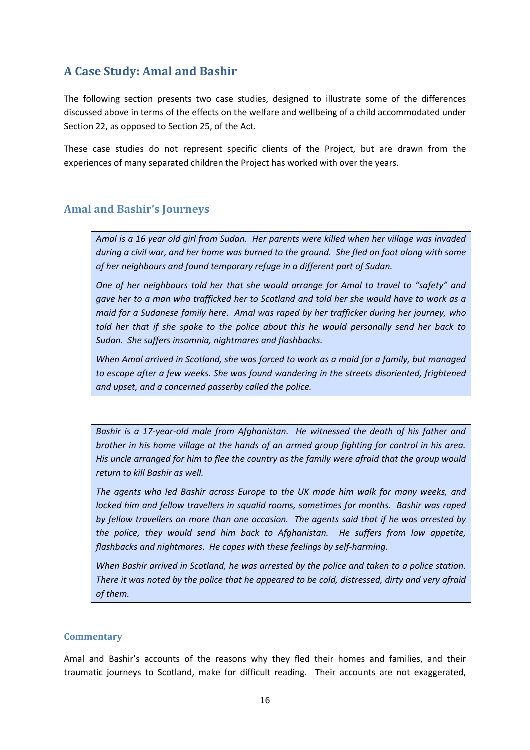# <span id="page-18-0"></span>**A Case Study: Amal and Bashir**

The following section presents two case studies, designed to illustrate some of the differences discussed above in terms of the effects on the welfare and wellbeing of a child accommodated under Section 22, as opposed to Section 25, of the Act.

These case studies do not represent specific clients of the Project, but are drawn from the experiences of many separated children the Project has worked with over the years.

#### **Amal and Bashir's Journeys**

*Amal is a 16 year old girl from Sudan. Her parents were killed when her village was invaded during a civil war, and her home was burned to the ground. She fled on foot along with some of her neighbours and found temporary refuge in a different part of Sudan.* 

*One of her neighbours told her that she would arrange for Amal to travel to "safety" and gave her to a man who trafficked her to Scotland and told her she would have to work as a maid for a Sudanese family here. Amal was raped by her trafficker during her journey, who told her that if she spoke to the police about this he would personally send her back to Sudan. She suffers insomnia, nightmares and flashbacks.* 

*When Amal arrived in Scotland, she was forced to work as a maid for a family, but managed to escape after a few weeks. She was found wandering in the streets disoriented, frightened and upset, and a concerned passerby called the police.* 

*Bashir is a 17-year-old male from Afghanistan. He witnessed the death of his father and brother in his home village at the hands of an armed group fighting for control in his area. His uncle arranged for him to flee the country as the family were afraid that the group would return to kill Bashir as well.* 

*The agents who led Bashir across Europe to the UK made him walk for many weeks, and locked him and fellow travellers in squalid rooms, sometimes for months. Bashir was raped by fellow travellers on more than one occasion. The agents said that if he was arrested by the police, they would send him back to Afghanistan. He suffers from low appetite, flashbacks and nightmares. He copes with these feelings by self-harming.*

*When Bashir arrived in Scotland, he was arrested by the police and taken to a police station. There it was noted by the police that he appeared to be cold, distressed, dirty and very afraid of them.* 

#### **Commentary**

Amal and Bashir's accounts of the reasons why they fled their homes and families, and their traumatic journeys to Scotland, make for difficult reading. Their accounts are not exaggerated,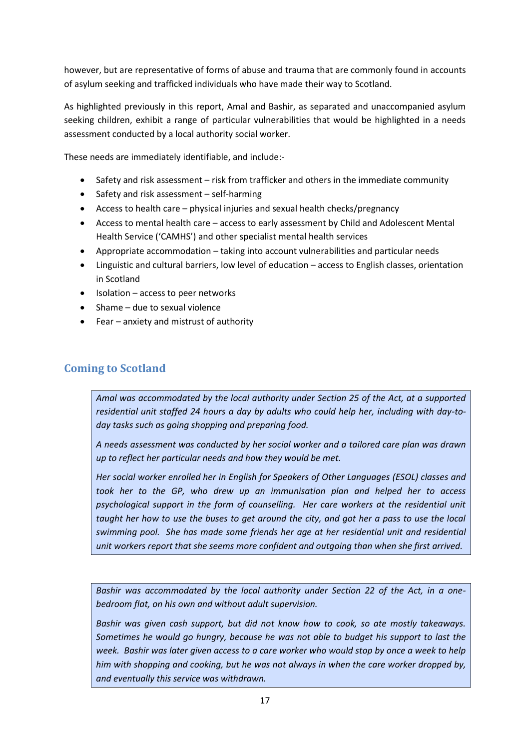however, but are representative of forms of abuse and trauma that are commonly found in accounts of asylum seeking and trafficked individuals who have made their way to Scotland.

As highlighted previously in this report, Amal and Bashir, as separated and unaccompanied asylum seeking children, exhibit a range of particular vulnerabilities that would be highlighted in a needs assessment conducted by a local authority social worker.

These needs are immediately identifiable, and include:-

- Safety and risk assessment risk from trafficker and others in the immediate community
- $\bullet$  Safety and risk assessment self-harming
- Access to health care physical injuries and sexual health checks/pregnancy
- Access to mental health care access to early assessment by Child and Adolescent Mental Health Service ('CAMHS') and other specialist mental health services
- Appropriate accommodation taking into account vulnerabilities and particular needs
- Linguistic and cultural barriers, low level of education access to English classes, orientation in Scotland
- $\bullet$  Isolation access to peer networks
- Shame due to sexual violence
- Fear anxiety and mistrust of authority

## **Coming to Scotland**

*Amal was accommodated by the local authority under Section 25 of the Act, at a supported residential unit staffed 24 hours a day by adults who could help her, including with day-today tasks such as going shopping and preparing food.* 

*A needs assessment was conducted by her social worker and a tailored care plan was drawn up to reflect her particular needs and how they would be met.* 

*Her social worker enrolled her in English for Speakers of Other Languages (ESOL) classes and took her to the GP, who drew up an immunisation plan and helped her to access psychological support in the form of counselling. Her care workers at the residential unit taught her how to use the buses to get around the city, and got her a pass to use the local swimming pool. She has made some friends her age at her residential unit and residential unit workers report that she seems more confident and outgoing than when she first arrived.*

*Bashir was accommodated by the local authority under Section 22 of the Act, in a onebedroom flat, on his own and without adult supervision.* 

*Bashir was given cash support, but did not know how to cook, so ate mostly takeaways. Sometimes he would go hungry, because he was not able to budget his support to last the week. Bashir was later given access to a care worker who would stop by once a week to help him with shopping and cooking, but he was not always in when the care worker dropped by, and eventually this service was withdrawn.*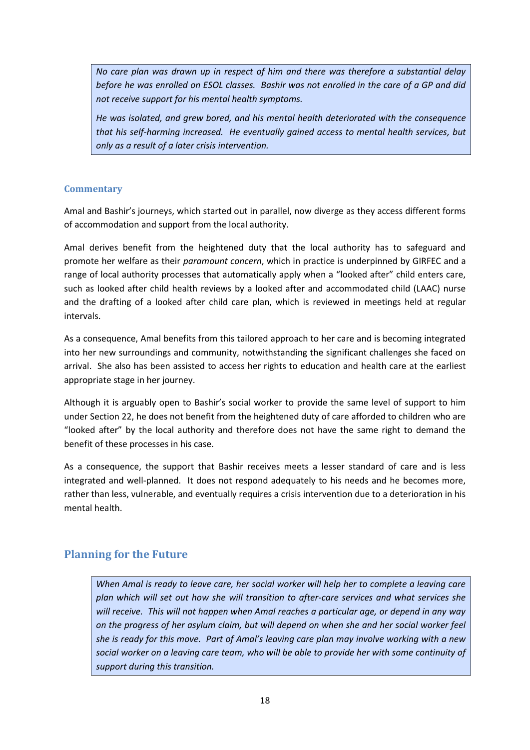*No care plan was drawn up in respect of him and there was therefore a substantial delay before he was enrolled on ESOL classes. Bashir was not enrolled in the care of a GP and did not receive support for his mental health symptoms.* 

*He was isolated, and grew bored, and his mental health deteriorated with the consequence that his self-harming increased. He eventually gained access to mental health services, but only as a result of a later crisis intervention.*

#### **Commentary**

Amal and Bashir's journeys, which started out in parallel, now diverge as they access different forms of accommodation and support from the local authority.

Amal derives benefit from the heightened duty that the local authority has to safeguard and promote her welfare as their *paramount concern*, which in practice is underpinned by GIRFEC and a range of local authority processes that automatically apply when a "looked after" child enters care, such as looked after child health reviews by a looked after and accommodated child (LAAC) nurse and the drafting of a looked after child care plan, which is reviewed in meetings held at regular intervals.

As a consequence, Amal benefits from this tailored approach to her care and is becoming integrated into her new surroundings and community, notwithstanding the significant challenges she faced on arrival. She also has been assisted to access her rights to education and health care at the earliest appropriate stage in her journey.

Although it is arguably open to Bashir's social worker to provide the same level of support to him under Section 22, he does not benefit from the heightened duty of care afforded to children who are "looked after" by the local authority and therefore does not have the same right to demand the benefit of these processes in his case.

As a consequence, the support that Bashir receives meets a lesser standard of care and is less integrated and well-planned. It does not respond adequately to his needs and he becomes more, rather than less, vulnerable, and eventually requires a crisis intervention due to a deterioration in his mental health.

## **Planning for the Future**

*When Amal is ready to leave care, her social worker will help her to complete a leaving care plan which will set out how she will transition to after-care services and what services she will receive. This will not happen when Amal reaches a particular age, or depend in any way on the progress of her asylum claim, but will depend on when she and her social worker feel she is ready for this move. Part of Amal's leaving care plan may involve working with a new social worker on a leaving care team, who will be able to provide her with some continuity of support during this transition.*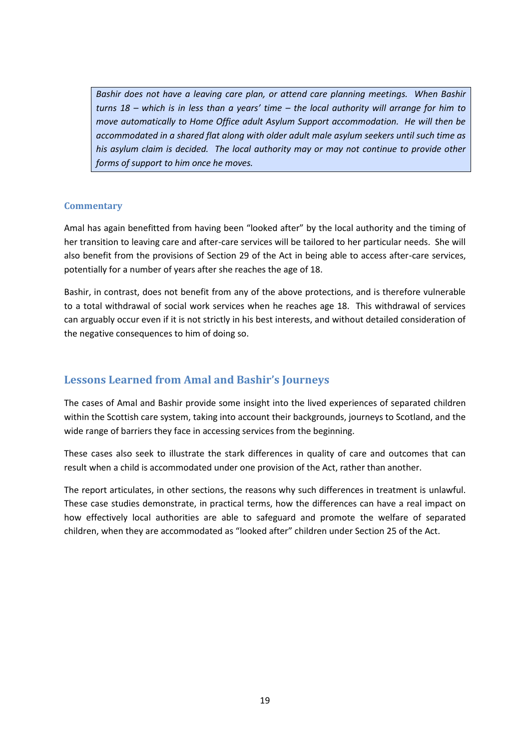*Bashir does not have a leaving care plan, or attend care planning meetings. When Bashir turns 18 – which is in less than a years' time – the local authority will arrange for him to move automatically to Home Office adult Asylum Support accommodation. He will then be accommodated in a shared flat along with older adult male asylum seekers until such time as his asylum claim is decided. The local authority may or may not continue to provide other forms of support to him once he moves.*

#### **Commentary**

Amal has again benefitted from having been "looked after" by the local authority and the timing of her transition to leaving care and after-care services will be tailored to her particular needs. She will also benefit from the provisions of Section 29 of the Act in being able to access after-care services, potentially for a number of years after she reaches the age of 18.

Bashir, in contrast, does not benefit from any of the above protections, and is therefore vulnerable to a total withdrawal of social work services when he reaches age 18. This withdrawal of services can arguably occur even if it is not strictly in his best interests, and without detailed consideration of the negative consequences to him of doing so.

### **Lessons Learned from Amal and Bashir's Journeys**

The cases of Amal and Bashir provide some insight into the lived experiences of separated children within the Scottish care system, taking into account their backgrounds, journeys to Scotland, and the wide range of barriers they face in accessing services from the beginning.

These cases also seek to illustrate the stark differences in quality of care and outcomes that can result when a child is accommodated under one provision of the Act, rather than another.

The report articulates, in other sections, the reasons why such differences in treatment is unlawful. These case studies demonstrate, in practical terms, how the differences can have a real impact on how effectively local authorities are able to safeguard and promote the welfare of separated children, when they are accommodated as "looked after" children under Section 25 of the Act.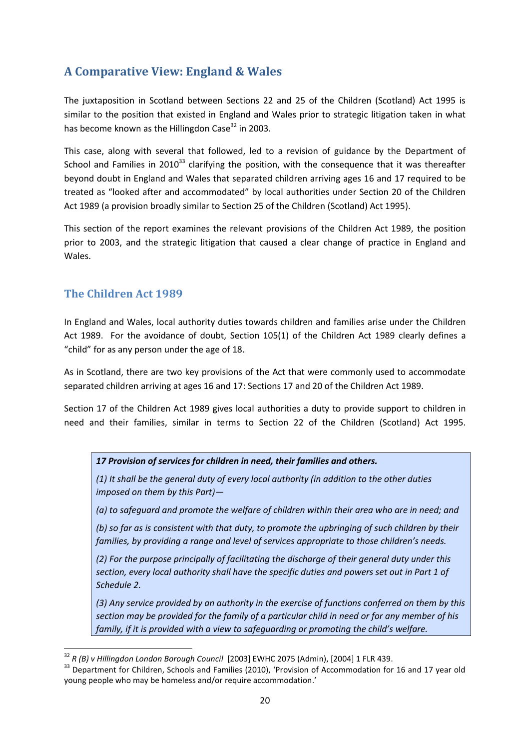# <span id="page-22-0"></span>**A Comparative View: England & Wales**

The juxtaposition in Scotland between Sections 22 and 25 of the Children (Scotland) Act 1995 is similar to the position that existed in England and Wales prior to strategic litigation taken in what has become known as the Hillingdon Case $32$  in 2003.

This case, along with several that followed, led to a revision of guidance by the Department of School and Families in 2010<sup>33</sup> clarifying the position, with the consequence that it was thereafter beyond doubt in England and Wales that separated children arriving ages 16 and 17 required to be treated as "looked after and accommodated" by local authorities under Section 20 of the Children Act 1989 (a provision broadly similar to Section 25 of the Children (Scotland) Act 1995).

This section of the report examines the relevant provisions of the Children Act 1989, the position prior to 2003, and the strategic litigation that caused a clear change of practice in England and Wales.

### <span id="page-22-1"></span>**The Children Act 1989**

**.** 

In England and Wales, local authority duties towards children and families arise under the Children Act 1989. For the avoidance of doubt, Section 105(1) of the Children Act 1989 clearly defines a "child" for as any person under the age of 18.

As in Scotland, there are two key provisions of the Act that were commonly used to accommodate separated children arriving at ages 16 and 17: Sections 17 and 20 of the Children Act 1989.

Section 17 of the Children Act 1989 gives local authorities a duty to provide support to children in need and their families, similar in terms to Section 22 of the Children (Scotland) Act 1995.

*17 Provision of services for children in need, their families and others.*

*(1) It shall be the general duty of every local authority (in addition to the other duties imposed on them by this Part)—*

*(a) to safeguard and promote the welfare of children within their area who are in need; and*

*(b) so far as is consistent with that duty, to promote the upbringing of such children by their families, by providing a range and level of services appropriate to those children's needs.*

*(2) For the purpose principally of facilitating the discharge of their general duty under this section, every local authority shall have the specific duties and powers set out in Part 1 of Schedule 2.*

*(3) Any service provided by an authority in the exercise of functions conferred on them by this section may be provided for the family of a particular child in need or for any member of his family, if it is provided with a view to safeguarding or promoting the child's welfare.*

<sup>32</sup> *R (B) v Hillingdon London Borough Council* [2003] EWHC 2075 (Admin), [2004] 1 FLR 439.

<sup>&</sup>lt;sup>33</sup> Department for Children, Schools and Families (2010), 'Provision of Accommodation for 16 and 17 year old young people who may be homeless and/or require accommodation.'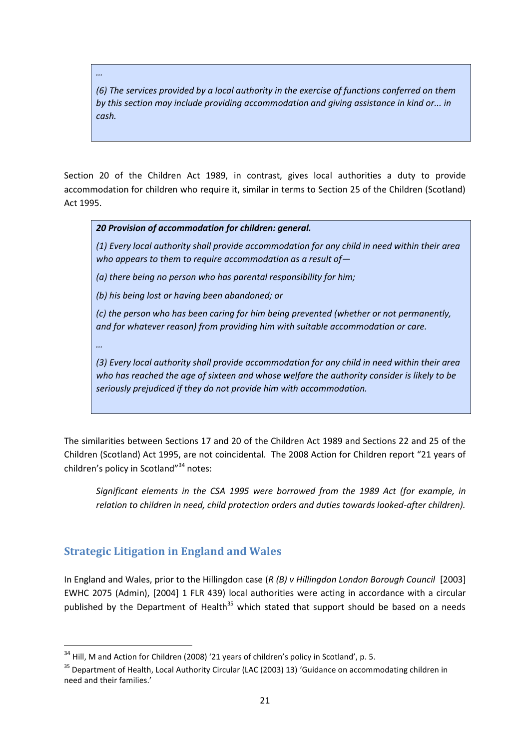*…*

*(6) The services provided by a local authority in the exercise of functions conferred on them by this section may include providing accommodation and giving assistance in kind or... in cash.*

Section 20 of the Children Act 1989, in contrast, gives local authorities a duty to provide accommodation for children who require it, similar in terms to Section 25 of the Children (Scotland) Act 1995.

*20 Provision of accommodation for children: general.*

*(1) Every local authority shall provide accommodation for any child in need within their area who appears to them to require accommodation as a result of—*

*(a) there being no person who has parental responsibility for him;*

*(b) his being lost or having been abandoned; or*

*(c) the person who has been caring for him being prevented (whether or not permanently, and for whatever reason) from providing him with suitable accommodation or care.*

*…* 

 $\overline{a}$ 

*(3) Every local authority shall provide accommodation for any child in need within their area who has reached the age of sixteen and whose welfare the authority consider is likely to be seriously prejudiced if they do not provide him with accommodation.*

The similarities between Sections 17 and 20 of the Children Act 1989 and Sections 22 and 25 of the Children (Scotland) Act 1995, are not coincidental. The 2008 Action for Children report "21 years of children's policy in Scotland"<sup>34</sup> notes:

*Significant elements in the CSA 1995 were borrowed from the 1989 Act (for example, in relation to children in need, child protection orders and duties towards looked-after children).* 

### <span id="page-23-0"></span>**Strategic Litigation in England and Wales**

In England and Wales, prior to the Hillingdon case (*R (B) v Hillingdon London Borough Council* [2003] EWHC 2075 (Admin), [2004] 1 FLR 439) local authorities were acting in accordance with a circular published by the Department of Health<sup>35</sup> which stated that support should be based on a needs

<sup>&</sup>lt;sup>34</sup> Hill, M and Action for Children (2008) '21 years of children's policy in Scotland', p. 5.

<sup>&</sup>lt;sup>35</sup> Department of Health, Local Authority Circular (LAC (2003) 13) 'Guidance on accommodating children in need and their families.'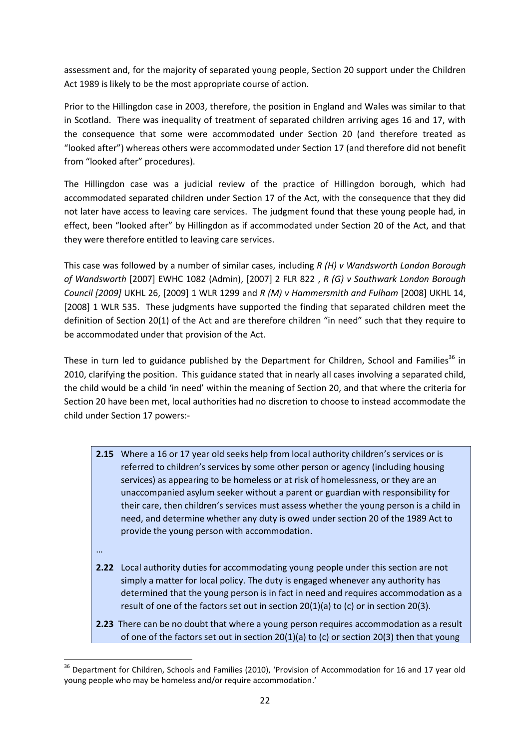assessment and, for the majority of separated young people, Section 20 support under the Children Act 1989 is likely to be the most appropriate course of action.

Prior to the Hillingdon case in 2003, therefore, the position in England and Wales was similar to that in Scotland. There was inequality of treatment of separated children arriving ages 16 and 17, with the consequence that some were accommodated under Section 20 (and therefore treated as "looked after") whereas others were accommodated under Section 17 (and therefore did not benefit from "looked after" procedures).

The Hillingdon case was a judicial review of the practice of Hillingdon borough, which had accommodated separated children under Section 17 of the Act, with the consequence that they did not later have access to leaving care services. The judgment found that these young people had, in effect, been "looked after" by Hillingdon as if accommodated under Section 20 of the Act, and that they were therefore entitled to leaving care services.

This case was followed by a number of similar cases, including *R (H) v Wandsworth London Borough of Wandsworth* [2007] EWHC 1082 (Admin), [2007] 2 FLR 822 , *R (G) v Southwark London Borough Council [2009]* UKHL 26, [2009] 1 WLR 1299 and *R (M) v Hammersmith and Fulham* [2008] UKHL 14, [2008] 1 WLR 535. These judgments have supported the finding that separated children meet the definition of Section 20(1) of the Act and are therefore children "in need" such that they require to be accommodated under that provision of the Act.

These in turn led to guidance published by the Department for Children, School and Families<sup>36</sup> in 2010, clarifying the position. This guidance stated that in nearly all cases involving a separated child, the child would be a child 'in need' within the meaning of Section 20, and that where the criteria for Section 20 have been met, local authorities had no discretion to choose to instead accommodate the child under Section 17 powers:-

- **2.15** Where a 16 or 17 year old seeks help from local authority children's services or is referred to children's services by some other person or agency (including housing services) as appearing to be homeless or at risk of homelessness, or they are an unaccompanied asylum seeker without a parent or guardian with responsibility for their care, then children's services must assess whether the young person is a child in need, and determine whether any duty is owed under section 20 of the 1989 Act to provide the young person with accommodation.
- …

**.** 

- **2.22** Local authority duties for accommodating young people under this section are not simply a matter for local policy. The duty is engaged whenever any authority has determined that the young person is in fact in need and requires accommodation as a result of one of the factors set out in section 20(1)(a) to (c) or in section 20(3).
- **2.23** There can be no doubt that where a young person requires accommodation as a result of one of the factors set out in section 20(1)(a) to (c) or section 20(3) then that young

<sup>&</sup>lt;sup>36</sup> Department for Children, Schools and Families (2010), 'Provision of Accommodation for 16 and 17 year old young people who may be homeless and/or require accommodation.'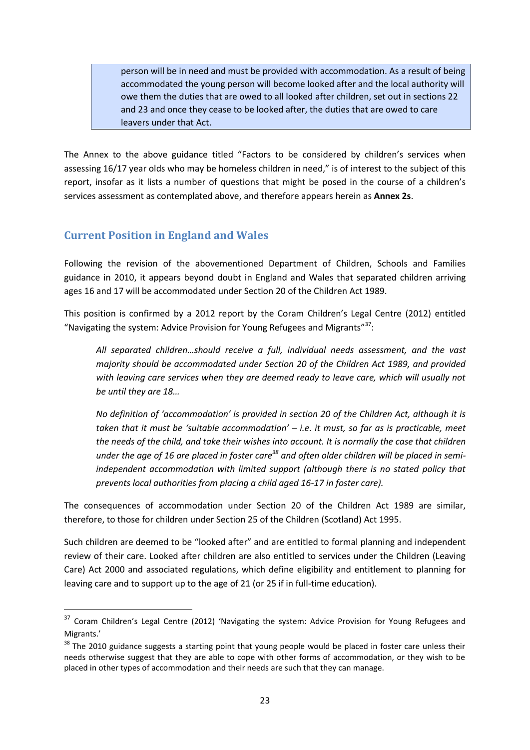person will be in need and must be provided with accommodation. As a result of being accommodated the young person will become looked after and the local authority will owe them the duties that are owed to all looked after children, set out in sections 22 and 23 and once they cease to be looked after, the duties that are owed to care leavers under that Act.

The Annex to the above guidance titled "Factors to be considered by children's services when assessing 16/17 year olds who may be homeless children in need," is of interest to the subject of this report, insofar as it lists a number of questions that might be posed in the course of a children's services assessment as contemplated above, and therefore appears herein as **Annex 2s**.

### <span id="page-25-0"></span>**Current Position in England and Wales**

1

Following the revision of the abovementioned Department of Children, Schools and Families guidance in 2010, it appears beyond doubt in England and Wales that separated children arriving ages 16 and 17 will be accommodated under Section 20 of the Children Act 1989.

This position is confirmed by a 2012 report by the Coram Children's Legal Centre (2012) entitled "Navigating the system: Advice Provision for Young Refugees and Migrants" $^{37}$ :

*All separated children…should receive a full, individual needs assessment, and the vast majority should be accommodated under Section 20 of the Children Act 1989, and provided with leaving care services when they are deemed ready to leave care, which will usually not be until they are 18…*

*No definition of 'accommodation' is provided in section 20 of the Children Act, although it is taken that it must be 'suitable accommodation' – i.e. it must, so far as is practicable, meet the needs of the child, and take their wishes into account. It is normally the case that children under the age of 16 are placed in foster care<sup>38</sup> and often older children will be placed in semiindependent accommodation with limited support (although there is no stated policy that prevents local authorities from placing a child aged 16-17 in foster care).*

The consequences of accommodation under Section 20 of the Children Act 1989 are similar, therefore, to those for children under Section 25 of the Children (Scotland) Act 1995.

Such children are deemed to be "looked after" and are entitled to formal planning and independent review of their care. Looked after children are also entitled to services under the Children (Leaving Care) Act 2000 and associated regulations, which define eligibility and entitlement to planning for leaving care and to support up to the age of 21 (or 25 if in full-time education).

<sup>&</sup>lt;sup>37</sup> Coram Children's Legal Centre (2012) 'Navigating the system: Advice Provision for Young Refugees and Migrants.'

<sup>&</sup>lt;sup>38</sup> The 2010 guidance suggests a starting point that young people would be placed in foster care unless their needs otherwise suggest that they are able to cope with other forms of accommodation, or they wish to be placed in other types of accommodation and their needs are such that they can manage.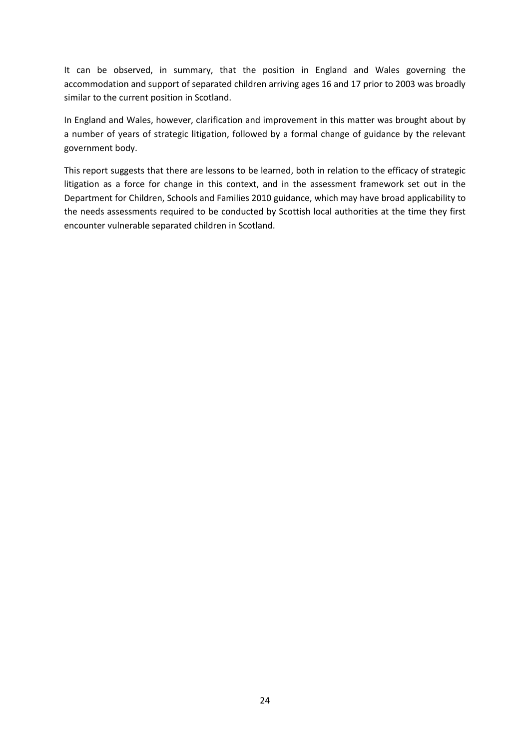It can be observed, in summary, that the position in England and Wales governing the accommodation and support of separated children arriving ages 16 and 17 prior to 2003 was broadly similar to the current position in Scotland.

In England and Wales, however, clarification and improvement in this matter was brought about by a number of years of strategic litigation, followed by a formal change of guidance by the relevant government body.

This report suggests that there are lessons to be learned, both in relation to the efficacy of strategic litigation as a force for change in this context, and in the assessment framework set out in the Department for Children, Schools and Families 2010 guidance, which may have broad applicability to the needs assessments required to be conducted by Scottish local authorities at the time they first encounter vulnerable separated children in Scotland.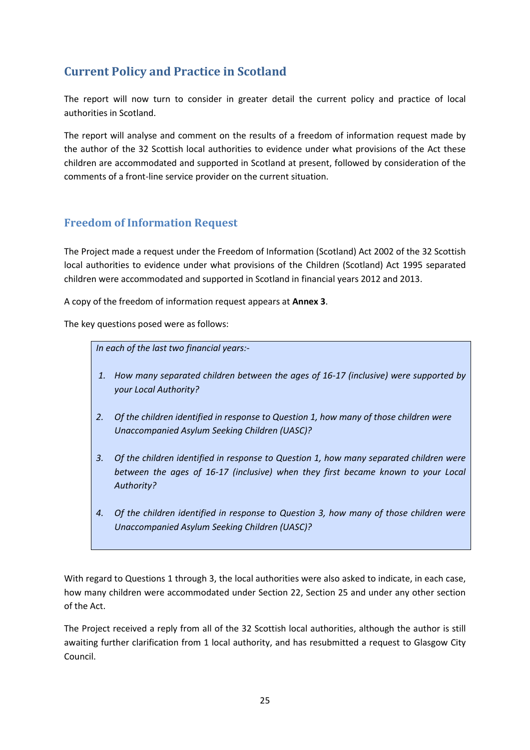# <span id="page-27-0"></span>**Current Policy and Practice in Scotland**

The report will now turn to consider in greater detail the current policy and practice of local authorities in Scotland.

The report will analyse and comment on the results of a freedom of information request made by the author of the 32 Scottish local authorities to evidence under what provisions of the Act these children are accommodated and supported in Scotland at present, followed by consideration of the comments of a front-line service provider on the current situation.

## <span id="page-27-1"></span>**Freedom of Information Request**

The Project made a request under the Freedom of Information (Scotland) Act 2002 of the 32 Scottish local authorities to evidence under what provisions of the Children (Scotland) Act 1995 separated children were accommodated and supported in Scotland in financial years 2012 and 2013.

A copy of the freedom of information request appears at **Annex 3**.

The key questions posed were as follows:

*In each of the last two financial years:-*

- *1. How many separated children between the ages of 16-17 (inclusive) were supported by your Local Authority?*
- *2. Of the children identified in response to Question 1, how many of those children were Unaccompanied Asylum Seeking Children (UASC)?*
- *3. Of the children identified in response to Question 1, how many separated children were between the ages of 16-17 (inclusive) when they first became known to your Local Authority?*
- *4. Of the children identified in response to Question 3, how many of those children were Unaccompanied Asylum Seeking Children (UASC)?*

With regard to Questions 1 through 3, the local authorities were also asked to indicate, in each case, how many children were accommodated under Section 22, Section 25 and under any other section of the Act.

The Project received a reply from all of the 32 Scottish local authorities, although the author is still awaiting further clarification from 1 local authority, and has resubmitted a request to Glasgow City Council.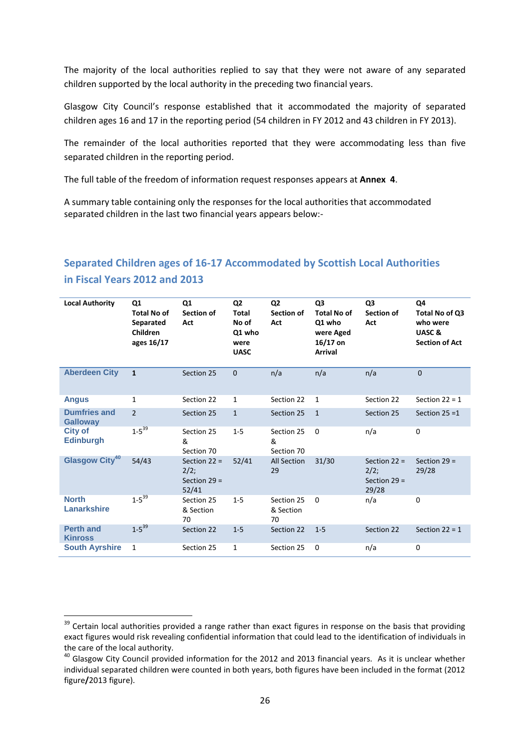The majority of the local authorities replied to say that they were not aware of any separated children supported by the local authority in the preceding two financial years.

Glasgow City Council's response established that it accommodated the majority of separated children ages 16 and 17 in the reporting period (54 children in FY 2012 and 43 children in FY 2013).

The remainder of the local authorities reported that they were accommodating less than five separated children in the reporting period.

The full table of the freedom of information request responses appears at **Annex 4**.

A summary table containing only the responses for the local authorities that accommodated separated children in the last two financial years appears below:-

# **Separated Children ages of 16-17 Accommodated by Scottish Local Authorities in Fiscal Years 2012 and 2013**

| <b>Local Authority</b>                 | Q1<br><b>Total No of</b><br>Separated<br>Children<br>ages 16/17 | Q1<br>Section of<br>Act                           | Q <sub>2</sub><br><b>Total</b><br>No of<br>Q1 who<br>were<br><b>UASC</b> | Q <sub>2</sub><br><b>Section of</b><br>Act | Q <sub>3</sub><br><b>Total No of</b><br>Q1 who<br>were Aged<br>$16/17$ on<br><b>Arrival</b> | Q <sub>3</sub><br><b>Section of</b><br>Act        | Q4<br>Total No of Q3<br>who were<br>UASC&<br><b>Section of Act</b> |
|----------------------------------------|-----------------------------------------------------------------|---------------------------------------------------|--------------------------------------------------------------------------|--------------------------------------------|---------------------------------------------------------------------------------------------|---------------------------------------------------|--------------------------------------------------------------------|
| <b>Aberdeen City</b>                   | $\mathbf{1}$                                                    | Section 25                                        | $\Omega$                                                                 | n/a                                        | n/a                                                                                         | n/a                                               | $\mathbf 0$                                                        |
| <b>Angus</b>                           | $\mathbf{1}$                                                    | Section 22                                        | $\mathbf{1}$                                                             | Section 22                                 | $\mathbf{1}$                                                                                | Section 22                                        | Section $22 = 1$                                                   |
| <b>Dumfries and</b><br><b>Galloway</b> | $\overline{2}$                                                  | Section 25                                        | $\mathbf{1}$                                                             | Section 25                                 | $\mathbf{1}$                                                                                | Section 25                                        | Section $25 = 1$                                                   |
| <b>City of</b><br><b>Edinburgh</b>     | $1 - 5^{39}$                                                    | Section 25<br>&<br>Section 70                     | $1 - 5$                                                                  | Section 25<br>&<br>Section 70              | $\Omega$                                                                                    | n/a                                               | $\mathbf 0$                                                        |
| Glasgow City <sup>40</sup>             | 54/43                                                           | Section $22 =$<br>2/2;<br>Section $29 =$<br>52/41 | 52/41                                                                    | <b>All Section</b><br>29                   | 31/30                                                                                       | Section $22 =$<br>2/2;<br>Section $29 =$<br>29/28 | Section $29 =$<br>29/28                                            |
| <b>North</b><br>Lanarkshire            | $1 - 5^{39}$                                                    | Section 25<br>& Section<br>70                     | $1 - 5$                                                                  | Section 25<br>& Section<br>70              | $\Omega$                                                                                    | n/a                                               | $\Omega$                                                           |
| <b>Perth and</b><br><b>Kinross</b>     | $1 - 5^{39}$                                                    | Section 22                                        | $1 - 5$                                                                  | Section 22                                 | $1 - 5$                                                                                     | Section 22                                        | Section $22 = 1$                                                   |
| <b>South Ayrshire</b>                  | 1                                                               | Section 25                                        | 1                                                                        | Section 25                                 | 0                                                                                           | n/a                                               | $\mathbf 0$                                                        |

**.** 

 $39$  Certain local authorities provided a range rather than exact figures in response on the basis that providing exact figures would risk revealing confidential information that could lead to the identification of individuals in the care of the local authority.

<sup>&</sup>lt;sup>40</sup> Glasgow City Council provided information for the 2012 and 2013 financial years. As it is unclear whether individual separated children were counted in both years, both figures have been included in the format (2012 figure**/**2013 figure).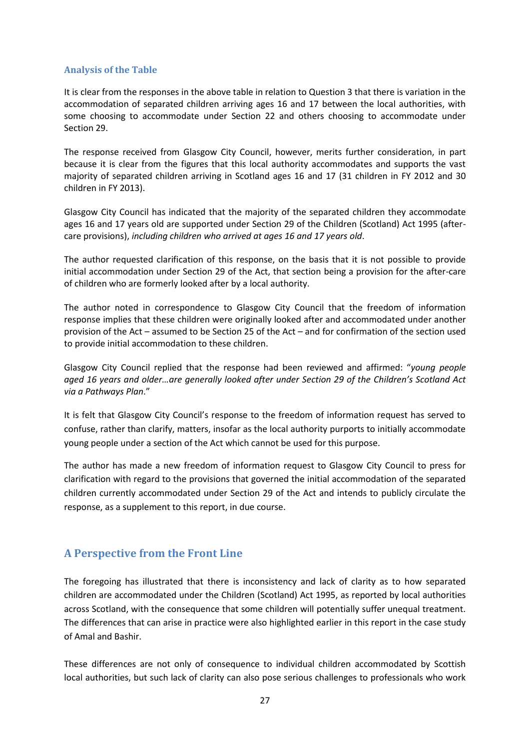#### **Analysis of the Table**

It is clear from the responses in the above table in relation to Question 3 that there is variation in the accommodation of separated children arriving ages 16 and 17 between the local authorities, with some choosing to accommodate under Section 22 and others choosing to accommodate under Section 29.

The response received from Glasgow City Council, however, merits further consideration, in part because it is clear from the figures that this local authority accommodates and supports the vast majority of separated children arriving in Scotland ages 16 and 17 (31 children in FY 2012 and 30 children in FY 2013).

Glasgow City Council has indicated that the majority of the separated children they accommodate ages 16 and 17 years old are supported under Section 29 of the Children (Scotland) Act 1995 (aftercare provisions), *including children who arrived at ages 16 and 17 years old*.

The author requested clarification of this response, on the basis that it is not possible to provide initial accommodation under Section 29 of the Act, that section being a provision for the after-care of children who are formerly looked after by a local authority.

The author noted in correspondence to Glasgow City Council that the freedom of information response implies that these children were originally looked after and accommodated under another provision of the Act – assumed to be Section 25 of the Act – and for confirmation of the section used to provide initial accommodation to these children.

Glasgow City Council replied that the response had been reviewed and affirmed: "*young people aged 16 years and older…are generally looked after under Section 29 of the Children's Scotland Act via a Pathways Plan*."

It is felt that Glasgow City Council's response to the freedom of information request has served to confuse, rather than clarify, matters, insofar as the local authority purports to initially accommodate young people under a section of the Act which cannot be used for this purpose.

The author has made a new freedom of information request to Glasgow City Council to press for clarification with regard to the provisions that governed the initial accommodation of the separated children currently accommodated under Section 29 of the Act and intends to publicly circulate the response, as a supplement to this report, in due course.

### <span id="page-29-0"></span>**A Perspective from the Front Line**

The foregoing has illustrated that there is inconsistency and lack of clarity as to how separated children are accommodated under the Children (Scotland) Act 1995, as reported by local authorities across Scotland, with the consequence that some children will potentially suffer unequal treatment. The differences that can arise in practice were also highlighted earlier in this report in the case study of Amal and Bashir.

These differences are not only of consequence to individual children accommodated by Scottish local authorities, but such lack of clarity can also pose serious challenges to professionals who work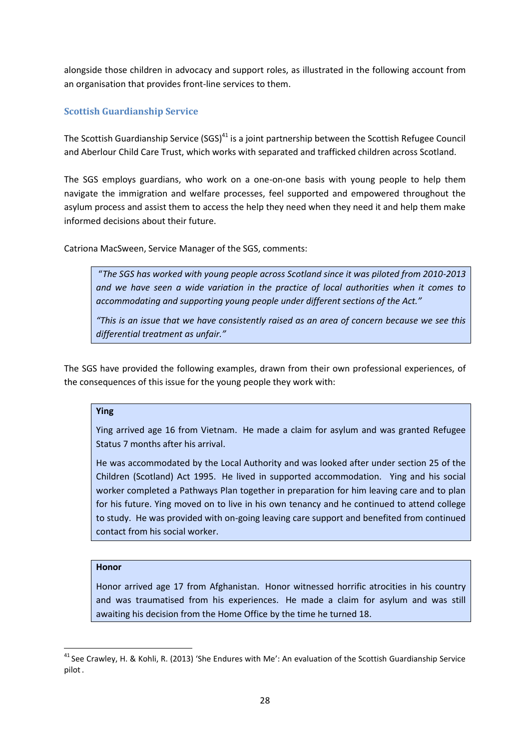alongside those children in advocacy and support roles, as illustrated in the following account from an organisation that provides front-line services to them.

#### **Scottish Guardianship Service**

The Scottish Guardianship Service (SGS) $^{41}$  is a joint partnership between the Scottish Refugee Council and Aberlour Child Care Trust, which works with separated and trafficked children across Scotland.

The SGS employs guardians, who work on a one-on-one basis with young people to help them navigate the immigration and welfare processes, feel supported and empowered throughout the asylum process and assist them to access the help they need when they need it and help them make informed decisions about their future.

Catriona MacSween, Service Manager of the SGS, comments:

"*The SGS has worked with young people across Scotland since it was piloted from 2010-2013 and we have seen a wide variation in the practice of local authorities when it comes to accommodating and supporting young people under different sections of the Act."*

*"This is an issue that we have consistently raised as an area of concern because we see this differential treatment as unfair."*

The SGS have provided the following examples, drawn from their own professional experiences, of the consequences of this issue for the young people they work with:

#### **Ying**

Ying arrived age 16 from Vietnam. He made a claim for asylum and was granted Refugee Status 7 months after his arrival.

He was accommodated by the Local Authority and was looked after under section 25 of the Children (Scotland) Act 1995. He lived in supported accommodation. Ying and his social worker completed a Pathways Plan together in preparation for him leaving care and to plan for his future. Ying moved on to live in his own tenancy and he continued to attend college to study. He was provided with on-going leaving care support and benefited from continued contact from his social worker.

#### **Honor**

**.** 

Honor arrived age 17 from Afghanistan. Honor witnessed horrific atrocities in his country and was traumatised from his experiences. He made a claim for asylum and was still awaiting his decision from the Home Office by the time he turned 18.

<sup>&</sup>lt;sup>41</sup> See Crawley, H. & Kohli, R. (2013) 'She Endures with Me': An evaluation of the Scottish Guardianship Service pilot.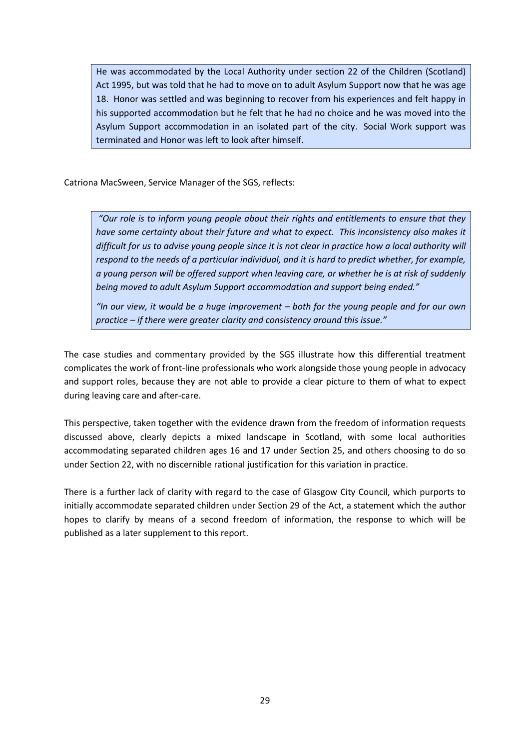He was accommodated by the Local Authority under section 22 of the Children (Scotland) Act 1995, but was told that he had to move on to adult Asylum Support now that he was age 18. Honor was settled and was beginning to recover from his experiences and felt happy in his supported accommodation but he felt that he had no choice and he was moved into the Asylum Support accommodation in an isolated part of the city. Social Work support was terminated and Honor was left to look after himself.

Catriona MacSween, Service Manager of the SGS, reflects:

*"Our role is to inform young people about their rights and entitlements to ensure that they have some certainty about their future and what to expect. This inconsistency also makes it difficult for us to advise young people since it is not clear in practice how a local authority will respond to the needs of a particular individual, and it is hard to predict whether, for example, a young person will be offered support when leaving care, or whether he is at risk of suddenly being moved to adult Asylum Support accommodation and support being ended."*

*"In our view, it would be a huge improvement – both for the young people and for our own practice – if there were greater clarity and consistency around this issue."*

The case studies and commentary provided by the SGS illustrate how this differential treatment complicates the work of front-line professionals who work alongside those young people in advocacy and support roles, because they are not able to provide a clear picture to them of what to expect during leaving care and after-care.

This perspective, taken together with the evidence drawn from the freedom of information requests discussed above, clearly depicts a mixed landscape in Scotland, with some local authorities accommodating separated children ages 16 and 17 under Section 25, and others choosing to do so under Section 22, with no discernible rational justification for this variation in practice.

There is a further lack of clarity with regard to the case of Glasgow City Council, which purports to initially accommodate separated children under Section 29 of the Act, a statement which the author hopes to clarify by means of a second freedom of information, the response to which will be published as a later supplement to this report.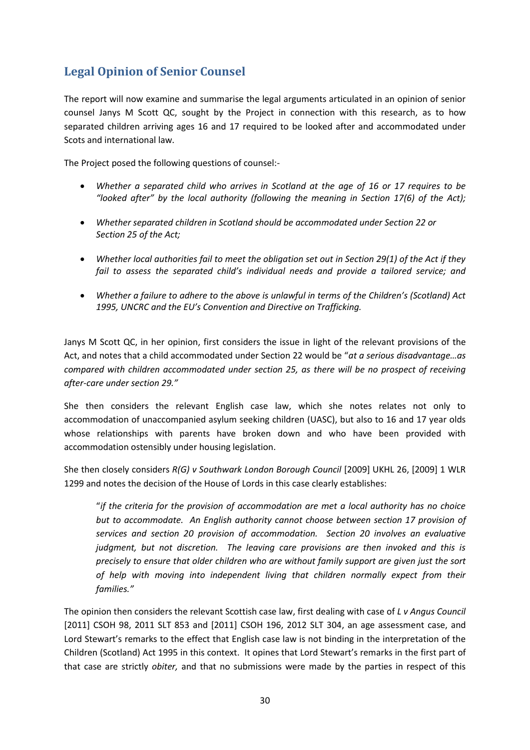# <span id="page-32-0"></span>**Legal Opinion of Senior Counsel**

The report will now examine and summarise the legal arguments articulated in an opinion of senior counsel Janys M Scott QC, sought by the Project in connection with this research, as to how separated children arriving ages 16 and 17 required to be looked after and accommodated under Scots and international law.

The Project posed the following questions of counsel:-

- *Whether a separated child who arrives in Scotland at the age of 16 or 17 requires to be "looked after" by the local authority (following the meaning in Section 17(6) of the Act);*
- *Whether separated children in Scotland should be accommodated under Section 22 or Section 25 of the Act;*
- *Whether local authorities fail to meet the obligation set out in Section 29(1) of the Act if they* fail to assess the separated child's individual needs and provide a tailored service; and
- *Whether a failure to adhere to the above is unlawful in terms of the Children's (Scotland) Act 1995, UNCRC and the EU's Convention and Directive on Trafficking.*

Janys M Scott QC, in her opinion, first considers the issue in light of the relevant provisions of the Act, and notes that a child accommodated under Section 22 would be "*at a serious disadvantage…as compared with children accommodated under section 25, as there will be no prospect of receiving after-care under section 29."*

She then considers the relevant English case law, which she notes relates not only to accommodation of unaccompanied asylum seeking children (UASC), but also to 16 and 17 year olds whose relationships with parents have broken down and who have been provided with accommodation ostensibly under housing legislation.

She then closely considers *R(G) v Southwark London Borough Council* [2009] UKHL 26, [2009] 1 WLR 1299 and notes the decision of the House of Lords in this case clearly establishes:

"*if the criteria for the provision of accommodation are met a local authority has no choice but to accommodate. An English authority cannot choose between section 17 provision of services and section 20 provision of accommodation. Section 20 involves an evaluative judgment, but not discretion. The leaving care provisions are then invoked and this is precisely to ensure that older children who are without family support are given just the sort of help with moving into independent living that children normally expect from their families."*

The opinion then considers the relevant Scottish case law, first dealing with case of *L v Angus Council* [2011] CSOH 98, 2011 SLT 853 and [2011] CSOH 196, 2012 SLT 304, an age assessment case, and Lord Stewart's remarks to the effect that English case law is not binding in the interpretation of the Children (Scotland) Act 1995 in this context. It opines that Lord Stewart's remarks in the first part of that case are strictly *obiter,* and that no submissions were made by the parties in respect of this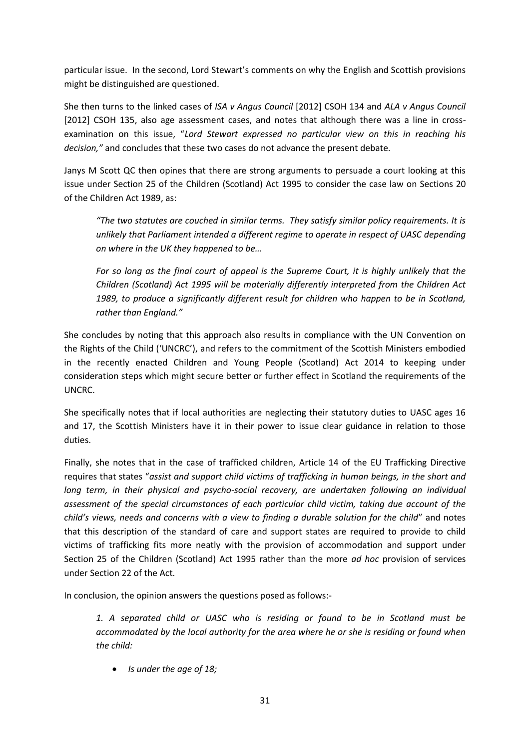particular issue. In the second, Lord Stewart's comments on why the English and Scottish provisions might be distinguished are questioned.

She then turns to the linked cases of *ISA v Angus Council* [2012] CSOH 134 and *ALA v Angus Council* [2012] CSOH 135, also age assessment cases, and notes that although there was a line in crossexamination on this issue, "*Lord Stewart expressed no particular view on this in reaching his decision,"* and concludes that these two cases do not advance the present debate.

Janys M Scott QC then opines that there are strong arguments to persuade a court looking at this issue under Section 25 of the Children (Scotland) Act 1995 to consider the case law on Sections 20 of the Children Act 1989, as:

*"The two statutes are couched in similar terms. They satisfy similar policy requirements. It is unlikely that Parliament intended a different regime to operate in respect of UASC depending on where in the UK they happened to be…*

*For so long as the final court of appeal is the Supreme Court, it is highly unlikely that the Children (Scotland) Act 1995 will be materially differently interpreted from the Children Act 1989, to produce a significantly different result for children who happen to be in Scotland, rather than England."*

She concludes by noting that this approach also results in compliance with the UN Convention on the Rights of the Child ('UNCRC'), and refers to the commitment of the Scottish Ministers embodied in the recently enacted Children and Young People (Scotland) Act 2014 to keeping under consideration steps which might secure better or further effect in Scotland the requirements of the UNCRC.

She specifically notes that if local authorities are neglecting their statutory duties to UASC ages 16 and 17, the Scottish Ministers have it in their power to issue clear guidance in relation to those duties.

Finally, she notes that in the case of trafficked children, Article 14 of the EU Trafficking Directive requires that states "*assist and support child victims of trafficking in human beings, in the short and*  long term, in their physical and psycho-social recovery, are undertaken following an individual *assessment of the special circumstances of each particular child victim, taking due account of the child's views, needs and concerns with a view to finding a durable solution for the child*" and notes that this description of the standard of care and support states are required to provide to child victims of trafficking fits more neatly with the provision of accommodation and support under Section 25 of the Children (Scotland) Act 1995 rather than the more *ad hoc* provision of services under Section 22 of the Act.

In conclusion, the opinion answers the questions posed as follows:-

*1. A separated child or UASC who is residing or found to be in Scotland must be accommodated by the local authority for the area where he or she is residing or found when the child:*

*Is under the age of 18;*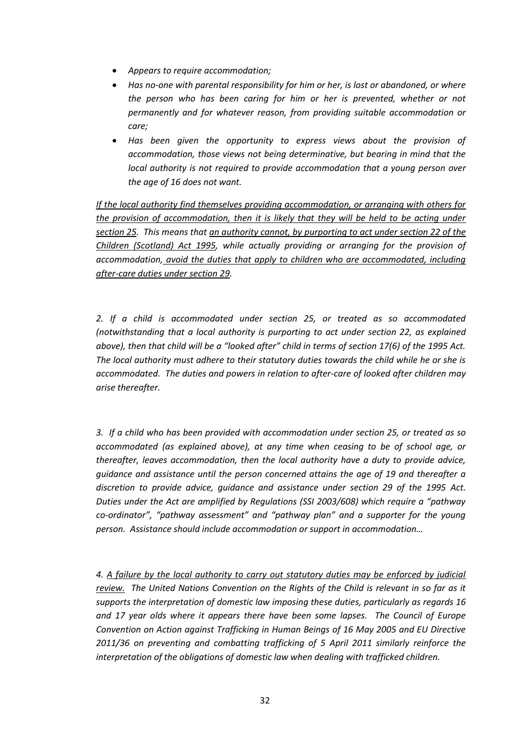- *Appears to require accommodation;*
- *Has no-one with parental responsibility for him or her, is lost or abandoned, or where the person who has been caring for him or her is prevented, whether or not permanently and for whatever reason, from providing suitable accommodation or care;*
- *Has been given the opportunity to express views about the provision of accommodation, those views not being determinative, but bearing in mind that the local authority is not required to provide accommodation that a young person over the age of 16 does not want.*

*If the local authority find themselves providing accommodation, or arranging with others for the provision of accommodation, then it is likely that they will be held to be acting under section 25. This means that an authority cannot, by purporting to act under section 22 of the Children (Scotland) Act 1995, while actually providing or arranging for the provision of accommodation, avoid the duties that apply to children who are accommodated, including after-care duties under section 29.* 

*2. If a child is accommodated under section 25, or treated as so accommodated (notwithstanding that a local authority is purporting to act under section 22, as explained above), then that child will be a "looked after" child in terms of section 17(6) of the 1995 Act. The local authority must adhere to their statutory duties towards the child while he or she is accommodated. The duties and powers in relation to after-care of looked after children may arise thereafter.*

*3. If a child who has been provided with accommodation under section 25, or treated as so accommodated (as explained above), at any time when ceasing to be of school age, or thereafter, leaves accommodation, then the local authority have a duty to provide advice, guidance and assistance until the person concerned attains the age of 19 and thereafter a discretion to provide advice, guidance and assistance under section 29 of the 1995 Act. Duties under the Act are amplified by Regulations (SSI 2003/608) which require a "pathway co-ordinator", "pathway assessment" and "pathway plan" and a supporter for the young person. Assistance should include accommodation or support in accommodation…*

*4. A failure by the local authority to carry out statutory duties may be enforced by judicial review. The United Nations Convention on the Rights of the Child is relevant in so far as it supports the interpretation of domestic law imposing these duties, particularly as regards 16 and 17 year olds where it appears there have been some lapses. The Council of Europe Convention on Action against Trafficking in Human Beings of 16 May 2005 and EU Directive 2011/36 on preventing and combatting trafficking of 5 April 2011 similarly reinforce the interpretation of the obligations of domestic law when dealing with trafficked children.*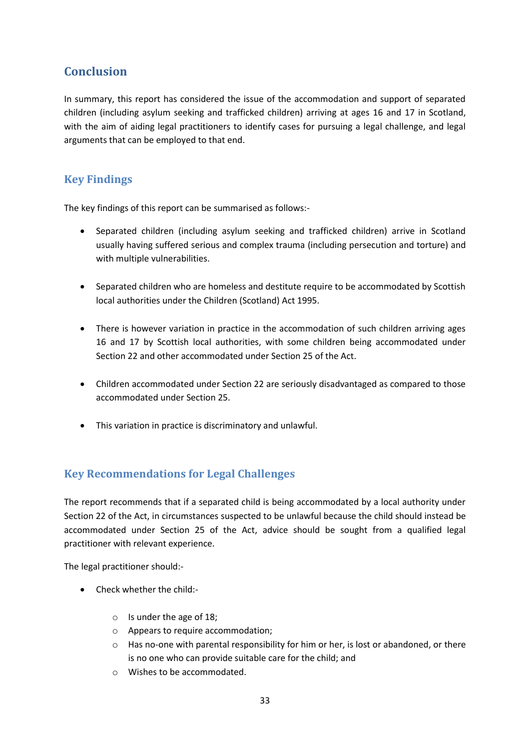# <span id="page-35-0"></span>**Conclusion**

In summary, this report has considered the issue of the accommodation and support of separated children (including asylum seeking and trafficked children) arriving at ages 16 and 17 in Scotland, with the aim of aiding legal practitioners to identify cases for pursuing a legal challenge, and legal arguments that can be employed to that end.

## <span id="page-35-1"></span>**Key Findings**

The key findings of this report can be summarised as follows:-

- Separated children (including asylum seeking and trafficked children) arrive in Scotland usually having suffered serious and complex trauma (including persecution and torture) and with multiple vulnerabilities.
- Separated children who are homeless and destitute require to be accommodated by Scottish local authorities under the Children (Scotland) Act 1995.
- There is however variation in practice in the accommodation of such children arriving ages 16 and 17 by Scottish local authorities, with some children being accommodated under Section 22 and other accommodated under Section 25 of the Act.
- Children accommodated under Section 22 are seriously disadvantaged as compared to those accommodated under Section 25.
- This variation in practice is discriminatory and unlawful.

## <span id="page-35-2"></span>**Key Recommendations for Legal Challenges**

The report recommends that if a separated child is being accommodated by a local authority under Section 22 of the Act, in circumstances suspected to be unlawful because the child should instead be accommodated under Section 25 of the Act, advice should be sought from a qualified legal practitioner with relevant experience.

The legal practitioner should:-

- Check whether the child:
	- o Is under the age of 18;
	- o Appears to require accommodation;
	- o Has no-one with parental responsibility for him or her, is lost or abandoned, or there is no one who can provide suitable care for the child; and
	- o Wishes to be accommodated.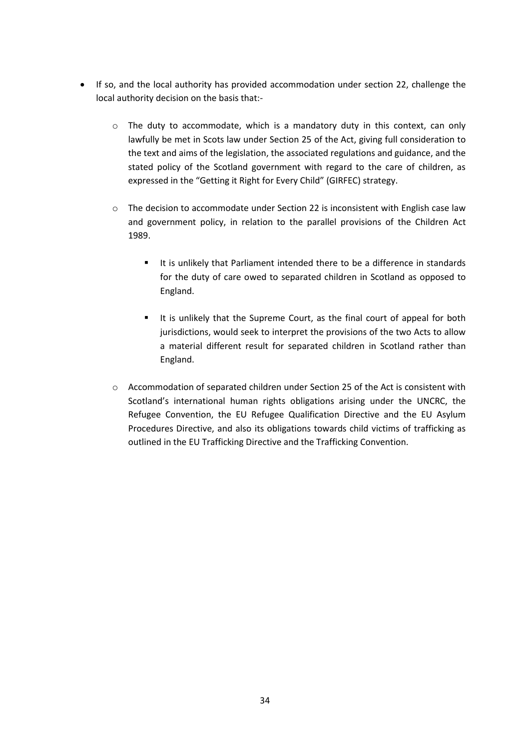- If so, and the local authority has provided accommodation under section 22, challenge the local authority decision on the basis that:
	- o The duty to accommodate, which is a mandatory duty in this context, can only lawfully be met in Scots law under Section 25 of the Act, giving full consideration to the text and aims of the legislation, the associated regulations and guidance, and the stated policy of the Scotland government with regard to the care of children, as expressed in the "Getting it Right for Every Child" (GIRFEC) strategy.
	- o The decision to accommodate under Section 22 is inconsistent with English case law and government policy, in relation to the parallel provisions of the Children Act 1989.
		- It is unlikely that Parliament intended there to be a difference in standards for the duty of care owed to separated children in Scotland as opposed to England.
		- It is unlikely that the Supreme Court, as the final court of appeal for both jurisdictions, would seek to interpret the provisions of the two Acts to allow a material different result for separated children in Scotland rather than England.
	- o Accommodation of separated children under Section 25 of the Act is consistent with Scotland's international human rights obligations arising under the UNCRC, the Refugee Convention, the EU Refugee Qualification Directive and the EU Asylum Procedures Directive, and also its obligations towards child victims of trafficking as outlined in the EU Trafficking Directive and the Trafficking Convention.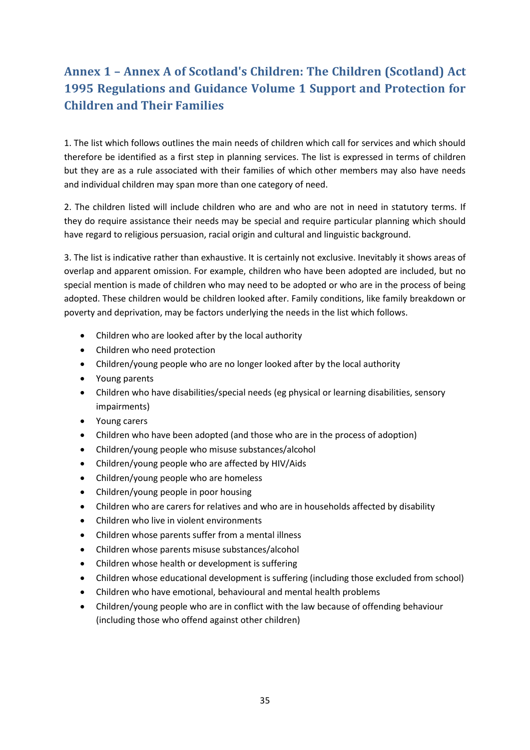# **Annex 1 – Annex A of Scotland's Children: The Children (Scotland) Act 1995 Regulations and Guidance Volume 1 Support and Protection for Children and Their Families**

1. The list which follows outlines the main needs of children which call for services and which should therefore be identified as a first step in planning services. The list is expressed in terms of children but they are as a rule associated with their families of which other members may also have needs and individual children may span more than one category of need.

2. The children listed will include children who are and who are not in need in statutory terms. If they do require assistance their needs may be special and require particular planning which should have regard to religious persuasion, racial origin and cultural and linguistic background.

3. The list is indicative rather than exhaustive. It is certainly not exclusive. Inevitably it shows areas of overlap and apparent omission. For example, children who have been adopted are included, but no special mention is made of children who may need to be adopted or who are in the process of being adopted. These children would be children looked after. Family conditions, like family breakdown or poverty and deprivation, may be factors underlying the needs in the list which follows.

- Children who are looked after by the local authority
- Children who need protection
- Children/young people who are no longer looked after by the local authority
- Young parents
- Children who have disabilities/special needs (eg physical or learning disabilities, sensory impairments)
- Young carers
- Children who have been adopted (and those who are in the process of adoption)
- Children/young people who misuse substances/alcohol
- Children/young people who are affected by HIV/Aids
- Children/young people who are homeless
- Children/young people in poor housing
- Children who are carers for relatives and who are in households affected by disability
- Children who live in violent environments
- Children whose parents suffer from a mental illness
- Children whose parents misuse substances/alcohol
- Children whose health or development is suffering
- Children whose educational development is suffering (including those excluded from school)
- Children who have emotional, behavioural and mental health problems
- Children/young people who are in conflict with the law because of offending behaviour (including those who offend against other children)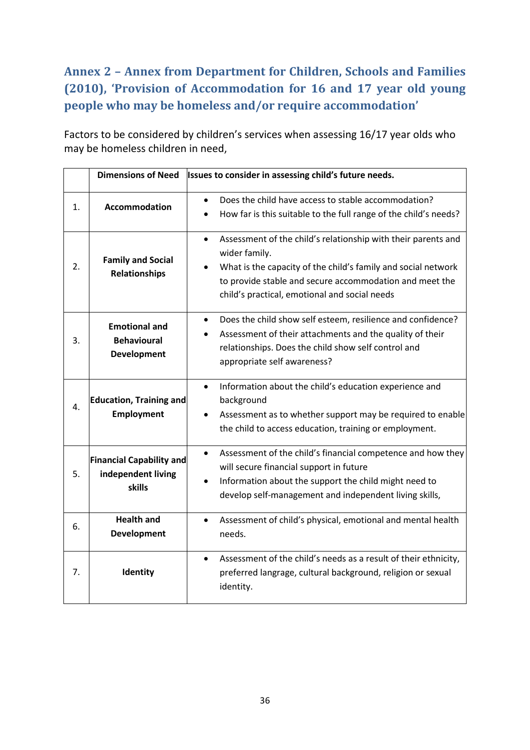# **Annex 2 – Annex from Department for Children, Schools and Families (2010), 'Provision of Accommodation for 16 and 17 year old young people who may be homeless and/or require accommodation'**

Factors to be considered by children's services when assessing 16/17 year olds who may be homeless children in need,

|    | <b>Dimensions of Need</b>                                        | Issues to consider in assessing child's future needs.                                                                                                                                                                                                                    |
|----|------------------------------------------------------------------|--------------------------------------------------------------------------------------------------------------------------------------------------------------------------------------------------------------------------------------------------------------------------|
| 1. | <b>Accommodation</b>                                             | Does the child have access to stable accommodation?<br>$\bullet$<br>How far is this suitable to the full range of the child's needs?                                                                                                                                     |
| 2. | <b>Family and Social</b><br><b>Relationships</b>                 | Assessment of the child's relationship with their parents and<br>$\bullet$<br>wider family.<br>What is the capacity of the child's family and social network<br>to provide stable and secure accommodation and meet the<br>child's practical, emotional and social needs |
| 3. | <b>Emotional and</b><br><b>Behavioural</b><br><b>Development</b> | Does the child show self esteem, resilience and confidence?<br>$\bullet$<br>Assessment of their attachments and the quality of their<br>relationships. Does the child show self control and<br>appropriate self awareness?                                               |
| 4. | <b>Education, Training and</b><br><b>Employment</b>              | Information about the child's education experience and<br>$\bullet$<br>background<br>Assessment as to whether support may be required to enable<br>$\bullet$<br>the child to access education, training or employment.                                                   |
| 5. | <b>Financial Capability and</b><br>independent living<br>skills  | Assessment of the child's financial competence and how they<br>$\bullet$<br>will secure financial support in future<br>Information about the support the child might need to<br>develop self-management and independent living skills,                                   |
| 6. | <b>Health and</b><br><b>Development</b>                          | Assessment of child's physical, emotional and mental health<br>$\bullet$<br>needs.                                                                                                                                                                                       |
| 7. | Identity                                                         | Assessment of the child's needs as a result of their ethnicity,<br>$\bullet$<br>preferred langrage, cultural background, religion or sexual<br>identity.                                                                                                                 |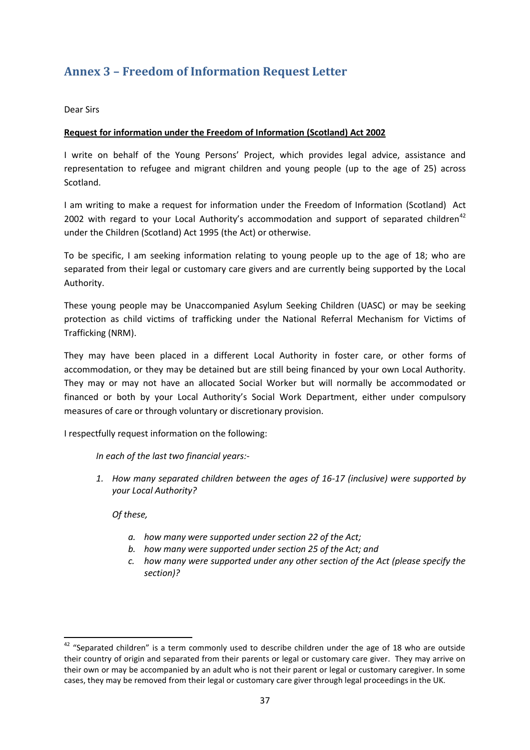# **Annex 3 – Freedom of Information Request Letter**

Dear Sirs

#### **Request for information under the Freedom of Information (Scotland) Act 2002**

I write on behalf of the Young Persons' Project, which provides legal advice, assistance and representation to refugee and migrant children and young people (up to the age of 25) across Scotland.

I am writing to make a request for information under the Freedom of Information (Scotland) Act 2002 with regard to your Local Authority's accommodation and support of separated children<sup>42</sup> under the Children (Scotland) Act 1995 (the Act) or otherwise.

To be specific, I am seeking information relating to young people up to the age of 18; who are separated from their legal or customary care givers and are currently being supported by the Local Authority.

These young people may be Unaccompanied Asylum Seeking Children (UASC) or may be seeking protection as child victims of trafficking under the National Referral Mechanism for Victims of Trafficking (NRM).

They may have been placed in a different Local Authority in foster care, or other forms of accommodation, or they may be detained but are still being financed by your own Local Authority. They may or may not have an allocated Social Worker but will normally be accommodated or financed or both by your Local Authority's Social Work Department, either under compulsory measures of care or through voluntary or discretionary provision.

I respectfully request information on the following:

*In each of the last two financial years:-*

*1. How many separated children between the ages of 16-17 (inclusive) were supported by your Local Authority?*

*Of these,*

**.** 

- *a. how many were supported under section 22 of the Act;*
- *b. how many were supported under section 25 of the Act; and*
- *c. how many were supported under any other section of the Act (please specify the section)?*

 $42$  "Separated children" is a term commonly used to describe children under the age of 18 who are outside their country of origin and separated from their parents or legal or customary care giver. They may arrive on their own or may be accompanied by an adult who is not their parent or legal or customary caregiver. In some cases, they may be removed from their legal or customary care giver through legal proceedings in the UK.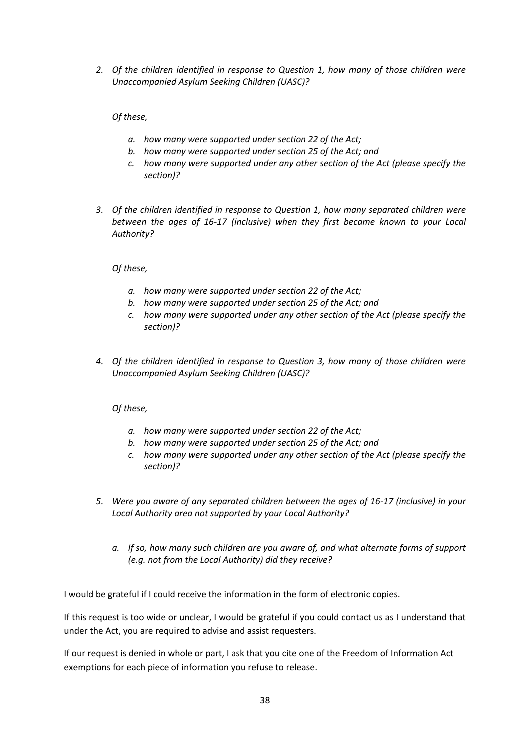*2. Of the children identified in response to Question 1, how many of those children were Unaccompanied Asylum Seeking Children (UASC)?* 

#### *Of these,*

- *a. how many were supported under section 22 of the Act;*
- *b. how many were supported under section 25 of the Act; and*
- *c. how many were supported under any other section of the Act (please specify the section)?*
- *3. Of the children identified in response to Question 1, how many separated children were between the ages of 16-17 (inclusive) when they first became known to your Local Authority?*

*Of these,*

- *a. how many were supported under section 22 of the Act;*
- *b. how many were supported under section 25 of the Act; and*
- *c. how many were supported under any other section of the Act (please specify the section)?*
- *4. Of the children identified in response to Question 3, how many of those children were Unaccompanied Asylum Seeking Children (UASC)?*

*Of these,*

- *a. how many were supported under section 22 of the Act;*
- *b. how many were supported under section 25 of the Act; and*
- *c. how many were supported under any other section of the Act (please specify the section)?*
- *5. Were you aware of any separated children between the ages of 16-17 (inclusive) in your Local Authority area not supported by your Local Authority?* 
	- *a. If so, how many such children are you aware of, and what alternate forms of support (e.g. not from the Local Authority) did they receive?*

I would be grateful if I could receive the information in the form of electronic copies.

If this request is too wide or unclear, I would be grateful if you could contact us as I understand that under the Act, you are required to advise and assist requesters.

If our request is denied in whole or part, I ask that you cite one of the Freedom of Information Act exemptions for each piece of information you refuse to release.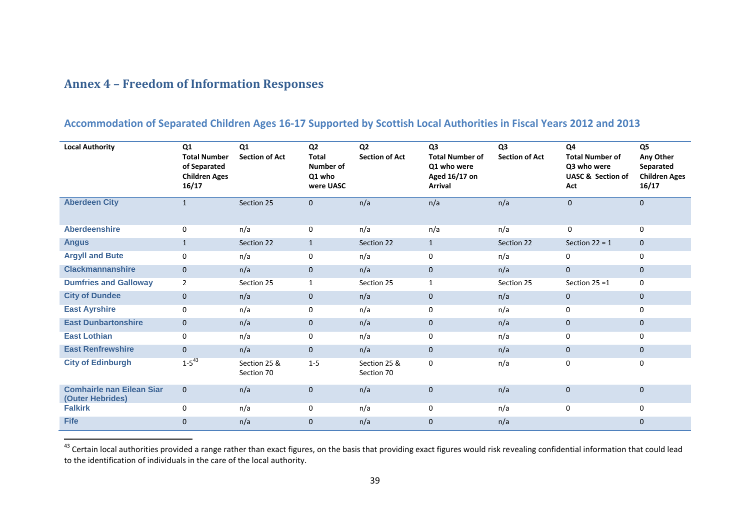## **Annex 4 – Freedom of Information Responses**

 $\overline{a}$ 

## **Accommodation of Separated Children Ages 16-17 Supported by Scottish Local Authorities in Fiscal Years 2012 and 2013**

| <b>Local Authority</b>                               | Q1<br><b>Total Number</b><br>of Separated<br><b>Children Ages</b><br>16/17 | Q1<br><b>Section of Act</b> | Q <sub>2</sub><br><b>Total</b><br><b>Number of</b><br>Q1 who<br>were UASC | Q <sub>2</sub><br><b>Section of Act</b> | Q <sub>3</sub><br><b>Total Number of</b><br>Q1 who were<br>Aged 16/17 on<br><b>Arrival</b> | Q <sub>3</sub><br><b>Section of Act</b> | Q <sub>4</sub><br><b>Total Number of</b><br>Q3 who were<br><b>UASC &amp; Section of</b><br>Act | Q <sub>5</sub><br>Any Other<br>Separated<br><b>Children Ages</b><br>16/17 |
|------------------------------------------------------|----------------------------------------------------------------------------|-----------------------------|---------------------------------------------------------------------------|-----------------------------------------|--------------------------------------------------------------------------------------------|-----------------------------------------|------------------------------------------------------------------------------------------------|---------------------------------------------------------------------------|
| <b>Aberdeen City</b>                                 | $\mathbf{1}$                                                               | Section 25                  | $\mathbf{0}$                                                              | n/a                                     | n/a                                                                                        | n/a                                     | $\mathbf 0$                                                                                    | $\mathbf{0}$                                                              |
| <b>Aberdeenshire</b>                                 | $\mathbf 0$                                                                | n/a                         | $\mathbf 0$                                                               | n/a                                     | n/a                                                                                        | n/a                                     | 0                                                                                              | $\mathbf 0$                                                               |
| <b>Angus</b>                                         | $\mathbf{1}$                                                               | Section 22                  | $\mathbf{1}$                                                              | Section 22                              | $\mathbf{1}$                                                                               | Section 22                              | Section $22 = 1$                                                                               | $\mathbf{0}$                                                              |
| <b>Argyll and Bute</b>                               | 0                                                                          | n/a                         | 0                                                                         | n/a                                     | 0                                                                                          | n/a                                     | 0                                                                                              | $\mathbf 0$                                                               |
| <b>Clackmannanshire</b>                              | $\mathbf{0}$                                                               | n/a                         | $\mathbf{0}$                                                              | n/a                                     | $\mathbf{0}$                                                                               | n/a                                     | $\mathbf{0}$                                                                                   | $\mathbf{0}$                                                              |
| <b>Dumfries and Galloway</b>                         | $\overline{2}$                                                             | Section 25                  | $\mathbf{1}$                                                              | Section 25                              | 1                                                                                          | Section 25                              | Section $25 = 1$                                                                               | $\Omega$                                                                  |
| <b>City of Dundee</b>                                | $\mathbf{0}$                                                               | n/a                         | $\mathbf{0}$                                                              | n/a                                     | $\mathbf{0}$                                                                               | n/a                                     | $\mathbf{0}$                                                                                   | $\mathbf{0}$                                                              |
| <b>East Ayrshire</b>                                 | $\mathbf 0$                                                                | n/a                         | $\mathbf 0$                                                               | n/a                                     | $\mathbf 0$                                                                                | n/a                                     | 0                                                                                              | $\Omega$                                                                  |
| <b>East Dunbartonshire</b>                           | $\mathbf{0}$                                                               | n/a                         | $\mathbf{0}$                                                              | n/a                                     | $\mathbf{0}$                                                                               | n/a                                     | $\mathbf{0}$                                                                                   | $\mathbf{0}$                                                              |
| <b>East Lothian</b>                                  | $\mathbf{0}$                                                               | n/a                         | $\mathbf 0$                                                               | n/a                                     | $\mathbf 0$                                                                                | n/a                                     | 0                                                                                              | 0                                                                         |
| <b>East Renfrewshire</b>                             | $\mathbf{0}$                                                               | n/a                         | $\mathbf{0}$                                                              | n/a                                     | $\mathbf 0$                                                                                | n/a                                     | $\mathbf{0}$                                                                                   | $\mathbf{0}$                                                              |
| <b>City of Edinburgh</b>                             | $1 - 5^{43}$                                                               | Section 25 &<br>Section 70  | $1 - 5$                                                                   | Section 25 &<br>Section 70              | $\mathbf 0$                                                                                | n/a                                     | 0                                                                                              | $\Omega$                                                                  |
| <b>Comhairle nan Eilean Siar</b><br>(Outer Hebrides) | $\mathbf{0}$                                                               | n/a                         | $\mathbf{0}$                                                              | n/a                                     | $\mathbf{0}$                                                                               | n/a                                     | $\mathbf{0}$                                                                                   | $\Omega$                                                                  |
| <b>Falkirk</b>                                       | $\mathbf 0$                                                                | n/a                         | $\mathbf 0$                                                               | n/a                                     | 0                                                                                          | n/a                                     | 0                                                                                              | $\Omega$                                                                  |
| <b>Fife</b>                                          | $\mathbf{0}$                                                               | n/a                         | $\mathbf{0}$                                                              | n/a                                     | $\mathbf{0}$                                                                               | n/a                                     |                                                                                                | $\mathbf{0}$                                                              |

<sup>&</sup>lt;sup>43</sup> Certain local authorities provided a range rather than exact figures, on the basis that providing exact figures would risk revealing confidential information that could lead to the identification of individuals in the care of the local authority.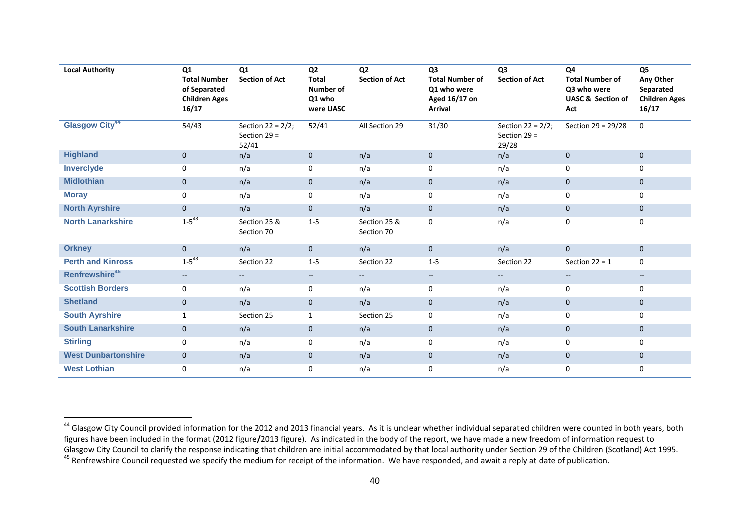| <b>Local Authority</b>     | Q <sub>1</sub><br><b>Total Number</b><br>of Separated<br><b>Children Ages</b><br>16/17 | Q1<br><b>Section of Act</b>                     | Q <sub>2</sub><br><b>Total</b><br>Number of<br>Q1 who<br>were UASC | Q <sub>2</sub><br><b>Section of Act</b> | Q <sub>3</sub><br><b>Total Number of</b><br>Q1 who were<br>Aged 16/17 on<br><b>Arrival</b> | Q <sub>3</sub><br><b>Section of Act</b>         | Q4<br><b>Total Number of</b><br>Q3 who were<br><b>UASC &amp; Section of</b><br>Act | Q <sub>5</sub><br>Any Other<br>Separated<br><b>Children Ages</b><br>16/17 |
|----------------------------|----------------------------------------------------------------------------------------|-------------------------------------------------|--------------------------------------------------------------------|-----------------------------------------|--------------------------------------------------------------------------------------------|-------------------------------------------------|------------------------------------------------------------------------------------|---------------------------------------------------------------------------|
| Glasgow City <sup>44</sup> | 54/43                                                                                  | Section 22 = $2/2$ ;<br>Section $29 =$<br>52/41 | 52/41                                                              | All Section 29                          | 31/30                                                                                      | Section 22 = $2/2$ ;<br>Section $29 =$<br>29/28 | Section 29 = 29/28                                                                 | $\Omega$                                                                  |
| <b>Highland</b>            | $\mathbf{0}$                                                                           | n/a                                             | $\mathbf{0}$                                                       | n/a                                     | $\mathbf{0}$                                                                               | n/a                                             | $\mathbf 0$                                                                        | $\mathbf{0}$                                                              |
| Inverclyde                 | 0                                                                                      | n/a                                             | $\mathbf 0$                                                        | n/a                                     | 0                                                                                          | n/a                                             | 0                                                                                  | $\Omega$                                                                  |
| <b>Midlothian</b>          | $\mathbf{0}$                                                                           | n/a                                             | $\mathbf{0}$                                                       | n/a                                     | $\mathbf{0}$                                                                               | n/a                                             | $\mathbf 0$                                                                        | $\mathbf{0}$                                                              |
| <b>Moray</b>               | 0                                                                                      | n/a                                             | $\mathbf 0$                                                        | n/a                                     | 0                                                                                          | n/a                                             | 0                                                                                  | 0                                                                         |
| <b>North Ayrshire</b>      | $\mathbf{0}$                                                                           | n/a                                             | $\mathbf{0}$                                                       | n/a                                     | $\mathbf{0}$                                                                               | n/a                                             | $\mathbf 0$                                                                        | $\mathbf{0}$                                                              |
| <b>North Lanarkshire</b>   | $1 - 5^{43}$                                                                           | Section 25 &<br>Section 70                      | $1 - 5$                                                            | Section 25 &<br>Section 70              | $\mathbf 0$                                                                                | n/a                                             | 0                                                                                  | 0                                                                         |
| <b>Orkney</b>              | $\overline{0}$                                                                         | n/a                                             | $\mathbf{0}$                                                       | n/a                                     | $\mathbf{0}$                                                                               | n/a                                             | $\mathbf{0}$                                                                       | $\mathbf{0}$                                                              |
| <b>Perth and Kinross</b>   | $1 - 5^{43}$                                                                           | Section 22                                      | $1 - 5$                                                            | Section 22                              | $1 - 5$                                                                                    | Section 22                                      | Section $22 = 1$                                                                   | $\Omega$                                                                  |
| Renfrewshire <sup>45</sup> | $\overline{\phantom{a}}$                                                               | $\overline{\phantom{a}}$                        | $\sim$                                                             | $\overline{\phantom{a}}$                | $--$                                                                                       | $\overline{\phantom{m}}$                        | $\overline{\phantom{m}}$                                                           | $\qquad \qquad -$                                                         |
| <b>Scottish Borders</b>    | 0                                                                                      | n/a                                             | $\mathbf 0$                                                        | n/a                                     | 0                                                                                          | n/a                                             | 0                                                                                  | 0                                                                         |
| <b>Shetland</b>            | $\overline{0}$                                                                         | n/a                                             | $\mathbf{0}$                                                       | n/a                                     | $\mathbf{0}$                                                                               | n/a                                             | $\mathbf 0$                                                                        | $\mathbf{0}$                                                              |
| <b>South Ayrshire</b>      | $\mathbf{1}$                                                                           | Section 25                                      | 1                                                                  | Section 25                              | 0                                                                                          | n/a                                             | 0                                                                                  | $\Omega$                                                                  |
| <b>South Lanarkshire</b>   | $\mathbf{0}$                                                                           | n/a                                             | $\mathbf{0}$                                                       | n/a                                     | $\mathbf 0$                                                                                | n/a                                             | $\mathbf 0$                                                                        | $\mathbf{0}$                                                              |
| <b>Stirling</b>            | $\mathbf 0$                                                                            | n/a                                             | $\mathbf 0$                                                        | n/a                                     | 0                                                                                          | n/a                                             | $\mathbf 0$                                                                        | $\Omega$                                                                  |
| <b>West Dunbartonshire</b> | $\mathbf{0}$                                                                           | n/a                                             | $\mathbf{0}$                                                       | n/a                                     | $\mathbf 0$                                                                                | n/a                                             | $\mathbf 0$                                                                        | $\mathbf{0}$                                                              |
| <b>West Lothian</b>        | $\mathbf 0$                                                                            | n/a                                             | $\mathbf 0$                                                        | n/a                                     | 0                                                                                          | n/a                                             | 0                                                                                  | 0                                                                         |

 $\overline{a}$ 

<sup>&</sup>lt;sup>44</sup> Glasgow City Council provided information for the 2012 and 2013 financial years. As it is unclear whether individual separated children were counted in both years, both figures have been included in the format (2012 figure**/**2013 figure). As indicated in the body of the report, we have made a new freedom of information request to Glasgow City Council to clarify the response indicating that children are initial accommodated by that local authority under Section 29 of the Children (Scotland) Act 1995. <sup>45</sup> Renfrewshire Council requested we specify the medium for receipt of the information. We have responded, and await a reply at date of publication.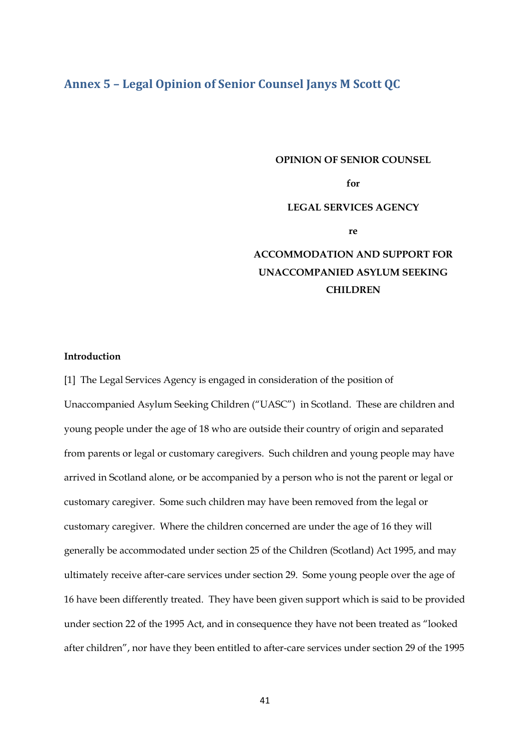## **Annex 5 – Legal Opinion of Senior Counsel Janys M Scott QC**

#### **OPINION OF SENIOR COUNSEL**

**for** 

#### **LEGAL SERVICES AGENCY**

**re**

# **ACCOMMODATION AND SUPPORT FOR UNACCOMPANIED ASYLUM SEEKING CHILDREN**

### **Introduction**

[1] The Legal Services Agency is engaged in consideration of the position of Unaccompanied Asylum Seeking Children ("UASC") in Scotland. These are children and young people under the age of 18 who are outside their country of origin and separated from parents or legal or customary caregivers. Such children and young people may have arrived in Scotland alone, or be accompanied by a person who is not the parent or legal or customary caregiver. Some such children may have been removed from the legal or customary caregiver. Where the children concerned are under the age of 16 they will generally be accommodated under section 25 of the Children (Scotland) Act 1995, and may ultimately receive after-care services under section 29. Some young people over the age of 16 have been differently treated. They have been given support which is said to be provided under section 22 of the 1995 Act, and in consequence they have not been treated as "looked after children", nor have they been entitled to after-care services under section 29 of the 1995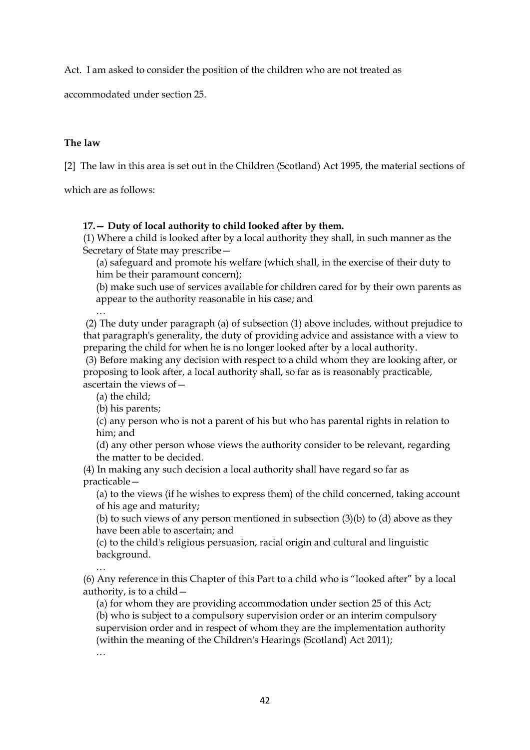Act. I am asked to consider the position of the children who are not treated as

accommodated under section 25.

## **The law**

[2] The law in this area is set out in the Children (Scotland) Act 1995, the material sections of

which are as follows:

#### **17.— Duty of local authority to child looked after by them.**

(1) Where a child is looked after by a local authority they shall, in such manner as the Secretary of State may prescribe—

(a) safeguard and promote his welfare (which shall, in the exercise of their duty to him be their paramount concern);

(b) make such use of services available for children cared for by their own parents as appear to the authority reasonable in his case; and

… (2) The duty under paragraph (a) of subsection (1) above includes, without prejudice to that paragraph's generality, the duty of providing advice and assistance with a view to preparing the child for when he is no longer looked after by a local authority.

(3) Before making any decision with respect to a child whom they are looking after, or proposing to look after, a local authority shall, so far as is reasonably practicable, ascertain the views of—

(a) the child;

(b) his parents;

(c) any person who is not a parent of his but who has parental rights in relation to him; and

(d) any other person whose views the authority consider to be relevant, regarding the matter to be decided.

(4) In making any such decision a local authority shall have regard so far as practicable—

(a) to the views (if he wishes to express them) of the child concerned, taking account of his age and maturity;

(b) to such views of any person mentioned in subsection (3)(b) to (d) above as they have been able to ascertain; and

(c) to the child's religious persuasion, racial origin and cultural and linguistic background.

… (6) Any reference in this Chapter of this Part to a child who is "looked after" by a local authority, is to a child—

(a) for whom they are providing accommodation under section 25 of this Act; (b) who is subject to a compulsory supervision order or an interim compulsory supervision order and in respect of whom they are the implementation authority (within the meaning of the Children's Hearings (Scotland) Act 2011); …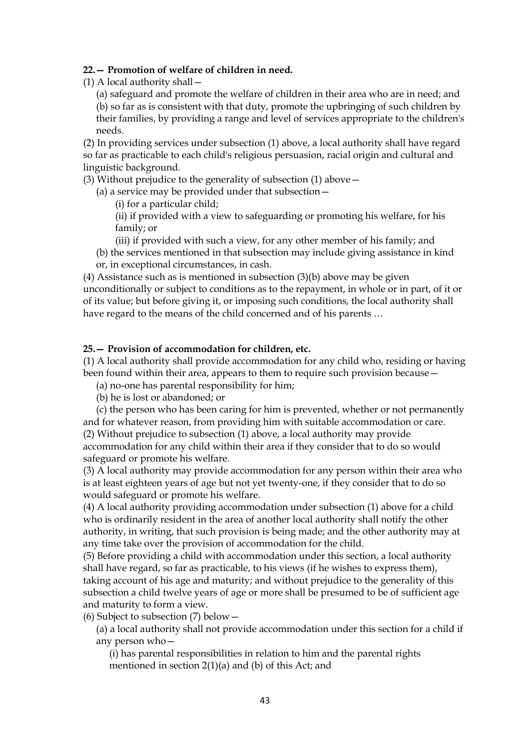#### **22.— Promotion of welfare of children in need.**

(1) A local authority shall—

(a) safeguard and promote the welfare of children in their area who are in need; and (b) so far as is consistent with that duty, promote the upbringing of such children by their families, by providing a range and level of services appropriate to the children's needs.

(2) In providing services under subsection (1) above, a local authority shall have regard so far as practicable to each child's religious persuasion, racial origin and cultural and linguistic background.

(3) Without prejudice to the generality of subsection (1) above—

(a) a service may be provided under that subsection—

(i) for a particular child;

(ii) if provided with a view to safeguarding or promoting his welfare, for his family; or

(iii) if provided with such a view, for any other member of his family; and

(b) the services mentioned in that subsection may include giving assistance in kind or, in exceptional circumstances, in cash.

(4) Assistance such as is mentioned in subsection (3)(b) above may be given unconditionally or subject to conditions as to the repayment, in whole or in part, of it or of its value; but before giving it, or imposing such conditions, the local authority shall have regard to the means of the child concerned and of his parents …

### **25.— Provision of accommodation for children, etc.**

(1) A local authority shall provide accommodation for any child who, residing or having been found within their area, appears to them to require such provision because—

(a) no-one has parental responsibility for him;

(b) he is lost or abandoned; or

(c) the person who has been caring for him is prevented, whether or not permanently and for whatever reason, from providing him with suitable accommodation or care. (2) Without prejudice to subsection (1) above, a local authority may provide

accommodation for any child within their area if they consider that to do so would safeguard or promote his welfare.

(3) A local authority may provide accommodation for any person within their area who is at least eighteen years of age but not yet twenty-one, if they consider that to do so would safeguard or promote his welfare.

(4) A local authority providing accommodation under subsection (1) above for a child who is ordinarily resident in the area of another local authority shall notify the other authority, in writing, that such provision is being made; and the other authority may at any time take over the provision of accommodation for the child.

(5) Before providing a child with accommodation under this section, a local authority shall have regard, so far as practicable, to his views (if he wishes to express them), taking account of his age and maturity; and without prejudice to the generality of this subsection a child twelve years of age or more shall be presumed to be of sufficient age and maturity to form a view.

(6) Subject to subsection (7) below—

(a) a local authority shall not provide accommodation under this section for a child if any person who—

(i) has parental responsibilities in relation to him and the parental rights mentioned in section 2(1)(a) and (b) of this Act; and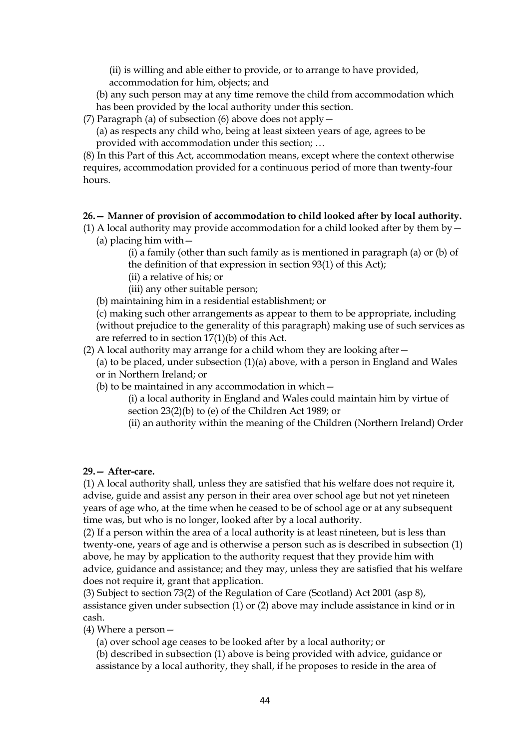(ii) is willing and able either to provide, or to arrange to have provided, accommodation for him, objects; and

(b) any such person may at any time remove the child from accommodation which has been provided by the local authority under this section.

- (7) Paragraph (a) of subsection (6) above does not apply—
	- (a) as respects any child who, being at least sixteen years of age, agrees to be provided with accommodation under this section; …

(8) In this Part of this Act, accommodation means, except where the context otherwise requires, accommodation provided for a continuous period of more than twenty-four hours.

## **26.— Manner of provision of accommodation to child looked after by local authority.**

- (1) A local authority may provide accommodation for a child looked after by them by  $-$ (a) placing him with—
	- (i) a family (other than such family as is mentioned in paragraph (a) or (b) of the definition of that expression in section 93(1) of this Act);
	- (ii) a relative of his; or
	- (iii) any other suitable person;
	- (b) maintaining him in a residential establishment; or

(c) making such other arrangements as appear to them to be appropriate, including (without prejudice to the generality of this paragraph) making use of such services as are referred to in section 17(1)(b) of this Act.

(2) A local authority may arrange for a child whom they are looking after—

(a) to be placed, under subsection (1)(a) above, with a person in England and Wales or in Northern Ireland; or

- (b) to be maintained in any accommodation in which—
	- (i) a local authority in England and Wales could maintain him by virtue of section 23(2)(b) to (e) of the Children Act 1989; or
	- (ii) an authority within the meaning of the Children (Northern Ireland) Order

## **29.— After-care.**

(1) A local authority shall, unless they are satisfied that his welfare does not require it, advise, guide and assist any person in their area over school age but not yet nineteen years of age who, at the time when he ceased to be of school age or at any subsequent time was, but who is no longer, looked after by a local authority.

(2) If a person within the area of a local authority is at least nineteen, but is less than twenty-one, years of age and is otherwise a person such as is described in subsection (1) above, he may by application to the authority request that they provide him with advice, guidance and assistance; and they may, unless they are satisfied that his welfare does not require it, grant that application.

(3) Subject to section 73(2) of the Regulation of Care (Scotland) Act 2001 (asp 8), assistance given under subsection (1) or (2) above may include assistance in kind or in cash.

(4) Where a person—

(a) over school age ceases to be looked after by a local authority; or

(b) described in subsection (1) above is being provided with advice, guidance or assistance by a local authority, they shall, if he proposes to reside in the area of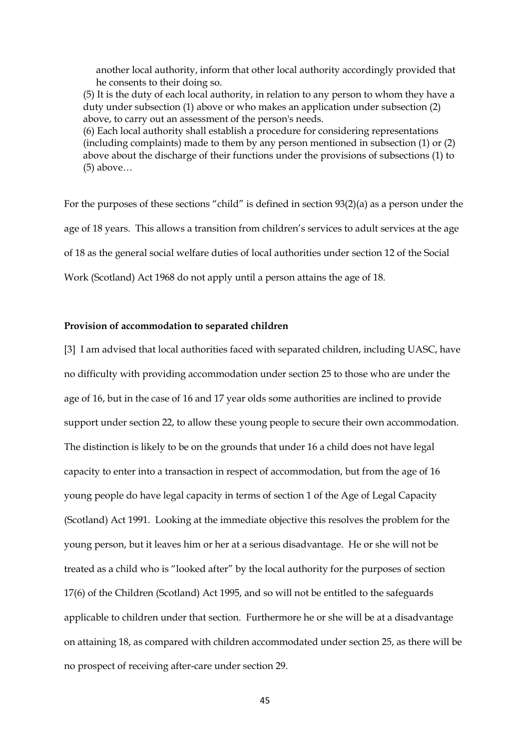another local authority, inform that other local authority accordingly provided that he consents to their doing so.

(5) It is the duty of each local authority, in relation to any person to whom they have a duty under subsection (1) above or who makes an application under subsection (2) above, to carry out an assessment of the person's needs.

(6) Each local authority shall establish a procedure for considering representations (including complaints) made to them by any person mentioned in subsection (1) or (2) above about the discharge of their functions under the provisions of subsections (1) to (5) above…

For the purposes of these sections "child" is defined in section 93(2)(a) as a person under the age of 18 years. This allows a transition from children's services to adult services at the age of 18 as the general social welfare duties of local authorities under section 12 of the Social Work (Scotland) Act 1968 do not apply until a person attains the age of 18.

#### **Provision of accommodation to separated children**

[3] I am advised that local authorities faced with separated children, including UASC, have no difficulty with providing accommodation under section 25 to those who are under the age of 16, but in the case of 16 and 17 year olds some authorities are inclined to provide support under section 22, to allow these young people to secure their own accommodation. The distinction is likely to be on the grounds that under 16 a child does not have legal capacity to enter into a transaction in respect of accommodation, but from the age of 16 young people do have legal capacity in terms of section 1 of the Age of Legal Capacity (Scotland) Act 1991. Looking at the immediate objective this resolves the problem for the young person, but it leaves him or her at a serious disadvantage. He or she will not be treated as a child who is "looked after" by the local authority for the purposes of section 17(6) of the Children (Scotland) Act 1995, and so will not be entitled to the safeguards applicable to children under that section. Furthermore he or she will be at a disadvantage on attaining 18, as compared with children accommodated under section 25, as there will be no prospect of receiving after-care under section 29.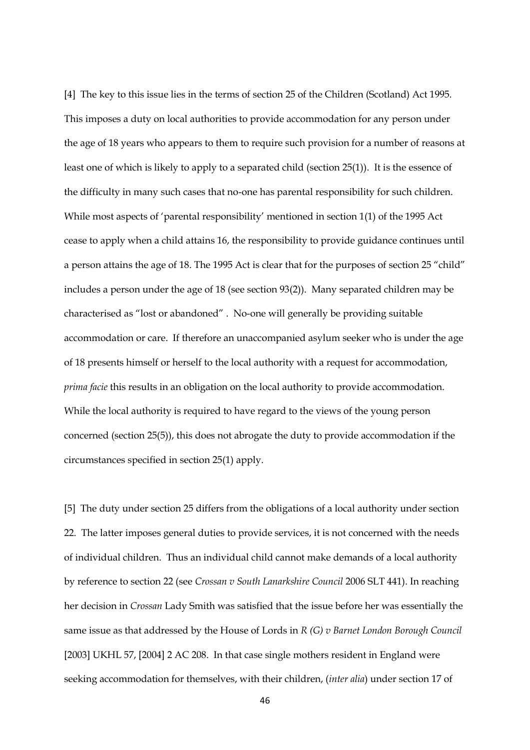[4] The key to this issue lies in the terms of section 25 of the Children (Scotland) Act 1995. This imposes a duty on local authorities to provide accommodation for any person under the age of 18 years who appears to them to require such provision for a number of reasons at least one of which is likely to apply to a separated child (section 25(1)). It is the essence of the difficulty in many such cases that no-one has parental responsibility for such children. While most aspects of 'parental responsibility' mentioned in section 1(1) of the 1995 Act cease to apply when a child attains 16, the responsibility to provide guidance continues until a person attains the age of 18. The 1995 Act is clear that for the purposes of section 25 "child" includes a person under the age of 18 (see section 93(2)). Many separated children may be characterised as "lost or abandoned" . No-one will generally be providing suitable accommodation or care. If therefore an unaccompanied asylum seeker who is under the age of 18 presents himself or herself to the local authority with a request for accommodation, *prima facie* this results in an obligation on the local authority to provide accommodation. While the local authority is required to have regard to the views of the young person concerned (section 25(5)), this does not abrogate the duty to provide accommodation if the circumstances specified in section 25(1) apply.

[5] The duty under section 25 differs from the obligations of a local authority under section 22. The latter imposes general duties to provide services, it is not concerned with the needs of individual children. Thus an individual child cannot make demands of a local authority by reference to section 22 (see *Crossan v South Lanarkshire Council* 2006 SLT 441). In reaching her decision in *Crossan* Lady Smith was satisfied that the issue before her was essentially the same issue as that addressed by the House of Lords in *R (G) v Barnet London Borough Council*  [2003] UKHL 57, [2004] 2 AC 208. In that case single mothers resident in England were seeking accommodation for themselves, with their children, (*inter alia*) under section 17 of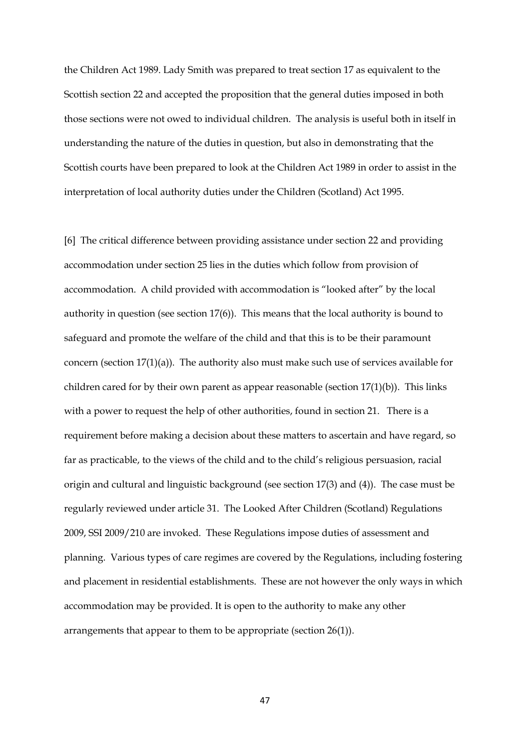the Children Act 1989. Lady Smith was prepared to treat section 17 as equivalent to the Scottish section 22 and accepted the proposition that the general duties imposed in both those sections were not owed to individual children. The analysis is useful both in itself in understanding the nature of the duties in question, but also in demonstrating that the Scottish courts have been prepared to look at the Children Act 1989 in order to assist in the interpretation of local authority duties under the Children (Scotland) Act 1995.

[6] The critical difference between providing assistance under section 22 and providing accommodation under section 25 lies in the duties which follow from provision of accommodation. A child provided with accommodation is "looked after" by the local authority in question (see section 17(6)). This means that the local authority is bound to safeguard and promote the welfare of the child and that this is to be their paramount concern (section  $17(1)(a)$ ). The authority also must make such use of services available for children cared for by their own parent as appear reasonable (section  $17(1)(b)$ ). This links with a power to request the help of other authorities, found in section 21. There is a requirement before making a decision about these matters to ascertain and have regard, so far as practicable, to the views of the child and to the child's religious persuasion, racial origin and cultural and linguistic background (see section 17(3) and (4)). The case must be regularly reviewed under article 31. The Looked After Children (Scotland) Regulations 2009, SSI 2009/210 are invoked. These Regulations impose duties of assessment and planning. Various types of care regimes are covered by the Regulations, including fostering and placement in residential establishments. These are not however the only ways in which accommodation may be provided. It is open to the authority to make any other arrangements that appear to them to be appropriate (section 26(1)).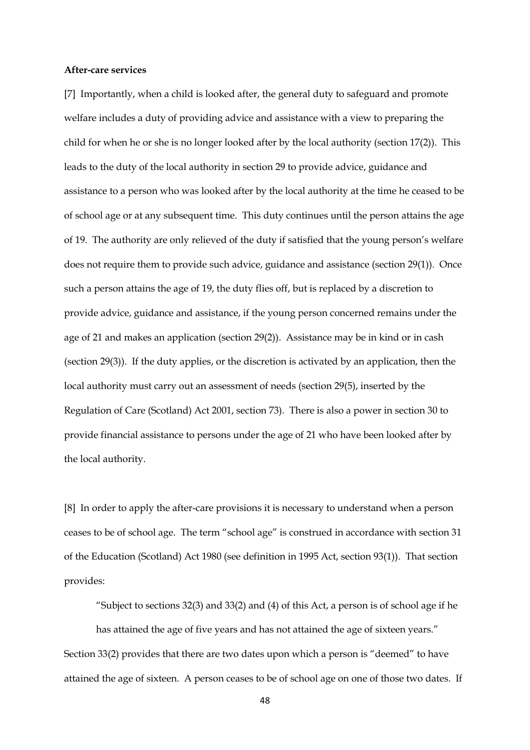#### **After-care services**

[7] Importantly, when a child is looked after, the general duty to safeguard and promote welfare includes a duty of providing advice and assistance with a view to preparing the child for when he or she is no longer looked after by the local authority (section 17(2)). This leads to the duty of the local authority in section 29 to provide advice, guidance and assistance to a person who was looked after by the local authority at the time he ceased to be of school age or at any subsequent time. This duty continues until the person attains the age of 19. The authority are only relieved of the duty if satisfied that the young person's welfare does not require them to provide such advice, guidance and assistance (section 29(1)). Once such a person attains the age of 19, the duty flies off, but is replaced by a discretion to provide advice, guidance and assistance, if the young person concerned remains under the age of 21 and makes an application (section 29(2)). Assistance may be in kind or in cash (section 29(3)). If the duty applies, or the discretion is activated by an application, then the local authority must carry out an assessment of needs (section 29(5), inserted by the Regulation of Care (Scotland) Act 2001, section 73). There is also a power in section 30 to provide financial assistance to persons under the age of 21 who have been looked after by the local authority.

[8] In order to apply the after-care provisions it is necessary to understand when a person ceases to be of school age. The term "school age" is construed in accordance with section 31 of the Education (Scotland) Act 1980 (see definition in 1995 Act, section 93(1)). That section provides:

"Subject to sections 32(3) and 33(2) and (4) of this Act, a person is of school age if he has attained the age of five years and has not attained the age of sixteen years." Section 33(2) provides that there are two dates upon which a person is "deemed" to have attained the age of sixteen. A person ceases to be of school age on one of those two dates. If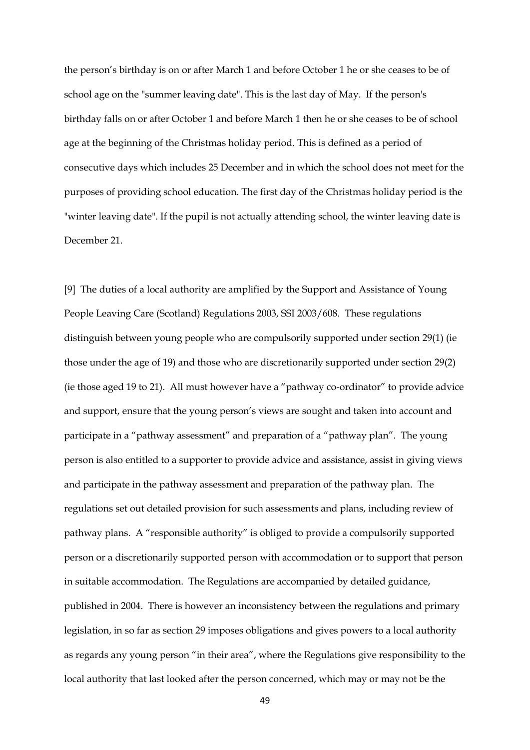the person's birthday is on or after March 1 and before October 1 he or she ceases to be of school age on the "summer leaving date". This is the last day of May. If the person's birthday falls on or after October 1 and before March 1 then he or she ceases to be of school age at the beginning of the Christmas holiday period. This is defined as a period of consecutive days which includes 25 December and in which the school does not meet for the purposes of providing school education. The first day of the Christmas holiday period is the "winter leaving date". If the pupil is not actually attending school, the winter leaving date is December 21.

[9] The duties of a local authority are amplified by the Support and Assistance of Young People Leaving Care (Scotland) Regulations 2003, SSI 2003/608. These regulations distinguish between young people who are compulsorily supported under section 29(1) (ie those under the age of 19) and those who are discretionarily supported under section 29(2) (ie those aged 19 to 21). All must however have a "pathway co-ordinator" to provide advice and support, ensure that the young person's views are sought and taken into account and participate in a "pathway assessment" and preparation of a "pathway plan". The young person is also entitled to a supporter to provide advice and assistance, assist in giving views and participate in the pathway assessment and preparation of the pathway plan. The regulations set out detailed provision for such assessments and plans, including review of pathway plans. A "responsible authority" is obliged to provide a compulsorily supported person or a discretionarily supported person with accommodation or to support that person in suitable accommodation. The Regulations are accompanied by detailed guidance, published in 2004. There is however an inconsistency between the regulations and primary legislation, in so far as section 29 imposes obligations and gives powers to a local authority as regards any young person "in their area", where the Regulations give responsibility to the local authority that last looked after the person concerned, which may or may not be the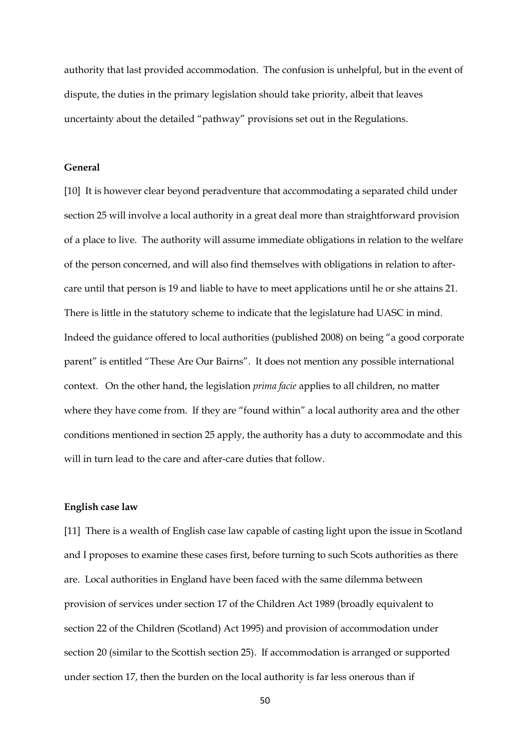authority that last provided accommodation. The confusion is unhelpful, but in the event of dispute, the duties in the primary legislation should take priority, albeit that leaves uncertainty about the detailed "pathway" provisions set out in the Regulations.

#### **General**

[10] It is however clear beyond peradventure that accommodating a separated child under section 25 will involve a local authority in a great deal more than straightforward provision of a place to live. The authority will assume immediate obligations in relation to the welfare of the person concerned, and will also find themselves with obligations in relation to aftercare until that person is 19 and liable to have to meet applications until he or she attains 21. There is little in the statutory scheme to indicate that the legislature had UASC in mind. Indeed the guidance offered to local authorities (published 2008) on being "a good corporate parent" is entitled "These Are Our Bairns". It does not mention any possible international context. On the other hand, the legislation *prima facie* applies to all children, no matter where they have come from. If they are "found within" a local authority area and the other conditions mentioned in section 25 apply, the authority has a duty to accommodate and this will in turn lead to the care and after-care duties that follow.

#### **English case law**

[11] There is a wealth of English case law capable of casting light upon the issue in Scotland and I proposes to examine these cases first, before turning to such Scots authorities as there are. Local authorities in England have been faced with the same dilemma between provision of services under section 17 of the Children Act 1989 (broadly equivalent to section 22 of the Children (Scotland) Act 1995) and provision of accommodation under section 20 (similar to the Scottish section 25). If accommodation is arranged or supported under section 17, then the burden on the local authority is far less onerous than if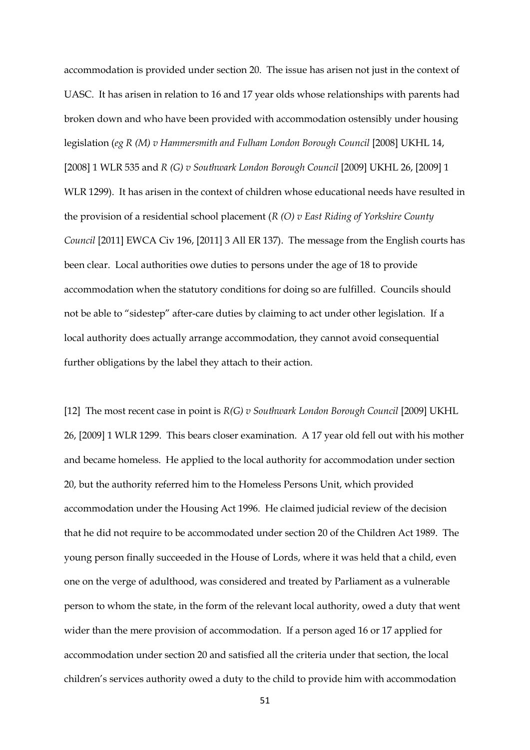accommodation is provided under section 20. The issue has arisen not just in the context of UASC. It has arisen in relation to 16 and 17 year olds whose relationships with parents had broken down and who have been provided with accommodation ostensibly under housing legislation (eg R (M) v Hammersmith and Fulham London Borough Council [2008] UKHL 14, [2008] 1 WLR 535 and *R (G) v Southwark London Borough Council* [2009] UKHL 26, [2009] 1 WLR 1299). It has arisen in the context of children whose educational needs have resulted in the provision of a residential school placement (*R (O) v East Riding of Yorkshire County Council* [2011] EWCA Civ 196, [2011] 3 All ER 137). The message from the English courts has been clear. Local authorities owe duties to persons under the age of 18 to provide accommodation when the statutory conditions for doing so are fulfilled. Councils should not be able to "sidestep" after-care duties by claiming to act under other legislation. If a local authority does actually arrange accommodation, they cannot avoid consequential further obligations by the label they attach to their action.

[12] The most recent case in point is *R(G) v Southwark London Borough Council* [2009] UKHL 26, [2009] 1 WLR 1299. This bears closer examination. A 17 year old fell out with his mother and became homeless. He applied to the local authority for accommodation under section 20, but the authority referred him to the Homeless Persons Unit, which provided accommodation under the Housing Act 1996. He claimed judicial review of the decision that he did not require to be accommodated under section 20 of the Children Act 1989. The young person finally succeeded in the House of Lords, where it was held that a child, even one on the verge of adulthood, was considered and treated by Parliament as a vulnerable person to whom the state, in the form of the relevant local authority, owed a duty that went wider than the mere provision of accommodation. If a person aged 16 or 17 applied for accommodation under section 20 and satisfied all the criteria under that section, the local children's services authority owed a duty to the child to provide him with accommodation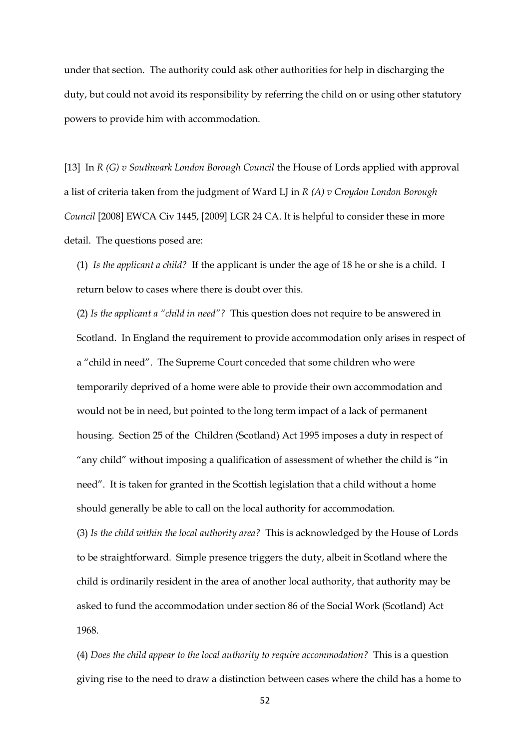under that section. The authority could ask other authorities for help in discharging the duty, but could not avoid its responsibility by referring the child on or using other statutory powers to provide him with accommodation.

[13] In *R (G) v Southwark London Borough Council* the House of Lords applied with approval a list of criteria taken from the judgment of Ward LJ in *R (A) v Croydon London Borough Council* [2008] EWCA Civ 1445, [2009] LGR 24 CA. It is helpful to consider these in more detail. The questions posed are:

(1) *Is the applicant a child?* If the applicant is under the age of 18 he or she is a child. I return below to cases where there is doubt over this.

(2) *Is the applicant a "child in need"?* This question does not require to be answered in Scotland. In England the requirement to provide accommodation only arises in respect of a "child in need". The Supreme Court conceded that some children who were temporarily deprived of a home were able to provide their own accommodation and would not be in need, but pointed to the long term impact of a lack of permanent housing. Section 25 of the Children (Scotland) Act 1995 imposes a duty in respect of "any child" without imposing a qualification of assessment of whether the child is "in need". It is taken for granted in the Scottish legislation that a child without a home should generally be able to call on the local authority for accommodation.

(3) *Is the child within the local authority area?* This is acknowledged by the House of Lords to be straightforward. Simple presence triggers the duty, albeit in Scotland where the child is ordinarily resident in the area of another local authority, that authority may be asked to fund the accommodation under section 86 of the Social Work (Scotland) Act 1968.

(4) *Does the child appear to the local authority to require accommodation?* This is a question giving rise to the need to draw a distinction between cases where the child has a home to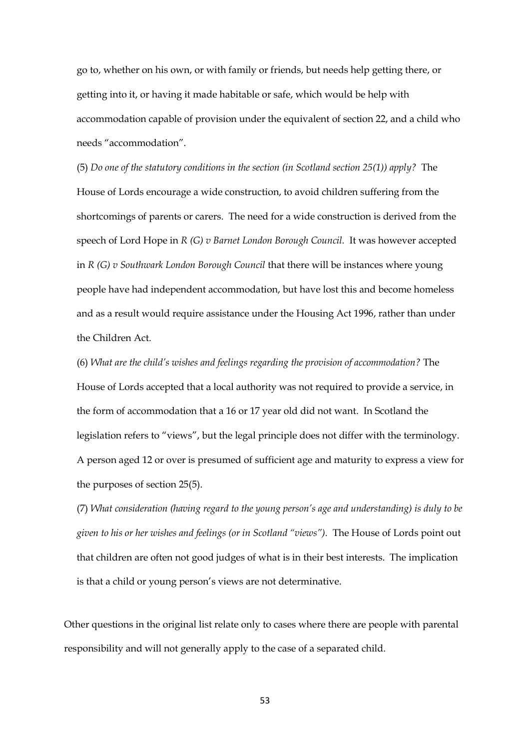go to, whether on his own, or with family or friends, but needs help getting there, or getting into it, or having it made habitable or safe, which would be help with accommodation capable of provision under the equivalent of section 22, and a child who needs "accommodation".

(5) *Do one of the statutory conditions in the section (in Scotland section 25(1)) apply?* The House of Lords encourage a wide construction, to avoid children suffering from the shortcomings of parents or carers. The need for a wide construction is derived from the speech of Lord Hope in *R (G) v Barnet London Borough Council.* It was however accepted in *R (G) v Southwark London Borough Council* that there will be instances where young people have had independent accommodation, but have lost this and become homeless and as a result would require assistance under the Housing Act 1996, rather than under the Children Act.

(6) *What are the child's wishes and feelings regarding the provision of accommodation?* The House of Lords accepted that a local authority was not required to provide a service, in the form of accommodation that a 16 or 17 year old did not want. In Scotland the legislation refers to "views", but the legal principle does not differ with the terminology. A person aged 12 or over is presumed of sufficient age and maturity to express a view for the purposes of section 25(5).

(7) *What consideration (having regard to the young person's age and understanding) is duly to be given to his or her wishes and feelings (or in Scotland "views").* The House of Lords point out that children are often not good judges of what is in their best interests. The implication is that a child or young person's views are not determinative.

Other questions in the original list relate only to cases where there are people with parental responsibility and will not generally apply to the case of a separated child.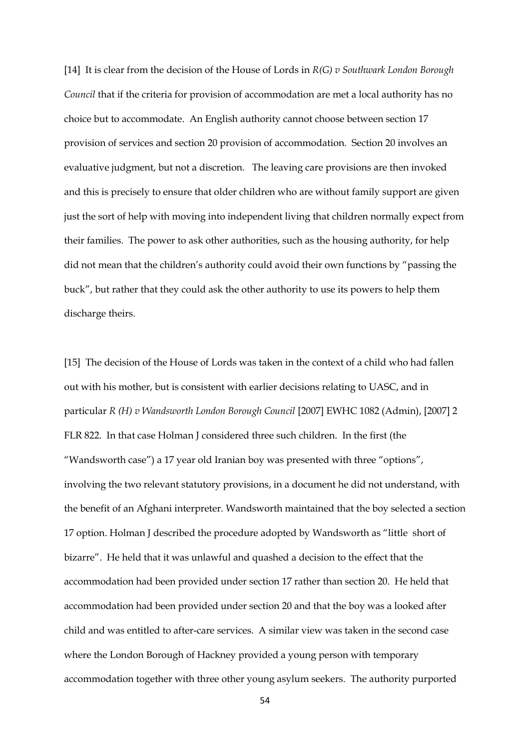[14] It is clear from the decision of the House of Lords in *R(G) v Southwark London Borough Council* that if the criteria for provision of accommodation are met a local authority has no choice but to accommodate. An English authority cannot choose between section 17 provision of services and section 20 provision of accommodation. Section 20 involves an evaluative judgment, but not a discretion. The leaving care provisions are then invoked and this is precisely to ensure that older children who are without family support are given just the sort of help with moving into independent living that children normally expect from their families. The power to ask other authorities, such as the housing authority, for help did not mean that the children's authority could avoid their own functions by "passing the buck", but rather that they could ask the other authority to use its powers to help them discharge theirs.

[15] The decision of the House of Lords was taken in the context of a child who had fallen out with his mother, but is consistent with earlier decisions relating to UASC, and in particular *R (H) v Wandsworth London Borough Council* [2007] EWHC 1082 (Admin), [2007] 2 FLR 822. In that case Holman J considered three such children. In the first (the "Wandsworth case") a 17 year old Iranian boy was presented with three "options", involving the two relevant statutory provisions, in a document he did not understand, with the benefit of an Afghani interpreter. Wandsworth maintained that the boy selected a section 17 option. Holman J described the procedure adopted by Wandsworth as "little short of bizarre". He held that it was unlawful and quashed a decision to the effect that the accommodation had been provided under section 17 rather than section 20. He held that accommodation had been provided under section 20 and that the boy was a looked after child and was entitled to after-care services. A similar view was taken in the second case where the London Borough of Hackney provided a young person with temporary accommodation together with three other young asylum seekers. The authority purported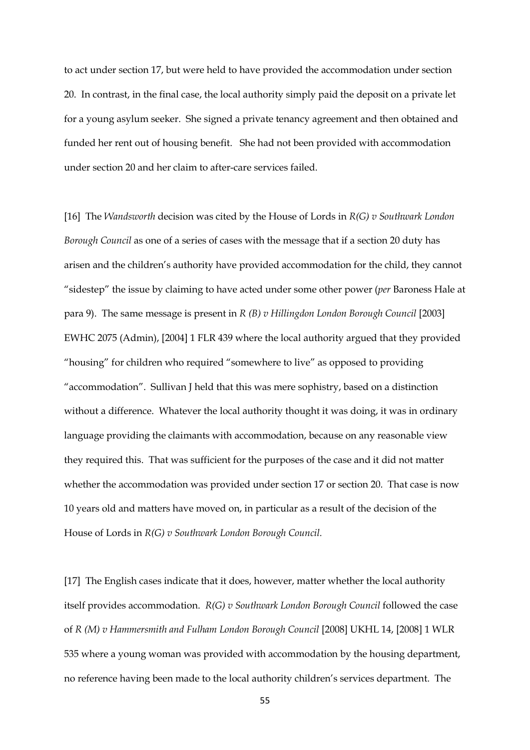to act under section 17, but were held to have provided the accommodation under section 20. In contrast, in the final case, the local authority simply paid the deposit on a private let for a young asylum seeker. She signed a private tenancy agreement and then obtained and funded her rent out of housing benefit. She had not been provided with accommodation under section 20 and her claim to after-care services failed.

[16] The *Wandsworth* decision was cited by the House of Lords in *R(G) v Southwark London Borough Council* as one of a series of cases with the message that if a section 20 duty has arisen and the children's authority have provided accommodation for the child, they cannot "sidestep" the issue by claiming to have acted under some other power (*per* Baroness Hale at para 9). The same message is present in *R (B) v Hillingdon London Borough Council* [2003] EWHC 2075 (Admin), [2004] 1 FLR 439 where the local authority argued that they provided "housing" for children who required "somewhere to live" as opposed to providing "accommodation". Sullivan J held that this was mere sophistry, based on a distinction without a difference. Whatever the local authority thought it was doing, it was in ordinary language providing the claimants with accommodation, because on any reasonable view they required this. That was sufficient for the purposes of the case and it did not matter whether the accommodation was provided under section 17 or section 20. That case is now 10 years old and matters have moved on, in particular as a result of the decision of the House of Lords in *R(G) v Southwark London Borough Council.*

[17] The English cases indicate that it does, however, matter whether the local authority itself provides accommodation. *R(G) v Southwark London Borough Council* followed the case of *R (M) v Hammersmith and Fulham London Borough Council* [2008] UKHL 14, [2008] 1 WLR 535 where a young woman was provided with accommodation by the housing department, no reference having been made to the local authority children's services department. The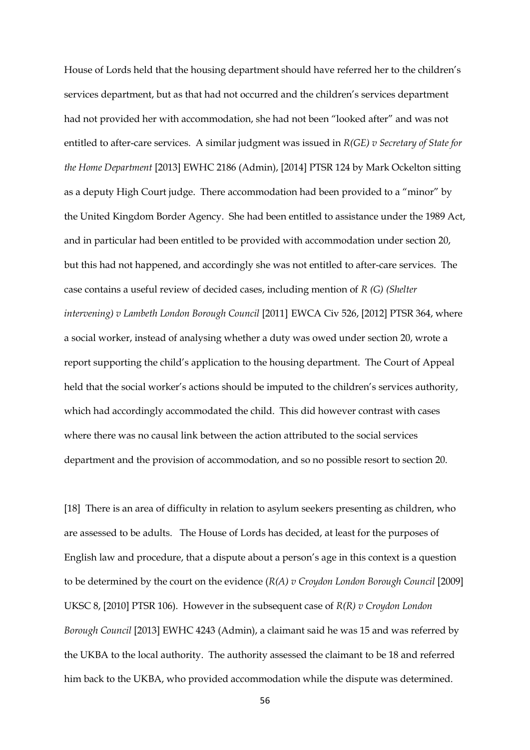House of Lords held that the housing department should have referred her to the children's services department, but as that had not occurred and the children's services department had not provided her with accommodation, she had not been "looked after" and was not entitled to after-care services. A similar judgment was issued in *R(GE) v Secretary of State for the Home Department* [2013] EWHC 2186 (Admin), [2014] PTSR 124 by Mark Ockelton sitting as a deputy High Court judge. There accommodation had been provided to a "minor" by the United Kingdom Border Agency. She had been entitled to assistance under the 1989 Act, and in particular had been entitled to be provided with accommodation under section 20, but this had not happened, and accordingly she was not entitled to after-care services. The case contains a useful review of decided cases, including mention of *R (G) (Shelter intervening) v Lambeth London Borough Council* [2011] EWCA Civ 526, [2012] PTSR 364, where a social worker, instead of analysing whether a duty was owed under section 20, wrote a report supporting the child's application to the housing department. The Court of Appeal held that the social worker's actions should be imputed to the children's services authority, which had accordingly accommodated the child. This did however contrast with cases where there was no causal link between the action attributed to the social services department and the provision of accommodation, and so no possible resort to section 20.

[18] There is an area of difficulty in relation to asylum seekers presenting as children, who are assessed to be adults. The House of Lords has decided, at least for the purposes of English law and procedure, that a dispute about a person's age in this context is a question to be determined by the court on the evidence (*R(A) v Croydon London Borough Council* [2009] UKSC 8, [2010] PTSR 106). However in the subsequent case of *R(R) v Croydon London Borough Council* [2013] EWHC 4243 (Admin), a claimant said he was 15 and was referred by the UKBA to the local authority. The authority assessed the claimant to be 18 and referred him back to the UKBA, who provided accommodation while the dispute was determined.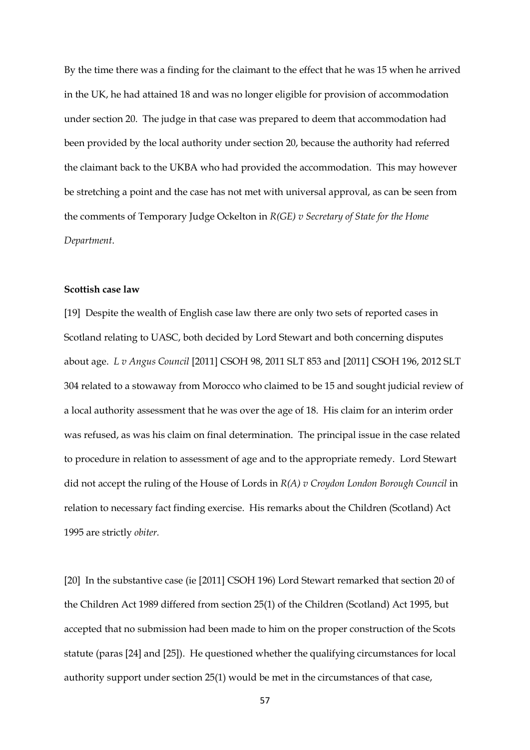By the time there was a finding for the claimant to the effect that he was 15 when he arrived in the UK, he had attained 18 and was no longer eligible for provision of accommodation under section 20. The judge in that case was prepared to deem that accommodation had been provided by the local authority under section 20, because the authority had referred the claimant back to the UKBA who had provided the accommodation. This may however be stretching a point and the case has not met with universal approval, as can be seen from the comments of Temporary Judge Ockelton in *R(GE) v Secretary of State for the Home Department*.

## **Scottish case law**

[19] Despite the wealth of English case law there are only two sets of reported cases in Scotland relating to UASC, both decided by Lord Stewart and both concerning disputes about age. *L v Angus Council* [2011] CSOH 98, 2011 SLT 853 and [2011] CSOH 196, 2012 SLT 304 related to a stowaway from Morocco who claimed to be 15 and sought judicial review of a local authority assessment that he was over the age of 18. His claim for an interim order was refused, as was his claim on final determination. The principal issue in the case related to procedure in relation to assessment of age and to the appropriate remedy. Lord Stewart did not accept the ruling of the House of Lords in *R(A) v Croydon London Borough Council* in relation to necessary fact finding exercise. His remarks about the Children (Scotland) Act 1995 are strictly *obiter.* 

[20] In the substantive case (ie [2011] CSOH 196) Lord Stewart remarked that section 20 of the Children Act 1989 differed from section 25(1) of the Children (Scotland) Act 1995, but accepted that no submission had been made to him on the proper construction of the Scots statute (paras [24] and [25]). He questioned whether the qualifying circumstances for local authority support under section 25(1) would be met in the circumstances of that case,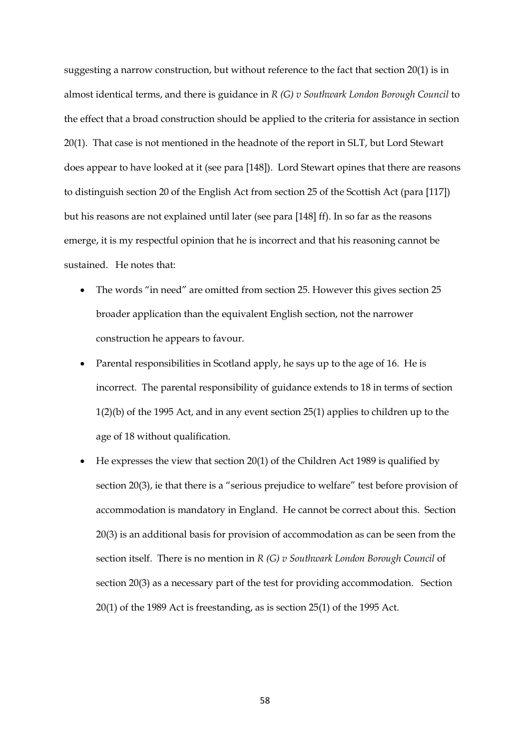suggesting a narrow construction, but without reference to the fact that section 20(1) is in almost identical terms, and there is guidance in *R (G) v Southwark London Borough Council* to the effect that a broad construction should be applied to the criteria for assistance in section 20(1). That case is not mentioned in the headnote of the report in SLT, but Lord Stewart does appear to have looked at it (see para [148]). Lord Stewart opines that there are reasons to distinguish section 20 of the English Act from section 25 of the Scottish Act (para [117]) but his reasons are not explained until later (see para [148] ff). In so far as the reasons emerge, it is my respectful opinion that he is incorrect and that his reasoning cannot be sustained. He notes that:

- The words "in need" are omitted from section 25. However this gives section 25 broader application than the equivalent English section, not the narrower construction he appears to favour.
- Parental responsibilities in Scotland apply, he says up to the age of 16. He is incorrect. The parental responsibility of guidance extends to 18 in terms of section 1(2)(b) of the 1995 Act, and in any event section 25(1) applies to children up to the age of 18 without qualification.
- He expresses the view that section 20(1) of the Children Act 1989 is qualified by section 20(3), ie that there is a "serious prejudice to welfare" test before provision of accommodation is mandatory in England. He cannot be correct about this. Section 20(3) is an additional basis for provision of accommodation as can be seen from the section itself. There is no mention in *R (G) v Southwark London Borough Council* of section 20(3) as a necessary part of the test for providing accommodation. Section 20(1) of the 1989 Act is freestanding, as is section 25(1) of the 1995 Act.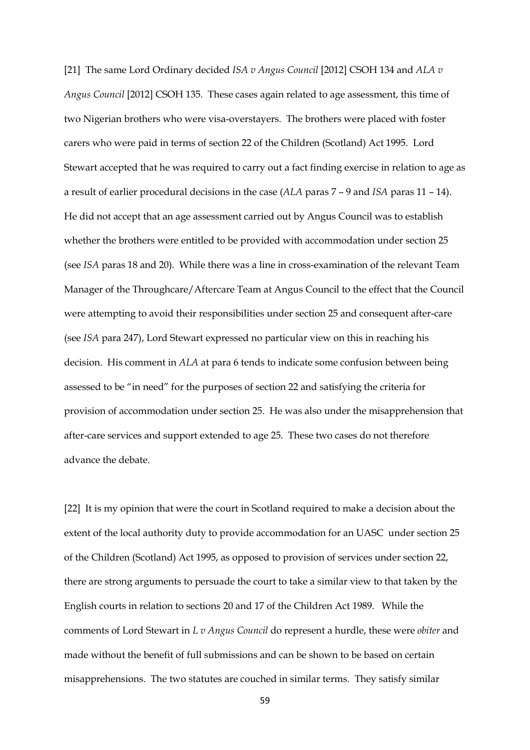[21] The same Lord Ordinary decided *ISA v Angus Council* [2012] CSOH 134 and *ALA v Angus Council* [2012] CSOH 135. These cases again related to age assessment, this time of two Nigerian brothers who were visa-overstayers. The brothers were placed with foster carers who were paid in terms of section 22 of the Children (Scotland) Act 1995. Lord Stewart accepted that he was required to carry out a fact finding exercise in relation to age as a result of earlier procedural decisions in the case (*ALA* paras 7 – 9 and *ISA* paras 11 – 14). He did not accept that an age assessment carried out by Angus Council was to establish whether the brothers were entitled to be provided with accommodation under section 25 (see *ISA* paras 18 and 20). While there was a line in cross-examination of the relevant Team Manager of the Throughcare/Aftercare Team at Angus Council to the effect that the Council were attempting to avoid their responsibilities under section 25 and consequent after-care (see *ISA* para 247), Lord Stewart expressed no particular view on this in reaching his decision. His comment in *ALA* at para 6 tends to indicate some confusion between being assessed to be "in need" for the purposes of section 22 and satisfying the criteria for provision of accommodation under section 25. He was also under the misapprehension that after-care services and support extended to age 25. These two cases do not therefore advance the debate.

[22] It is my opinion that were the court in Scotland required to make a decision about the extent of the local authority duty to provide accommodation for an UASC under section 25 of the Children (Scotland) Act 1995, as opposed to provision of services under section 22, there are strong arguments to persuade the court to take a similar view to that taken by the English courts in relation to sections 20 and 17 of the Children Act 1989. While the comments of Lord Stewart in *L v Angus Council* do represent a hurdle, these were *obiter* and made without the benefit of full submissions and can be shown to be based on certain misapprehensions. The two statutes are couched in similar terms. They satisfy similar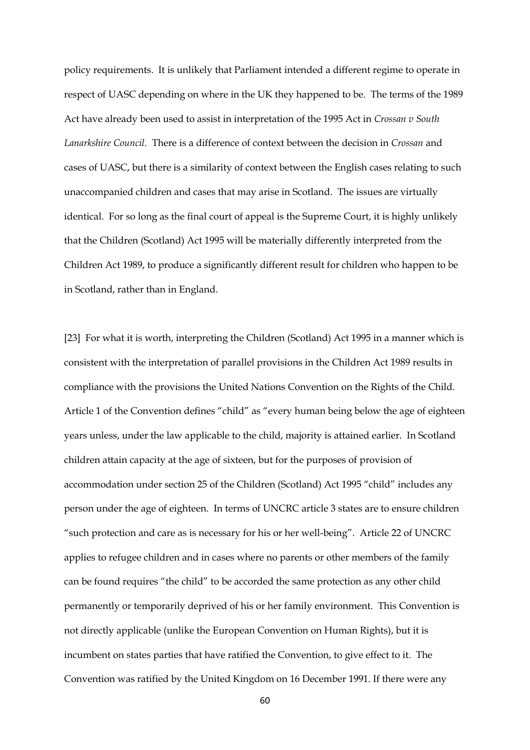policy requirements. It is unlikely that Parliament intended a different regime to operate in respect of UASC depending on where in the UK they happened to be. The terms of the 1989 Act have already been used to assist in interpretation of the 1995 Act in *Crossan v South Lanarkshire Council.* There is a difference of context between the decision in *Crossan* and cases of UASC, but there is a similarity of context between the English cases relating to such unaccompanied children and cases that may arise in Scotland. The issues are virtually identical. For so long as the final court of appeal is the Supreme Court, it is highly unlikely that the Children (Scotland) Act 1995 will be materially differently interpreted from the Children Act 1989, to produce a significantly different result for children who happen to be in Scotland, rather than in England.

[23] For what it is worth, interpreting the Children (Scotland) Act 1995 in a manner which is consistent with the interpretation of parallel provisions in the Children Act 1989 results in compliance with the provisions the United Nations Convention on the Rights of the Child. Article 1 of the Convention defines "child" as "every human being below the age of eighteen years unless, under the law applicable to the child, majority is attained earlier. In Scotland children attain capacity at the age of sixteen, but for the purposes of provision of accommodation under section 25 of the Children (Scotland) Act 1995 "child" includes any person under the age of eighteen. In terms of UNCRC article 3 states are to ensure children "such protection and care as is necessary for his or her well-being". Article 22 of UNCRC applies to refugee children and in cases where no parents or other members of the family can be found requires "the child" to be accorded the same protection as any other child permanently or temporarily deprived of his or her family environment. This Convention is not directly applicable (unlike the European Convention on Human Rights), but it is incumbent on states parties that have ratified the Convention, to give effect to it. The Convention was ratified by the United Kingdom on 16 December 1991. If there were any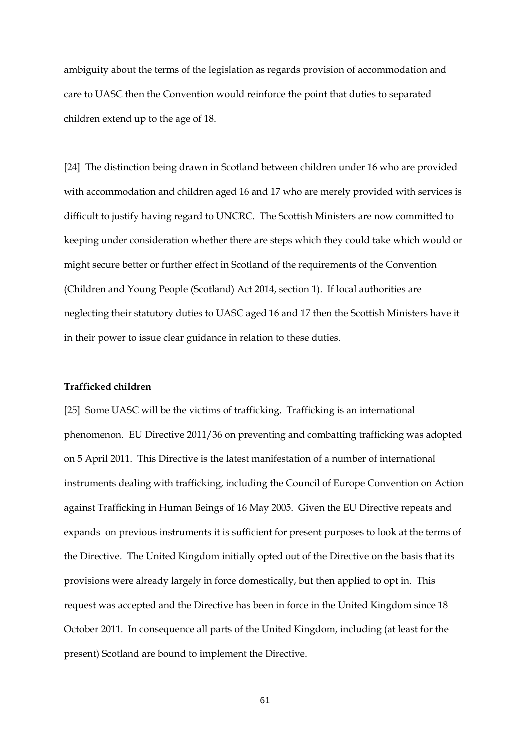ambiguity about the terms of the legislation as regards provision of accommodation and care to UASC then the Convention would reinforce the point that duties to separated children extend up to the age of 18.

[24] The distinction being drawn in Scotland between children under 16 who are provided with accommodation and children aged 16 and 17 who are merely provided with services is difficult to justify having regard to UNCRC. The Scottish Ministers are now committed to keeping under consideration whether there are steps which they could take which would or might secure better or further effect in Scotland of the requirements of the Convention (Children and Young People (Scotland) Act 2014, section 1). If local authorities are neglecting their statutory duties to UASC aged 16 and 17 then the Scottish Ministers have it in their power to issue clear guidance in relation to these duties.

#### **Trafficked children**

[25] Some UASC will be the victims of trafficking. Trafficking is an international phenomenon. EU Directive 2011/36 on preventing and combatting trafficking was adopted on 5 April 2011. This Directive is the latest manifestation of a number of international instruments dealing with trafficking, including the Council of Europe Convention on Action against Trafficking in Human Beings of 16 May 2005. Given the EU Directive repeats and expands on previous instruments it is sufficient for present purposes to look at the terms of the Directive. The United Kingdom initially opted out of the Directive on the basis that its provisions were already largely in force domestically, but then applied to opt in. This request was accepted and the Directive has been in force in the United Kingdom since 18 October 2011. In consequence all parts of the United Kingdom, including (at least for the present) Scotland are bound to implement the Directive.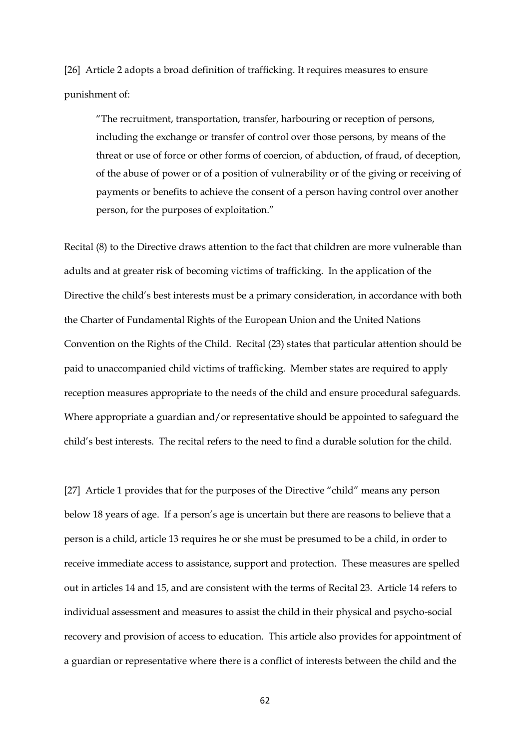[26] Article 2 adopts a broad definition of trafficking. It requires measures to ensure punishment of:

"The recruitment, transportation, transfer, harbouring or reception of persons, including the exchange or transfer of control over those persons, by means of the threat or use of force or other forms of coercion, of abduction, of fraud, of deception, of the abuse of power or of a position of vulnerability or of the giving or receiving of payments or benefits to achieve the consent of a person having control over another person, for the purposes of exploitation."

Recital (8) to the Directive draws attention to the fact that children are more vulnerable than adults and at greater risk of becoming victims of trafficking. In the application of the Directive the child's best interests must be a primary consideration, in accordance with both the Charter of Fundamental Rights of the European Union and the United Nations Convention on the Rights of the Child. Recital (23) states that particular attention should be paid to unaccompanied child victims of trafficking. Member states are required to apply reception measures appropriate to the needs of the child and ensure procedural safeguards. Where appropriate a guardian and/or representative should be appointed to safeguard the child's best interests. The recital refers to the need to find a durable solution for the child.

[27] Article 1 provides that for the purposes of the Directive "child" means any person below 18 years of age. If a person's age is uncertain but there are reasons to believe that a person is a child, article 13 requires he or she must be presumed to be a child, in order to receive immediate access to assistance, support and protection. These measures are spelled out in articles 14 and 15, and are consistent with the terms of Recital 23. Article 14 refers to individual assessment and measures to assist the child in their physical and psycho-social recovery and provision of access to education. This article also provides for appointment of a guardian or representative where there is a conflict of interests between the child and the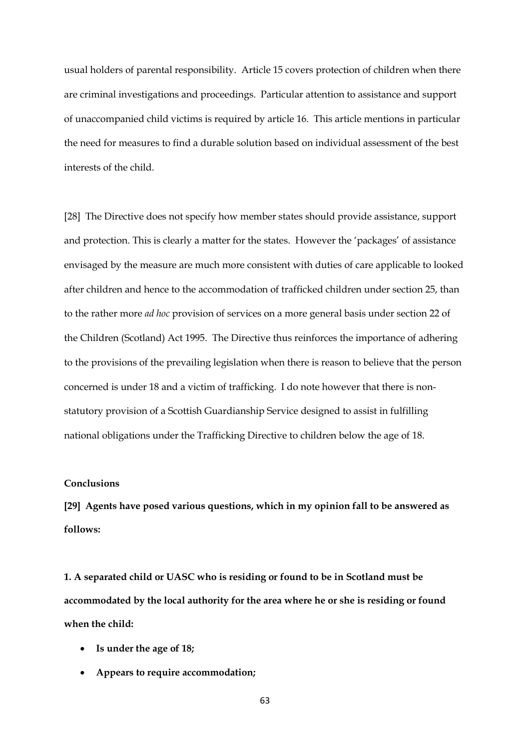usual holders of parental responsibility. Article 15 covers protection of children when there are criminal investigations and proceedings. Particular attention to assistance and support of unaccompanied child victims is required by article 16. This article mentions in particular the need for measures to find a durable solution based on individual assessment of the best interests of the child.

[28] The Directive does not specify how member states should provide assistance, support and protection. This is clearly a matter for the states. However the 'packages' of assistance envisaged by the measure are much more consistent with duties of care applicable to looked after children and hence to the accommodation of trafficked children under section 25, than to the rather more *ad hoc* provision of services on a more general basis under section 22 of the Children (Scotland) Act 1995. The Directive thus reinforces the importance of adhering to the provisions of the prevailing legislation when there is reason to believe that the person concerned is under 18 and a victim of trafficking. I do note however that there is nonstatutory provision of a Scottish Guardianship Service designed to assist in fulfilling national obligations under the Trafficking Directive to children below the age of 18.

#### **Conclusions**

**[29] Agents have posed various questions, which in my opinion fall to be answered as follows:**

**1. A separated child or UASC who is residing or found to be in Scotland must be accommodated by the local authority for the area where he or she is residing or found when the child:**

- **Is under the age of 18;**
- **Appears to require accommodation;**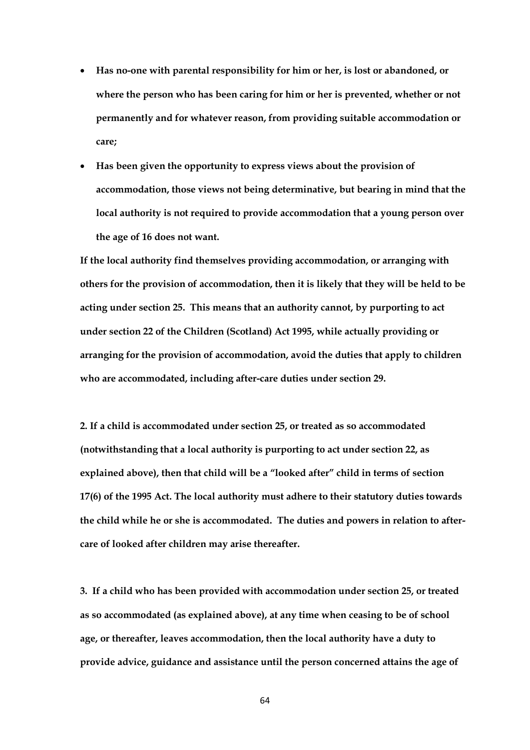- **Has no-one with parental responsibility for him or her, is lost or abandoned, or where the person who has been caring for him or her is prevented, whether or not permanently and for whatever reason, from providing suitable accommodation or care;**
- **Has been given the opportunity to express views about the provision of accommodation, those views not being determinative, but bearing in mind that the local authority is not required to provide accommodation that a young person over the age of 16 does not want.**

**If the local authority find themselves providing accommodation, or arranging with others for the provision of accommodation, then it is likely that they will be held to be acting under section 25. This means that an authority cannot, by purporting to act under section 22 of the Children (Scotland) Act 1995, while actually providing or arranging for the provision of accommodation, avoid the duties that apply to children who are accommodated, including after-care duties under section 29.** 

**2. If a child is accommodated under section 25, or treated as so accommodated (notwithstanding that a local authority is purporting to act under section 22, as explained above), then that child will be a "looked after" child in terms of section 17(6) of the 1995 Act. The local authority must adhere to their statutory duties towards the child while he or she is accommodated. The duties and powers in relation to aftercare of looked after children may arise thereafter.**

**3. If a child who has been provided with accommodation under section 25, or treated as so accommodated (as explained above), at any time when ceasing to be of school age, or thereafter, leaves accommodation, then the local authority have a duty to provide advice, guidance and assistance until the person concerned attains the age of**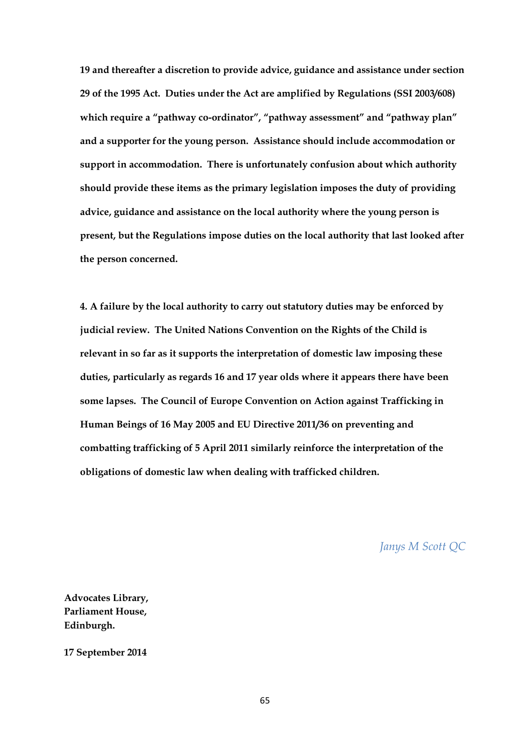**19 and thereafter a discretion to provide advice, guidance and assistance under section 29 of the 1995 Act. Duties under the Act are amplified by Regulations (SSI 2003/608) which require a "pathway co-ordinator", "pathway assessment" and "pathway plan" and a supporter for the young person. Assistance should include accommodation or support in accommodation. There is unfortunately confusion about which authority should provide these items as the primary legislation imposes the duty of providing advice, guidance and assistance on the local authority where the young person is present, but the Regulations impose duties on the local authority that last looked after the person concerned.**

**4. A failure by the local authority to carry out statutory duties may be enforced by judicial review. The United Nations Convention on the Rights of the Child is relevant in so far as it supports the interpretation of domestic law imposing these duties, particularly as regards 16 and 17 year olds where it appears there have been some lapses. The Council of Europe Convention on Action against Trafficking in Human Beings of 16 May 2005 and EU Directive 2011/36 on preventing and combatting trafficking of 5 April 2011 similarly reinforce the interpretation of the obligations of domestic law when dealing with trafficked children.**

*Janys M Scott QC*

**Advocates Library, Parliament House, Edinburgh.**

**17 September 2014**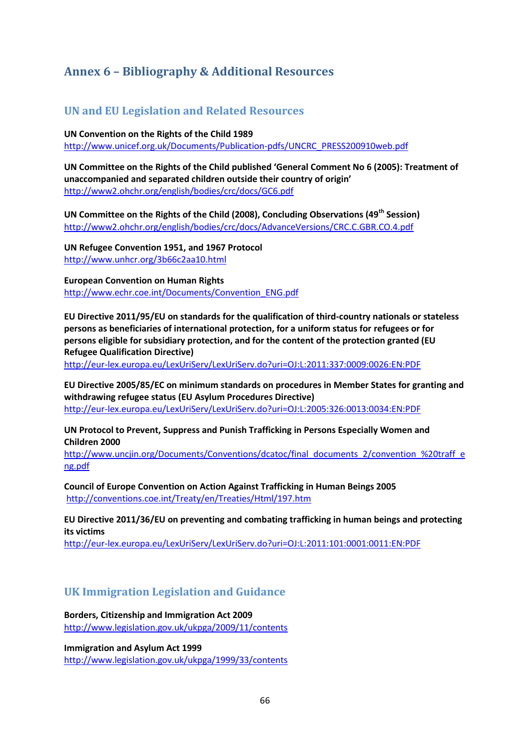## **Annex 6 – Bibliography & Additional Resources**

## **UN and EU Legislation and Related Resources**

**UN Convention on the Rights of the Child 1989**

[http://www.unicef.org.uk/Documents/Publication-pdfs/UNCRC\\_PRESS200910web.pdf](http://www.unicef.org.uk/Documents/Publication-pdfs/UNCRC_PRESS200910web.pdf)

**UN Committee on the Rights of the Child published 'General Comment No 6 (2005): Treatment of unaccompanied and separated children outside their country of origin'** <http://www2.ohchr.org/english/bodies/crc/docs/GC6.pdf>

**UN Committee on the Rights of the Child (2008), Concluding Observations (49th Session)**  <http://www2.ohchr.org/english/bodies/crc/docs/AdvanceVersions/CRC.C.GBR.CO.4.pdf>

**UN Refugee Convention 1951, and 1967 Protocol** <http://www.unhcr.org/3b66c2aa10.html>

**European Convention on Human Rights** [http://www.echr.coe.int/Documents/Convention\\_ENG.pdf](http://www.echr.coe.int/Documents/Convention_ENG.pdf)

**EU Directive 2011/95/EU on standards for the qualification of third-country nationals or stateless persons as beneficiaries of international protection, for a uniform status for refugees or for persons eligible for subsidiary protection, and for the content of the protection granted (EU Refugee Qualification Directive)**

<http://eur-lex.europa.eu/LexUriServ/LexUriServ.do?uri=OJ:L:2011:337:0009:0026:EN:PDF>

**EU Directive 2005/85/EC on minimum standards on procedures in Member States for granting and withdrawing refugee status (EU Asylum Procedures Directive)** <http://eur-lex.europa.eu/LexUriServ/LexUriServ.do?uri=OJ:L:2005:326:0013:0034:EN:PDF>

**UN Protocol to Prevent, Suppress and Punish Trafficking in Persons Especially Women and Children 2000**

[http://www.uncjin.org/Documents/Conventions/dcatoc/final\\_documents\\_2/convention\\_%20traff\\_e](http://www.uncjin.org/Documents/Conventions/dcatoc/final_documents_2/convention_%20traff_eng.pdf) [ng.pdf](http://www.uncjin.org/Documents/Conventions/dcatoc/final_documents_2/convention_%20traff_eng.pdf)

**Council of Europe Convention on Action Against Trafficking in Human Beings 2005** <http://conventions.coe.int/Treaty/en/Treaties/Html/197.htm>

**EU Directive 2011/36/EU on preventing and combating trafficking in human beings and protecting its victims**

<http://eur-lex.europa.eu/LexUriServ/LexUriServ.do?uri=OJ:L:2011:101:0001:0011:EN:PDF>

## **UK Immigration Legislation and Guidance**

**Borders, Citizenship and Immigration Act 2009** <http://www.legislation.gov.uk/ukpga/2009/11/contents>

**Immigration and Asylum Act 1999** <http://www.legislation.gov.uk/ukpga/1999/33/contents>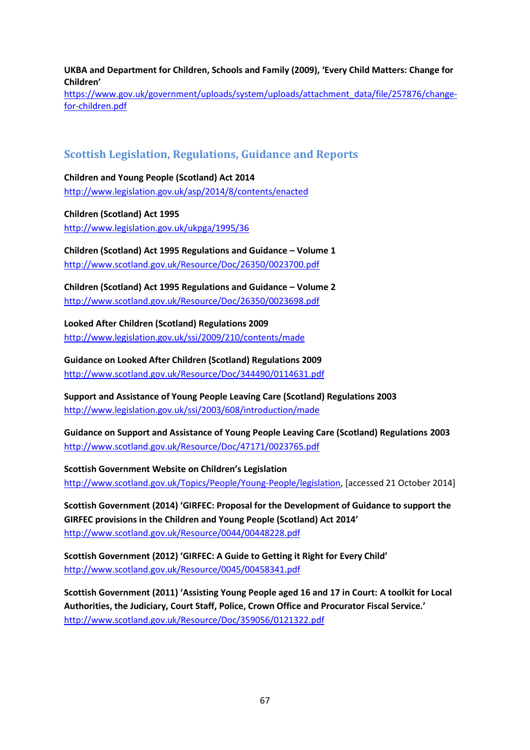**UKBA and Department for Children, Schools and Family (2009), 'Every Child Matters: Change for Children'**

[https://www.gov.uk/government/uploads/system/uploads/attachment\\_data/file/257876/change](https://www.gov.uk/government/uploads/system/uploads/attachment_data/file/257876/change-for-children.pdf)[for-children.pdf](https://www.gov.uk/government/uploads/system/uploads/attachment_data/file/257876/change-for-children.pdf)

## **Scottish Legislation, Regulations, Guidance and Reports**

**Children and Young People (Scotland) Act 2014** <http://www.legislation.gov.uk/asp/2014/8/contents/enacted>

**Children (Scotland) Act 1995** <http://www.legislation.gov.uk/ukpga/1995/36>

**Children (Scotland) Act 1995 Regulations and Guidance – Volume 1** <http://www.scotland.gov.uk/Resource/Doc/26350/0023700.pdf>

**Children (Scotland) Act 1995 Regulations and Guidance – Volume 2** <http://www.scotland.gov.uk/Resource/Doc/26350/0023698.pdf>

**Looked After Children (Scotland) Regulations 2009** <http://www.legislation.gov.uk/ssi/2009/210/contents/made>

**Guidance on Looked After Children (Scotland) Regulations 2009** <http://www.scotland.gov.uk/Resource/Doc/344490/0114631.pdf>

**Support and Assistance of Young People Leaving Care (Scotland) Regulations 2003** <http://www.legislation.gov.uk/ssi/2003/608/introduction/made>

**Guidance on Support and Assistance of Young People Leaving Care (Scotland) Regulations 2003**  <http://www.scotland.gov.uk/Resource/Doc/47171/0023765.pdf>

**Scottish Government Website on Children's Legislation** [http://www.scotland.gov.uk/Topics/People/Young-People/legislation,](http://www.scotland.gov.uk/Topics/People/Young-People/legislation) [accessed 21 October 2014]

**Scottish Government (2014) 'GIRFEC: Proposal for the Development of Guidance to support the GIRFEC provisions in the Children and Young People (Scotland) Act 2014'** <http://www.scotland.gov.uk/Resource/0044/00448228.pdf>

**Scottish Government (2012) 'GIRFEC: A Guide to Getting it Right for Every Child'** <http://www.scotland.gov.uk/Resource/0045/00458341.pdf>

**Scottish Government (2011) 'Assisting Young People aged 16 and 17 in Court: A toolkit for Local Authorities, the Judiciary, Court Staff, Police, Crown Office and Procurator Fiscal Service.'** <http://www.scotland.gov.uk/Resource/Doc/359056/0121322.pdf>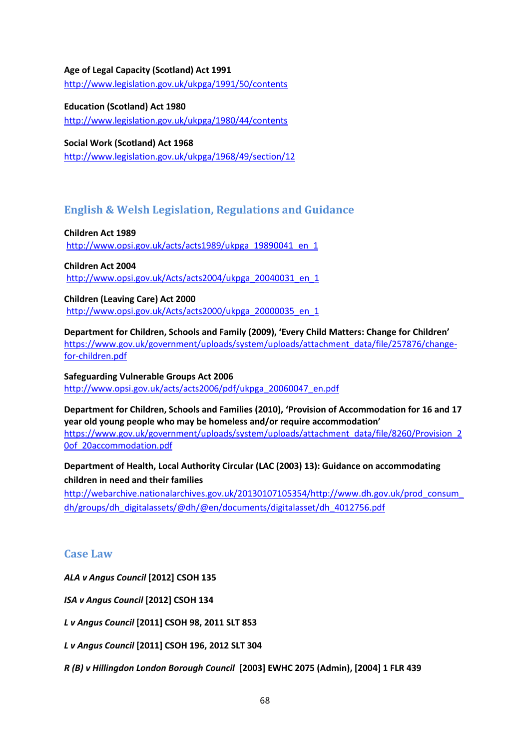#### **Age of Legal Capacity (Scotland) Act 1991**

<http://www.legislation.gov.uk/ukpga/1991/50/contents>

**Education (Scotland) Act 1980**

<http://www.legislation.gov.uk/ukpga/1980/44/contents>

**Social Work (Scotland) Act 1968**

<http://www.legislation.gov.uk/ukpga/1968/49/section/12>

## **English & Welsh Legislation, Regulations and Guidance**

**Children Act 1989** [http://www.opsi.gov.uk/acts/acts1989/ukpga\\_19890041\\_en\\_1](http://www.opsi.gov.uk/acts/acts1989/ukpga_19890041_en_1)

**Children Act 2004** [http://www.opsi.gov.uk/Acts/acts2004/ukpga\\_20040031\\_en\\_1](http://www.opsi.gov.uk/Acts/acts2004/ukpga_20040031_en_1)

**Children (Leaving Care) Act 2000** [http://www.opsi.gov.uk/Acts/acts2000/ukpga\\_20000035\\_en\\_1](http://www.opsi.gov.uk/Acts/acts2000/ukpga_20000035_en_1)

**Department for Children, Schools and Family (2009), 'Every Child Matters: Change for Children'** [https://www.gov.uk/government/uploads/system/uploads/attachment\\_data/file/257876/change](https://www.gov.uk/government/uploads/system/uploads/attachment_data/file/257876/change-for-children.pdf)[for-children.pdf](https://www.gov.uk/government/uploads/system/uploads/attachment_data/file/257876/change-for-children.pdf)

**Safeguarding Vulnerable Groups Act 2006** [http://www.opsi.gov.uk/acts/acts2006/pdf/ukpga\\_20060047\\_en.pdf](http://www.opsi.gov.uk/acts/acts2006/pdf/ukpga_20060047_en.pdf)

**Department for Children, Schools and Families (2010), 'Provision of Accommodation for 16 and 17 year old young people who may be homeless and/or require accommodation'** [https://www.gov.uk/government/uploads/system/uploads/attachment\\_data/file/8260/Provision\\_2](https://www.gov.uk/government/uploads/system/uploads/attachment_data/file/8260/Provision_20of_20accommodation.pdf) [0of\\_20accommodation.pdf](https://www.gov.uk/government/uploads/system/uploads/attachment_data/file/8260/Provision_20of_20accommodation.pdf)

**Department of Health, Local Authority Circular (LAC (2003) 13): Guidance on accommodating children in need and their families**

[http://webarchive.nationalarchives.gov.uk/20130107105354/http://www.dh.gov.uk/prod\\_consum\\_](http://webarchive.nationalarchives.gov.uk/20130107105354/http:/www.dh.gov.uk/prod_consum_dh/groups/dh_digitalassets/@dh/@en/documents/digitalasset/dh_4012756.pdf) [dh/groups/dh\\_digitalassets/@dh/@en/documents/digitalasset/dh\\_4012756.pdf](http://webarchive.nationalarchives.gov.uk/20130107105354/http:/www.dh.gov.uk/prod_consum_dh/groups/dh_digitalassets/@dh/@en/documents/digitalasset/dh_4012756.pdf)

## **Case Law**

*ALA v Angus Council* **[2012] CSOH 135**

*ISA v Angus Council* **[2012] CSOH 134**

*L v Angus Council* **[2011] CSOH 98, 2011 SLT 853** 

*L v Angus Council* **[2011] CSOH 196, 2012 SLT 304**

*R (B) v Hillingdon London Borough Council* **[2003] EWHC 2075 (Admin), [2004] 1 FLR 439**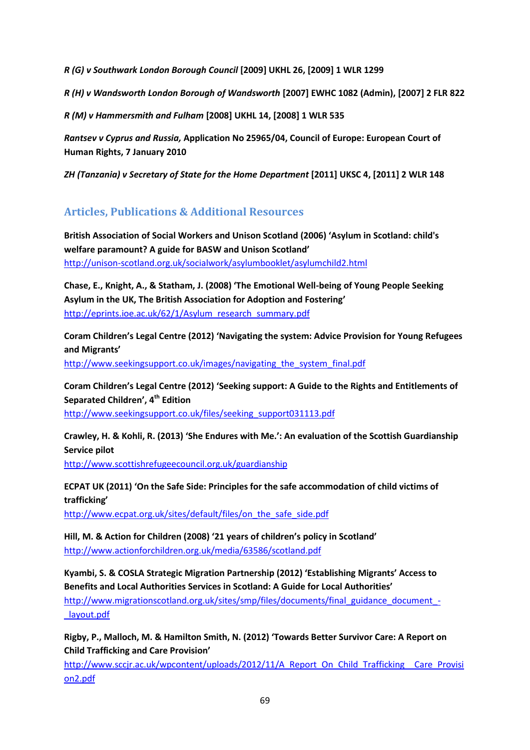*R (G) v Southwark London Borough Council* **[2009] UKHL 26, [2009] 1 WLR 1299**

*R (H) v Wandsworth London Borough of Wandsworth* **[2007] EWHC 1082 (Admin), [2007] 2 FLR 822**

*R (M) v Hammersmith and Fulham* **[2008] UKHL 14, [2008] 1 WLR 535**

*Rantsev v Cyprus and Russia,* **Application No 25965/04, Council of Europe: European Court of Human Rights, 7 January 2010**

*ZH (Tanzania) v Secretary of State for the Home Department* **[2011] UKSC 4, [2011] 2 WLR 148**

## **Articles, Publications & Additional Resources**

**British Association of Social Workers and Unison Scotland (2006) 'Asylum in Scotland: child's welfare paramount? A guide for BASW and Unison Scotland'** <http://unison-scotland.org.uk/socialwork/asylumbooklet/asylumchild2.html>

**Chase, E., Knight, A., & Statham, J. (2008) 'The Emotional Well-being of Young People Seeking Asylum in the UK, The British Association for Adoption and Fostering'** [http://eprints.ioe.ac.uk/62/1/Asylum\\_research\\_summary.pdf](http://eprints.ioe.ac.uk/62/1/Asylum_research_summary.pdf)

**Coram Children's Legal Centre (2012) 'Navigating the system: Advice Provision for Young Refugees and Migrants'**

[http://www.seekingsupport.co.uk/images/navigating\\_the\\_system\\_final.pdf](http://www.seekingsupport.co.uk/images/navigating_the_system_final.pdf)

**Coram Children's Legal Centre (2012) 'Seeking support: A Guide to the Rights and Entitlements of Separated Children', 4th Edition**

[http://www.seekingsupport.co.uk/files/seeking\\_support031113.pdf](http://www.seekingsupport.co.uk/files/seeking_support031113.pdf)

**Crawley, H. & Kohli, R. (2013) 'She Endures with Me.': An evaluation of the Scottish Guardianship Service pilot**

<http://www.scottishrefugeecouncil.org.uk/guardianship>

**ECPAT UK (2011) 'On the Safe Side: Principles for the safe accommodation of child victims of trafficking'**

[http://www.ecpat.org.uk/sites/default/files/on\\_the\\_safe\\_side.pdf](http://www.ecpat.org.uk/sites/default/files/on_the_safe_side.pdf)

**Hill, M. & Action for Children (2008) '21 years of children's policy in Scotland'** <http://www.actionforchildren.org.uk/media/63586/scotland.pdf>

**Kyambi, S. & COSLA Strategic Migration Partnership (2012) 'Establishing Migrants' Access to Benefits and Local Authorities Services in Scotland: A Guide for Local Authorities'**

[http://www.migrationscotland.org.uk/sites/smp/files/documents/final\\_guidance\\_document\\_-](http://www.migrationscotland.org.uk/sites/smp/files/documents/final_guidance_document_-_layout.pdf) [\\_layout.pdf](http://www.migrationscotland.org.uk/sites/smp/files/documents/final_guidance_document_-_layout.pdf)

**Rigby, P., Malloch, M. & Hamilton Smith, N. (2012) 'Towards Better Survivor Care: A Report on Child Trafficking and Care Provision'**

[http://www.sccjr.ac.uk/wpcontent/uploads/2012/11/A\\_Report\\_On\\_Child\\_Trafficking\\_\\_Care\\_Provisi](http://www.sccjr.ac.uk/wpcontent/uploads/2012/11/A_Report_On_Child_Trafficking__Care_Provision2.pdf) [on2.pdf](http://www.sccjr.ac.uk/wpcontent/uploads/2012/11/A_Report_On_Child_Trafficking__Care_Provision2.pdf)